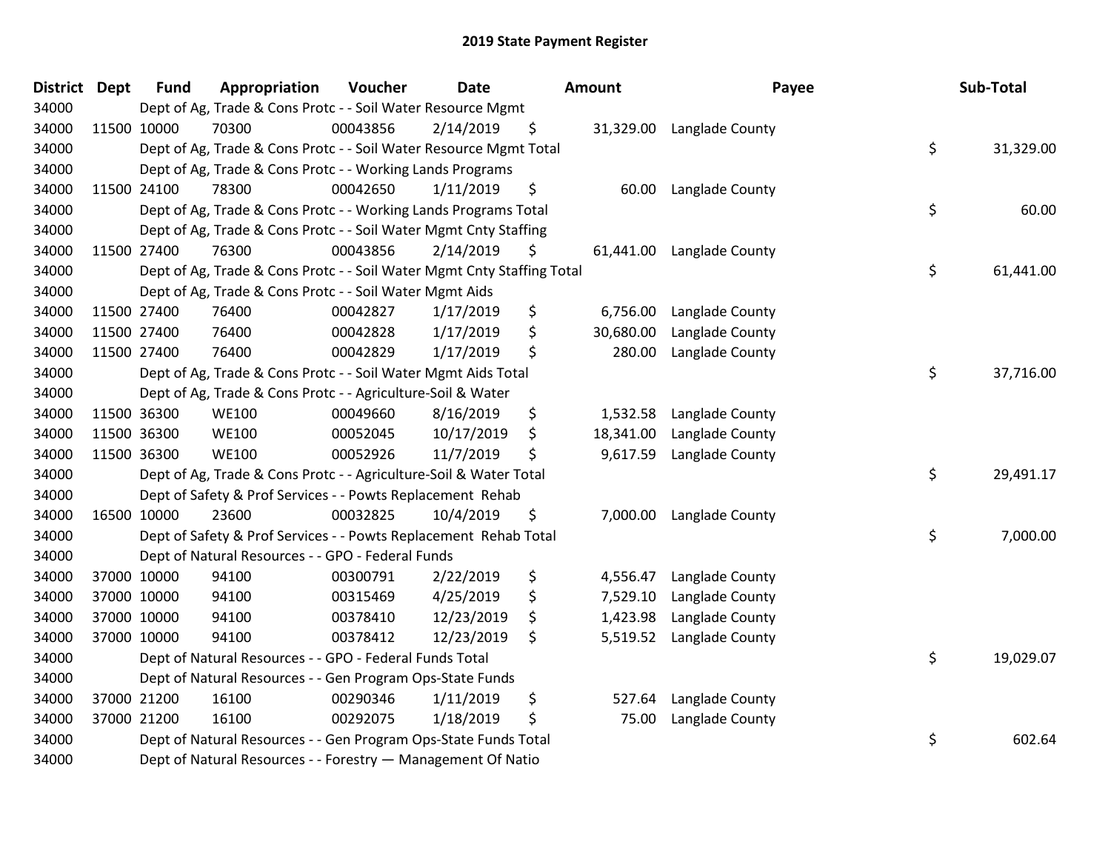| <b>District Dept</b> | <b>Fund</b> | Appropriation                                                          | Voucher  | <b>Date</b> | Amount          | Payee           | Sub-Total       |
|----------------------|-------------|------------------------------------------------------------------------|----------|-------------|-----------------|-----------------|-----------------|
| 34000                |             | Dept of Ag, Trade & Cons Protc - - Soil Water Resource Mgmt            |          |             |                 |                 |                 |
| 34000                | 11500 10000 | 70300                                                                  | 00043856 | 2/14/2019   | \$<br>31,329.00 | Langlade County |                 |
| 34000                |             | Dept of Ag, Trade & Cons Protc - - Soil Water Resource Mgmt Total      |          |             |                 |                 | \$<br>31,329.00 |
| 34000                |             | Dept of Ag, Trade & Cons Protc - - Working Lands Programs              |          |             |                 |                 |                 |
| 34000                | 11500 24100 | 78300                                                                  | 00042650 | 1/11/2019   | \$<br>60.00     | Langlade County |                 |
| 34000                |             | Dept of Ag, Trade & Cons Protc - - Working Lands Programs Total        |          |             |                 |                 | \$<br>60.00     |
| 34000                |             | Dept of Ag, Trade & Cons Protc - - Soil Water Mgmt Cnty Staffing       |          |             |                 |                 |                 |
| 34000                | 11500 27400 | 76300                                                                  | 00043856 | 2/14/2019   | \$<br>61,441.00 | Langlade County |                 |
| 34000                |             | Dept of Ag, Trade & Cons Protc - - Soil Water Mgmt Cnty Staffing Total |          |             |                 |                 | \$<br>61,441.00 |
| 34000                |             | Dept of Ag, Trade & Cons Protc - - Soil Water Mgmt Aids                |          |             |                 |                 |                 |
| 34000                | 11500 27400 | 76400                                                                  | 00042827 | 1/17/2019   | \$<br>6,756.00  | Langlade County |                 |
| 34000                | 11500 27400 | 76400                                                                  | 00042828 | 1/17/2019   | \$<br>30,680.00 | Langlade County |                 |
| 34000                | 11500 27400 | 76400                                                                  | 00042829 | 1/17/2019   | \$<br>280.00    | Langlade County |                 |
| 34000                |             | Dept of Ag, Trade & Cons Protc - - Soil Water Mgmt Aids Total          |          |             |                 |                 | \$<br>37,716.00 |
| 34000                |             | Dept of Ag, Trade & Cons Protc - - Agriculture-Soil & Water            |          |             |                 |                 |                 |
| 34000                | 11500 36300 | <b>WE100</b>                                                           | 00049660 | 8/16/2019   | \$<br>1,532.58  | Langlade County |                 |
| 34000                | 11500 36300 | <b>WE100</b>                                                           | 00052045 | 10/17/2019  | \$<br>18,341.00 | Langlade County |                 |
| 34000                | 11500 36300 | <b>WE100</b>                                                           | 00052926 | 11/7/2019   | \$<br>9,617.59  | Langlade County |                 |
| 34000                |             | Dept of Ag, Trade & Cons Protc - - Agriculture-Soil & Water Total      |          |             |                 |                 | \$<br>29,491.17 |
| 34000                |             | Dept of Safety & Prof Services - - Powts Replacement Rehab             |          |             |                 |                 |                 |
| 34000                | 16500 10000 | 23600                                                                  | 00032825 | 10/4/2019   | \$<br>7,000.00  | Langlade County |                 |
| 34000                |             | Dept of Safety & Prof Services - - Powts Replacement Rehab Total       |          |             |                 |                 | \$<br>7,000.00  |
| 34000                |             | Dept of Natural Resources - - GPO - Federal Funds                      |          |             |                 |                 |                 |
| 34000                | 37000 10000 | 94100                                                                  | 00300791 | 2/22/2019   | \$<br>4,556.47  | Langlade County |                 |
| 34000                | 37000 10000 | 94100                                                                  | 00315469 | 4/25/2019   | \$<br>7,529.10  | Langlade County |                 |
| 34000                | 37000 10000 | 94100                                                                  | 00378410 | 12/23/2019  | \$<br>1,423.98  | Langlade County |                 |
| 34000                | 37000 10000 | 94100                                                                  | 00378412 | 12/23/2019  | \$<br>5,519.52  | Langlade County |                 |
| 34000                |             | Dept of Natural Resources - - GPO - Federal Funds Total                |          |             |                 |                 | \$<br>19,029.07 |
| 34000                |             | Dept of Natural Resources - - Gen Program Ops-State Funds              |          |             |                 |                 |                 |
| 34000                | 37000 21200 | 16100                                                                  | 00290346 | 1/11/2019   | \$<br>527.64    | Langlade County |                 |
| 34000                | 37000 21200 | 16100                                                                  | 00292075 | 1/18/2019   | \$<br>75.00     | Langlade County |                 |
| 34000                |             | Dept of Natural Resources - - Gen Program Ops-State Funds Total        |          |             |                 |                 | \$<br>602.64    |
| 34000                |             | Dept of Natural Resources - - Forestry - Management Of Natio           |          |             |                 |                 |                 |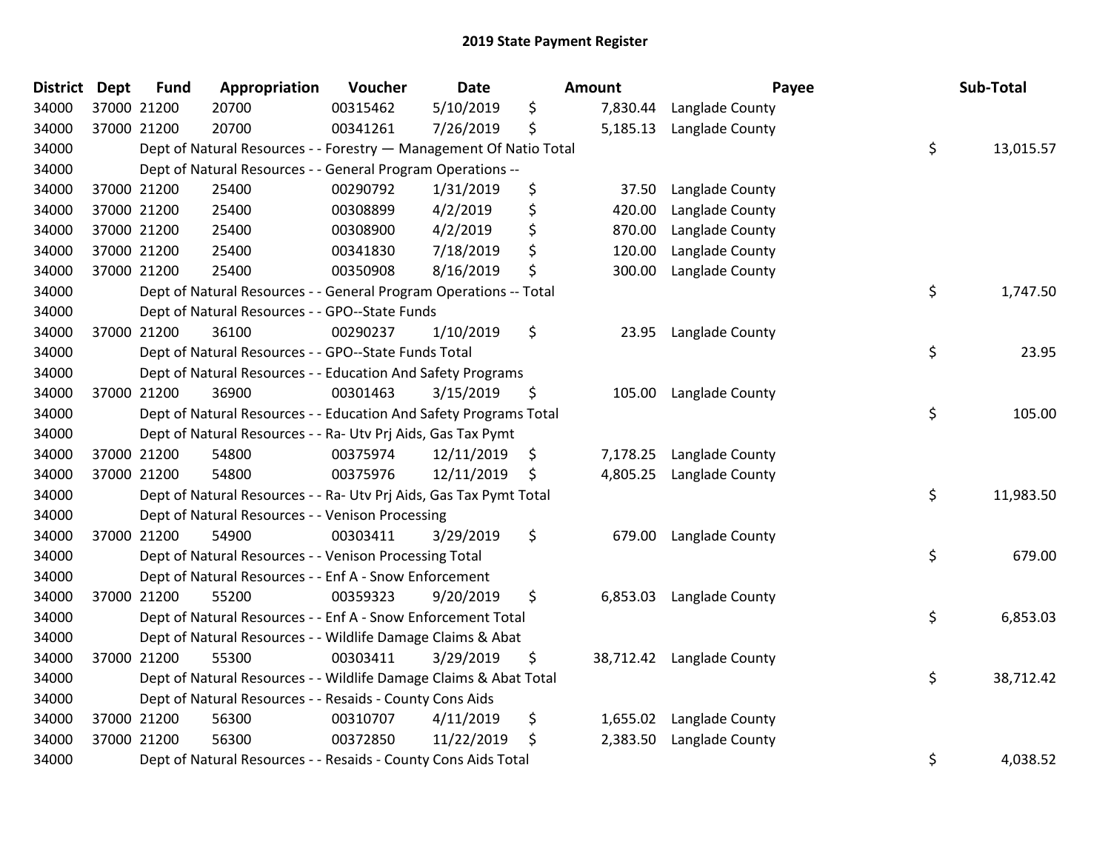| <b>District</b> | <b>Dept</b> | <b>Fund</b> | Appropriation                                                      | Voucher  | Date       | Amount          | Payee           | Sub-Total       |
|-----------------|-------------|-------------|--------------------------------------------------------------------|----------|------------|-----------------|-----------------|-----------------|
| 34000           | 37000 21200 |             | 20700                                                              | 00315462 | 5/10/2019  | \$<br>7,830.44  | Langlade County |                 |
| 34000           | 37000 21200 |             | 20700                                                              | 00341261 | 7/26/2019  | \$<br>5,185.13  | Langlade County |                 |
| 34000           |             |             | Dept of Natural Resources - - Forestry - Management Of Natio Total |          |            |                 |                 | \$<br>13,015.57 |
| 34000           |             |             | Dept of Natural Resources - - General Program Operations --        |          |            |                 |                 |                 |
| 34000           |             | 37000 21200 | 25400                                                              | 00290792 | 1/31/2019  | \$<br>37.50     | Langlade County |                 |
| 34000           |             | 37000 21200 | 25400                                                              | 00308899 | 4/2/2019   | \$<br>420.00    | Langlade County |                 |
| 34000           |             | 37000 21200 | 25400                                                              | 00308900 | 4/2/2019   | \$<br>870.00    | Langlade County |                 |
| 34000           |             | 37000 21200 | 25400                                                              | 00341830 | 7/18/2019  | \$<br>120.00    | Langlade County |                 |
| 34000           | 37000 21200 |             | 25400                                                              | 00350908 | 8/16/2019  | \$<br>300.00    | Langlade County |                 |
| 34000           |             |             | Dept of Natural Resources - - General Program Operations -- Total  |          |            |                 |                 | \$<br>1,747.50  |
| 34000           |             |             | Dept of Natural Resources - - GPO--State Funds                     |          |            |                 |                 |                 |
| 34000           |             | 37000 21200 | 36100                                                              | 00290237 | 1/10/2019  | \$<br>23.95     | Langlade County |                 |
| 34000           |             |             | Dept of Natural Resources - - GPO--State Funds Total               |          |            |                 |                 | \$<br>23.95     |
| 34000           |             |             | Dept of Natural Resources - - Education And Safety Programs        |          |            |                 |                 |                 |
| 34000           |             | 37000 21200 | 36900                                                              | 00301463 | 3/15/2019  | \$<br>105.00    | Langlade County |                 |
| 34000           |             |             | Dept of Natural Resources - - Education And Safety Programs Total  |          |            |                 |                 | \$<br>105.00    |
| 34000           |             |             | Dept of Natural Resources - - Ra- Utv Prj Aids, Gas Tax Pymt       |          |            |                 |                 |                 |
| 34000           |             | 37000 21200 | 54800                                                              | 00375974 | 12/11/2019 | \$<br>7,178.25  | Langlade County |                 |
| 34000           |             | 37000 21200 | 54800                                                              | 00375976 | 12/11/2019 | \$<br>4,805.25  | Langlade County |                 |
| 34000           |             |             | Dept of Natural Resources - - Ra- Utv Prj Aids, Gas Tax Pymt Total |          |            |                 |                 | \$<br>11,983.50 |
| 34000           |             |             | Dept of Natural Resources - - Venison Processing                   |          |            |                 |                 |                 |
| 34000           | 37000 21200 |             | 54900                                                              | 00303411 | 3/29/2019  | \$<br>679.00    | Langlade County |                 |
| 34000           |             |             | Dept of Natural Resources - - Venison Processing Total             |          |            |                 |                 | \$<br>679.00    |
| 34000           |             |             | Dept of Natural Resources - - Enf A - Snow Enforcement             |          |            |                 |                 |                 |
| 34000           |             | 37000 21200 | 55200                                                              | 00359323 | 9/20/2019  | \$<br>6,853.03  | Langlade County |                 |
| 34000           |             |             | Dept of Natural Resources - - Enf A - Snow Enforcement Total       |          |            |                 |                 | \$<br>6,853.03  |
| 34000           |             |             | Dept of Natural Resources - - Wildlife Damage Claims & Abat        |          |            |                 |                 |                 |
| 34000           |             | 37000 21200 | 55300                                                              | 00303411 | 3/29/2019  | \$<br>38,712.42 | Langlade County |                 |
| 34000           |             |             | Dept of Natural Resources - - Wildlife Damage Claims & Abat Total  |          |            |                 |                 | \$<br>38,712.42 |
| 34000           |             |             | Dept of Natural Resources - - Resaids - County Cons Aids           |          |            |                 |                 |                 |
| 34000           |             | 37000 21200 | 56300                                                              | 00310707 | 4/11/2019  | \$<br>1,655.02  | Langlade County |                 |
| 34000           | 37000 21200 |             | 56300                                                              | 00372850 | 11/22/2019 | \$<br>2,383.50  | Langlade County |                 |
| 34000           |             |             | Dept of Natural Resources - - Resaids - County Cons Aids Total     |          |            |                 |                 | \$<br>4,038.52  |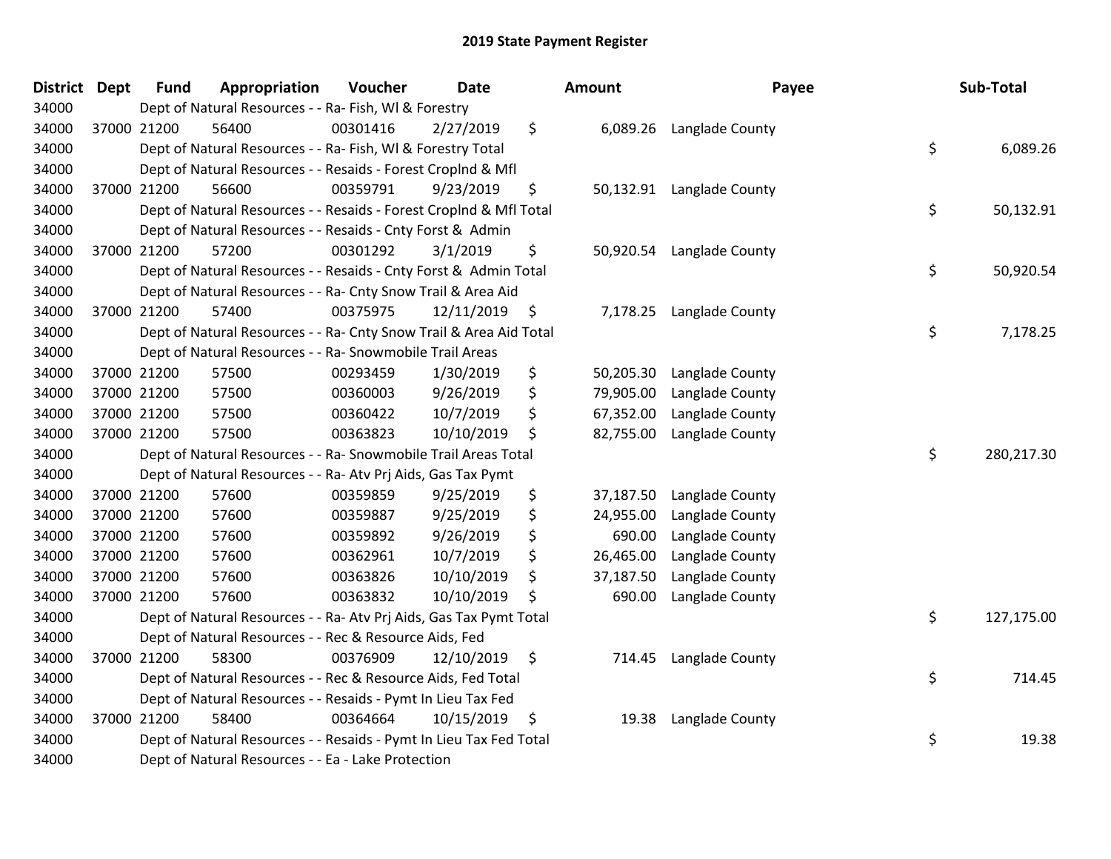| District Dept | <b>Fund</b> | Appropriation                                                      | Voucher  | <b>Date</b>     |                    | Amount    | Payee                     | Sub-Total        |
|---------------|-------------|--------------------------------------------------------------------|----------|-----------------|--------------------|-----------|---------------------------|------------------|
| 34000         |             | Dept of Natural Resources - - Ra- Fish, WI & Forestry              |          |                 |                    |           |                           |                  |
| 34000         | 37000 21200 | 56400                                                              | 00301416 | 2/27/2019       | \$                 |           | 6,089.26 Langlade County  |                  |
| 34000         |             | Dept of Natural Resources - - Ra- Fish, WI & Forestry Total        |          |                 |                    |           |                           | \$<br>6,089.26   |
| 34000         |             | Dept of Natural Resources - - Resaids - Forest Croplnd & Mfl       |          |                 |                    |           |                           |                  |
| 34000         | 37000 21200 | 56600                                                              | 00359791 | 9/23/2019       | \$                 |           | 50,132.91 Langlade County |                  |
| 34000         |             | Dept of Natural Resources - - Resaids - Forest CropInd & Mfl Total |          |                 |                    |           |                           | \$<br>50,132.91  |
| 34000         |             | Dept of Natural Resources - - Resaids - Cnty Forst & Admin         |          |                 |                    |           |                           |                  |
| 34000         | 37000 21200 | 57200                                                              | 00301292 | 3/1/2019        | \$                 | 50,920.54 | Langlade County           |                  |
| 34000         |             | Dept of Natural Resources - - Resaids - Cnty Forst & Admin Total   |          |                 |                    |           |                           | \$<br>50,920.54  |
| 34000         |             | Dept of Natural Resources - - Ra- Cnty Snow Trail & Area Aid       |          |                 |                    |           |                           |                  |
| 34000         | 37000 21200 | 57400                                                              | 00375975 | $12/11/2019$ \$ |                    |           | 7,178.25 Langlade County  |                  |
| 34000         |             | Dept of Natural Resources - - Ra- Cnty Snow Trail & Area Aid Total |          |                 |                    |           |                           | \$<br>7,178.25   |
| 34000         |             | Dept of Natural Resources - - Ra- Snowmobile Trail Areas           |          |                 |                    |           |                           |                  |
| 34000         | 37000 21200 | 57500                                                              | 00293459 | 1/30/2019       | \$                 | 50,205.30 | Langlade County           |                  |
| 34000         | 37000 21200 | 57500                                                              | 00360003 | 9/26/2019       | \$                 | 79,905.00 | Langlade County           |                  |
| 34000         | 37000 21200 | 57500                                                              | 00360422 | 10/7/2019       | \$                 | 67,352.00 | Langlade County           |                  |
| 34000         | 37000 21200 | 57500                                                              | 00363823 | 10/10/2019      | \$                 | 82,755.00 | Langlade County           |                  |
| 34000         |             | Dept of Natural Resources - - Ra- Snowmobile Trail Areas Total     |          |                 |                    |           |                           | \$<br>280,217.30 |
| 34000         |             | Dept of Natural Resources - - Ra- Atv Prj Aids, Gas Tax Pymt       |          |                 |                    |           |                           |                  |
| 34000         | 37000 21200 | 57600                                                              | 00359859 | 9/25/2019       | \$                 | 37,187.50 | Langlade County           |                  |
| 34000         | 37000 21200 | 57600                                                              | 00359887 | 9/25/2019       | \$                 | 24,955.00 | Langlade County           |                  |
| 34000         | 37000 21200 | 57600                                                              | 00359892 | 9/26/2019       | \$                 | 690.00    | Langlade County           |                  |
| 34000         | 37000 21200 | 57600                                                              | 00362961 | 10/7/2019       | \$                 | 26,465.00 | Langlade County           |                  |
| 34000         | 37000 21200 | 57600                                                              | 00363826 | 10/10/2019      | \$                 | 37,187.50 | Langlade County           |                  |
| 34000         | 37000 21200 | 57600                                                              | 00363832 | 10/10/2019      | \$                 | 690.00    | Langlade County           |                  |
| 34000         |             | Dept of Natural Resources - - Ra- Atv Prj Aids, Gas Tax Pymt Total |          |                 |                    |           |                           | \$<br>127,175.00 |
| 34000         |             | Dept of Natural Resources - - Rec & Resource Aids, Fed             |          |                 |                    |           |                           |                  |
| 34000         | 37000 21200 | 58300                                                              | 00376909 | 12/10/2019      | $\ddot{\varsigma}$ |           | 714.45 Langlade County    |                  |
| 34000         |             | Dept of Natural Resources - - Rec & Resource Aids, Fed Total       |          |                 |                    |           |                           | \$<br>714.45     |
| 34000         |             | Dept of Natural Resources - - Resaids - Pymt In Lieu Tax Fed       |          |                 |                    |           |                           |                  |
| 34000         | 37000 21200 | 58400                                                              | 00364664 | 10/15/2019      | \$                 | 19.38     | Langlade County           |                  |
| 34000         |             | Dept of Natural Resources - - Resaids - Pymt In Lieu Tax Fed Total |          |                 |                    |           |                           | \$<br>19.38      |
| 34000         |             | Dept of Natural Resources - - Ea - Lake Protection                 |          |                 |                    |           |                           |                  |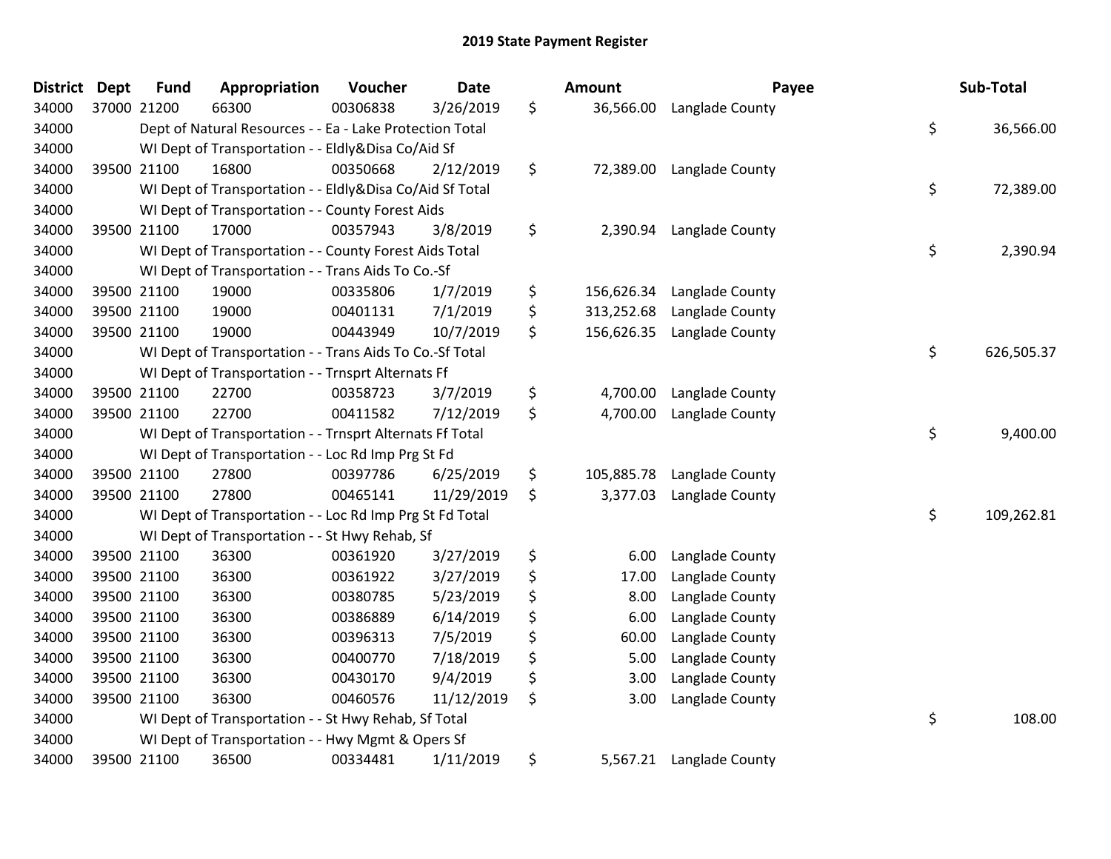| District | <b>Dept</b> | <b>Fund</b> | Appropriation                                            | Voucher  | <b>Date</b> | <b>Amount</b>    | Payee                    | Sub-Total        |
|----------|-------------|-------------|----------------------------------------------------------|----------|-------------|------------------|--------------------------|------------------|
| 34000    | 37000 21200 |             | 66300                                                    | 00306838 | 3/26/2019   | \$<br>36,566.00  | Langlade County          |                  |
| 34000    |             |             | Dept of Natural Resources - - Ea - Lake Protection Total |          |             |                  |                          | \$<br>36,566.00  |
| 34000    |             |             | WI Dept of Transportation - - Eldly&Disa Co/Aid Sf       |          |             |                  |                          |                  |
| 34000    |             | 39500 21100 | 16800                                                    | 00350668 | 2/12/2019   | \$<br>72,389.00  | Langlade County          |                  |
| 34000    |             |             | WI Dept of Transportation - - Eldly&Disa Co/Aid Sf Total |          |             |                  |                          | \$<br>72,389.00  |
| 34000    |             |             | WI Dept of Transportation - - County Forest Aids         |          |             |                  |                          |                  |
| 34000    |             | 39500 21100 | 17000                                                    | 00357943 | 3/8/2019    | \$<br>2,390.94   | Langlade County          |                  |
| 34000    |             |             | WI Dept of Transportation - - County Forest Aids Total   |          |             |                  |                          | \$<br>2,390.94   |
| 34000    |             |             | WI Dept of Transportation - - Trans Aids To Co.-Sf       |          |             |                  |                          |                  |
| 34000    |             | 39500 21100 | 19000                                                    | 00335806 | 1/7/2019    | \$<br>156,626.34 | Langlade County          |                  |
| 34000    |             | 39500 21100 | 19000                                                    | 00401131 | 7/1/2019    | \$<br>313,252.68 | Langlade County          |                  |
| 34000    | 39500 21100 |             | 19000                                                    | 00443949 | 10/7/2019   | \$<br>156,626.35 | Langlade County          |                  |
| 34000    |             |             | WI Dept of Transportation - - Trans Aids To Co.-Sf Total |          |             |                  |                          | \$<br>626,505.37 |
| 34000    |             |             | WI Dept of Transportation - - Trnsprt Alternats Ff       |          |             |                  |                          |                  |
| 34000    |             | 39500 21100 | 22700                                                    | 00358723 | 3/7/2019    | \$<br>4,700.00   | Langlade County          |                  |
| 34000    |             | 39500 21100 | 22700                                                    | 00411582 | 7/12/2019   | \$<br>4,700.00   | Langlade County          |                  |
| 34000    |             |             | WI Dept of Transportation - - Trnsprt Alternats Ff Total |          |             |                  |                          | \$<br>9,400.00   |
| 34000    |             |             | WI Dept of Transportation - - Loc Rd Imp Prg St Fd       |          |             |                  |                          |                  |
| 34000    |             | 39500 21100 | 27800                                                    | 00397786 | 6/25/2019   | \$<br>105,885.78 | Langlade County          |                  |
| 34000    |             | 39500 21100 | 27800                                                    | 00465141 | 11/29/2019  | \$<br>3,377.03   | Langlade County          |                  |
| 34000    |             |             | WI Dept of Transportation - - Loc Rd Imp Prg St Fd Total |          |             |                  |                          | \$<br>109,262.81 |
| 34000    |             |             | WI Dept of Transportation - - St Hwy Rehab, Sf           |          |             |                  |                          |                  |
| 34000    |             | 39500 21100 | 36300                                                    | 00361920 | 3/27/2019   | \$<br>6.00       | Langlade County          |                  |
| 34000    |             | 39500 21100 | 36300                                                    | 00361922 | 3/27/2019   | \$<br>17.00      | Langlade County          |                  |
| 34000    |             | 39500 21100 | 36300                                                    | 00380785 | 5/23/2019   | \$<br>8.00       | Langlade County          |                  |
| 34000    |             | 39500 21100 | 36300                                                    | 00386889 | 6/14/2019   | \$<br>6.00       | Langlade County          |                  |
| 34000    |             | 39500 21100 | 36300                                                    | 00396313 | 7/5/2019    | \$<br>60.00      | Langlade County          |                  |
| 34000    |             | 39500 21100 | 36300                                                    | 00400770 | 7/18/2019   | \$<br>5.00       | Langlade County          |                  |
| 34000    |             | 39500 21100 | 36300                                                    | 00430170 | 9/4/2019    | \$<br>3.00       | Langlade County          |                  |
| 34000    | 39500 21100 |             | 36300                                                    | 00460576 | 11/12/2019  | \$<br>3.00       | Langlade County          |                  |
| 34000    |             |             | WI Dept of Transportation - - St Hwy Rehab, Sf Total     |          |             |                  |                          | \$<br>108.00     |
| 34000    |             |             | WI Dept of Transportation - - Hwy Mgmt & Opers Sf        |          |             |                  |                          |                  |
| 34000    | 39500 21100 |             | 36500                                                    | 00334481 | 1/11/2019   | \$               | 5,567.21 Langlade County |                  |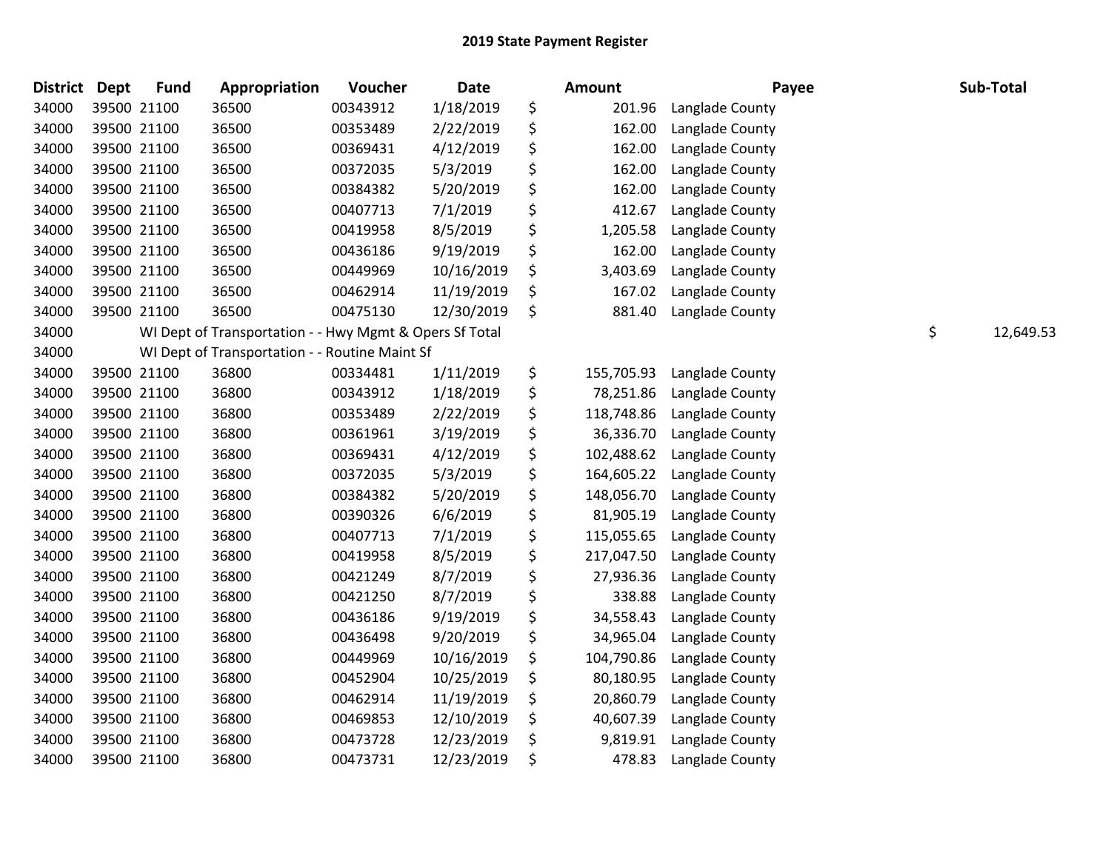| <b>District</b> | Dept | <b>Fund</b> | Appropriation                                           | Voucher  | <b>Date</b> | Amount           | Payee           | Sub-Total       |
|-----------------|------|-------------|---------------------------------------------------------|----------|-------------|------------------|-----------------|-----------------|
| 34000           |      | 39500 21100 | 36500                                                   | 00343912 | 1/18/2019   | \$<br>201.96     | Langlade County |                 |
| 34000           |      | 39500 21100 | 36500                                                   | 00353489 | 2/22/2019   | \$<br>162.00     | Langlade County |                 |
| 34000           |      | 39500 21100 | 36500                                                   | 00369431 | 4/12/2019   | \$<br>162.00     | Langlade County |                 |
| 34000           |      | 39500 21100 | 36500                                                   | 00372035 | 5/3/2019    | \$<br>162.00     | Langlade County |                 |
| 34000           |      | 39500 21100 | 36500                                                   | 00384382 | 5/20/2019   | \$<br>162.00     | Langlade County |                 |
| 34000           |      | 39500 21100 | 36500                                                   | 00407713 | 7/1/2019    | \$<br>412.67     | Langlade County |                 |
| 34000           |      | 39500 21100 | 36500                                                   | 00419958 | 8/5/2019    | \$<br>1,205.58   | Langlade County |                 |
| 34000           |      | 39500 21100 | 36500                                                   | 00436186 | 9/19/2019   | \$<br>162.00     | Langlade County |                 |
| 34000           |      | 39500 21100 | 36500                                                   | 00449969 | 10/16/2019  | \$<br>3,403.69   | Langlade County |                 |
| 34000           |      | 39500 21100 | 36500                                                   | 00462914 | 11/19/2019  | \$<br>167.02     | Langlade County |                 |
| 34000           |      | 39500 21100 | 36500                                                   | 00475130 | 12/30/2019  | \$<br>881.40     | Langlade County |                 |
| 34000           |      |             | WI Dept of Transportation - - Hwy Mgmt & Opers Sf Total |          |             |                  |                 | \$<br>12,649.53 |
| 34000           |      |             | WI Dept of Transportation - - Routine Maint Sf          |          |             |                  |                 |                 |
| 34000           |      | 39500 21100 | 36800                                                   | 00334481 | 1/11/2019   | \$<br>155,705.93 | Langlade County |                 |
| 34000           |      | 39500 21100 | 36800                                                   | 00343912 | 1/18/2019   | \$<br>78,251.86  | Langlade County |                 |
| 34000           |      | 39500 21100 | 36800                                                   | 00353489 | 2/22/2019   | \$<br>118,748.86 | Langlade County |                 |
| 34000           |      | 39500 21100 | 36800                                                   | 00361961 | 3/19/2019   | \$<br>36,336.70  | Langlade County |                 |
| 34000           |      | 39500 21100 | 36800                                                   | 00369431 | 4/12/2019   | \$<br>102,488.62 | Langlade County |                 |
| 34000           |      | 39500 21100 | 36800                                                   | 00372035 | 5/3/2019    | \$<br>164,605.22 | Langlade County |                 |
| 34000           |      | 39500 21100 | 36800                                                   | 00384382 | 5/20/2019   | \$<br>148,056.70 | Langlade County |                 |
| 34000           |      | 39500 21100 | 36800                                                   | 00390326 | 6/6/2019    | \$<br>81,905.19  | Langlade County |                 |
| 34000           |      | 39500 21100 | 36800                                                   | 00407713 | 7/1/2019    | \$<br>115,055.65 | Langlade County |                 |
| 34000           |      | 39500 21100 | 36800                                                   | 00419958 | 8/5/2019    | \$<br>217,047.50 | Langlade County |                 |
| 34000           |      | 39500 21100 | 36800                                                   | 00421249 | 8/7/2019    | \$<br>27,936.36  | Langlade County |                 |
| 34000           |      | 39500 21100 | 36800                                                   | 00421250 | 8/7/2019    | \$<br>338.88     | Langlade County |                 |
| 34000           |      | 39500 21100 | 36800                                                   | 00436186 | 9/19/2019   | \$<br>34,558.43  | Langlade County |                 |
| 34000           |      | 39500 21100 | 36800                                                   | 00436498 | 9/20/2019   | \$<br>34,965.04  | Langlade County |                 |
| 34000           |      | 39500 21100 | 36800                                                   | 00449969 | 10/16/2019  | \$<br>104,790.86 | Langlade County |                 |
| 34000           |      | 39500 21100 | 36800                                                   | 00452904 | 10/25/2019  | \$<br>80,180.95  | Langlade County |                 |
| 34000           |      | 39500 21100 | 36800                                                   | 00462914 | 11/19/2019  | \$<br>20,860.79  | Langlade County |                 |
| 34000           |      | 39500 21100 | 36800                                                   | 00469853 | 12/10/2019  | \$<br>40,607.39  | Langlade County |                 |
| 34000           |      | 39500 21100 | 36800                                                   | 00473728 | 12/23/2019  | \$<br>9,819.91   | Langlade County |                 |
| 34000           |      | 39500 21100 | 36800                                                   | 00473731 | 12/23/2019  | \$<br>478.83     | Langlade County |                 |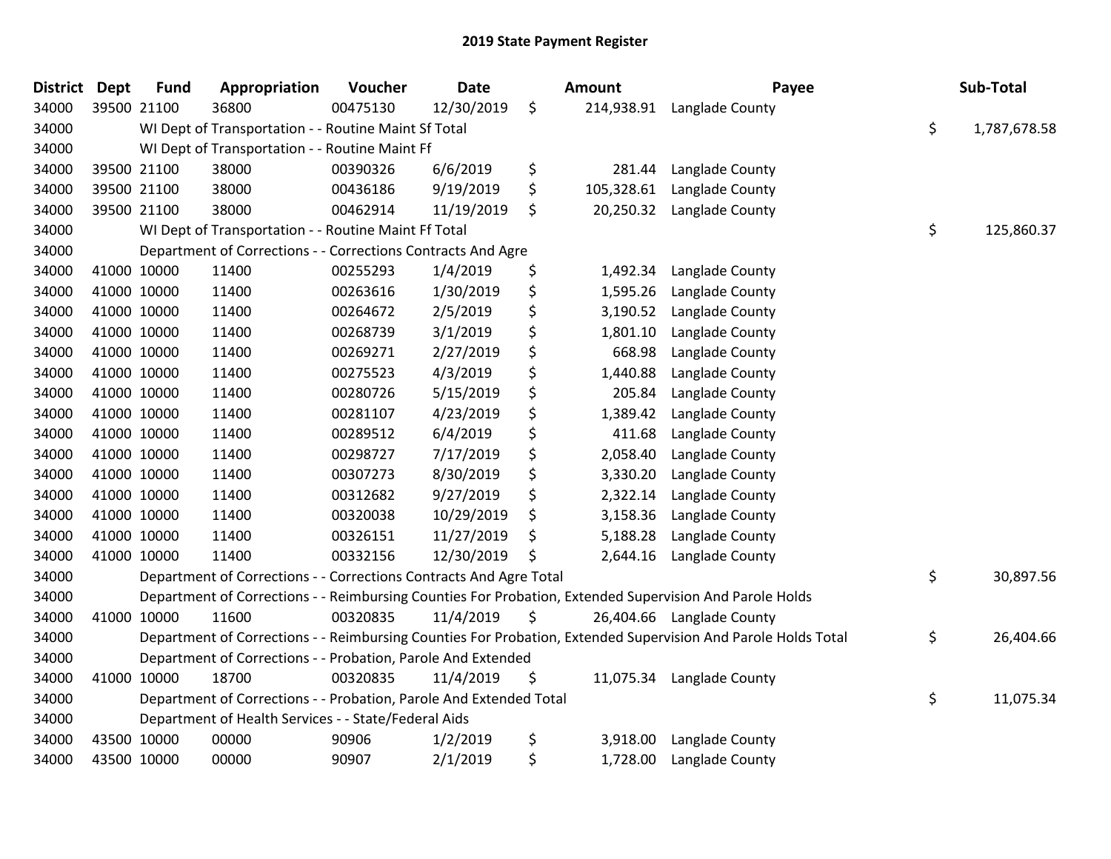| <b>District</b> | <b>Dept</b> | <b>Fund</b> | Appropriation                                                      | Voucher  | <b>Date</b> | <b>Amount</b>    | Payee                                                                                                         | Sub-Total          |
|-----------------|-------------|-------------|--------------------------------------------------------------------|----------|-------------|------------------|---------------------------------------------------------------------------------------------------------------|--------------------|
| 34000           |             | 39500 21100 | 36800                                                              | 00475130 | 12/30/2019  | \$<br>214,938.91 | Langlade County                                                                                               |                    |
| 34000           |             |             | WI Dept of Transportation - - Routine Maint Sf Total               |          |             |                  |                                                                                                               | \$<br>1,787,678.58 |
| 34000           |             |             | WI Dept of Transportation - - Routine Maint Ff                     |          |             |                  |                                                                                                               |                    |
| 34000           |             | 39500 21100 | 38000                                                              | 00390326 | 6/6/2019    | \$<br>281.44     | Langlade County                                                                                               |                    |
| 34000           |             | 39500 21100 | 38000                                                              | 00436186 | 9/19/2019   | \$<br>105,328.61 | Langlade County                                                                                               |                    |
| 34000           |             | 39500 21100 | 38000                                                              | 00462914 | 11/19/2019  | \$<br>20,250.32  | Langlade County                                                                                               |                    |
| 34000           |             |             | WI Dept of Transportation - - Routine Maint Ff Total               |          |             |                  |                                                                                                               | \$<br>125,860.37   |
| 34000           |             |             | Department of Corrections - - Corrections Contracts And Agre       |          |             |                  |                                                                                                               |                    |
| 34000           |             | 41000 10000 | 11400                                                              | 00255293 | 1/4/2019    | \$<br>1,492.34   | Langlade County                                                                                               |                    |
| 34000           |             | 41000 10000 | 11400                                                              | 00263616 | 1/30/2019   | \$<br>1,595.26   | Langlade County                                                                                               |                    |
| 34000           |             | 41000 10000 | 11400                                                              | 00264672 | 2/5/2019    | \$<br>3,190.52   | Langlade County                                                                                               |                    |
| 34000           |             | 41000 10000 | 11400                                                              | 00268739 | 3/1/2019    | \$<br>1,801.10   | Langlade County                                                                                               |                    |
| 34000           |             | 41000 10000 | 11400                                                              | 00269271 | 2/27/2019   | \$<br>668.98     | Langlade County                                                                                               |                    |
| 34000           |             | 41000 10000 | 11400                                                              | 00275523 | 4/3/2019    | \$<br>1,440.88   | Langlade County                                                                                               |                    |
| 34000           |             | 41000 10000 | 11400                                                              | 00280726 | 5/15/2019   | \$<br>205.84     | Langlade County                                                                                               |                    |
| 34000           |             | 41000 10000 | 11400                                                              | 00281107 | 4/23/2019   | \$<br>1,389.42   | Langlade County                                                                                               |                    |
| 34000           |             | 41000 10000 | 11400                                                              | 00289512 | 6/4/2019    | \$<br>411.68     | Langlade County                                                                                               |                    |
| 34000           |             | 41000 10000 | 11400                                                              | 00298727 | 7/17/2019   | \$<br>2,058.40   | Langlade County                                                                                               |                    |
| 34000           |             | 41000 10000 | 11400                                                              | 00307273 | 8/30/2019   | \$<br>3,330.20   | Langlade County                                                                                               |                    |
| 34000           |             | 41000 10000 | 11400                                                              | 00312682 | 9/27/2019   | \$<br>2,322.14   | Langlade County                                                                                               |                    |
| 34000           |             | 41000 10000 | 11400                                                              | 00320038 | 10/29/2019  | \$<br>3,158.36   | Langlade County                                                                                               |                    |
| 34000           |             | 41000 10000 | 11400                                                              | 00326151 | 11/27/2019  | \$<br>5,188.28   | Langlade County                                                                                               |                    |
| 34000           |             | 41000 10000 | 11400                                                              | 00332156 | 12/30/2019  | \$<br>2,644.16   | Langlade County                                                                                               |                    |
| 34000           |             |             | Department of Corrections - - Corrections Contracts And Agre Total |          |             |                  |                                                                                                               | \$<br>30,897.56    |
| 34000           |             |             |                                                                    |          |             |                  | Department of Corrections - - Reimbursing Counties For Probation, Extended Supervision And Parole Holds       |                    |
| 34000           |             | 41000 10000 | 11600                                                              | 00320835 | 11/4/2019   | \$               | 26,404.66 Langlade County                                                                                     |                    |
| 34000           |             |             |                                                                    |          |             |                  | Department of Corrections - - Reimbursing Counties For Probation, Extended Supervision And Parole Holds Total | \$<br>26,404.66    |
| 34000           |             |             | Department of Corrections - - Probation, Parole And Extended       |          |             |                  |                                                                                                               |                    |
| 34000           |             | 41000 10000 | 18700                                                              | 00320835 | 11/4/2019   | \$<br>11,075.34  | Langlade County                                                                                               |                    |
| 34000           |             |             | Department of Corrections - - Probation, Parole And Extended Total |          |             |                  |                                                                                                               | \$<br>11,075.34    |
| 34000           |             |             | Department of Health Services - - State/Federal Aids               |          |             |                  |                                                                                                               |                    |
| 34000           |             | 43500 10000 | 00000                                                              | 90906    | 1/2/2019    | \$<br>3,918.00   | Langlade County                                                                                               |                    |
| 34000           |             | 43500 10000 | 00000                                                              | 90907    | 2/1/2019    | \$<br>1,728.00   | Langlade County                                                                                               |                    |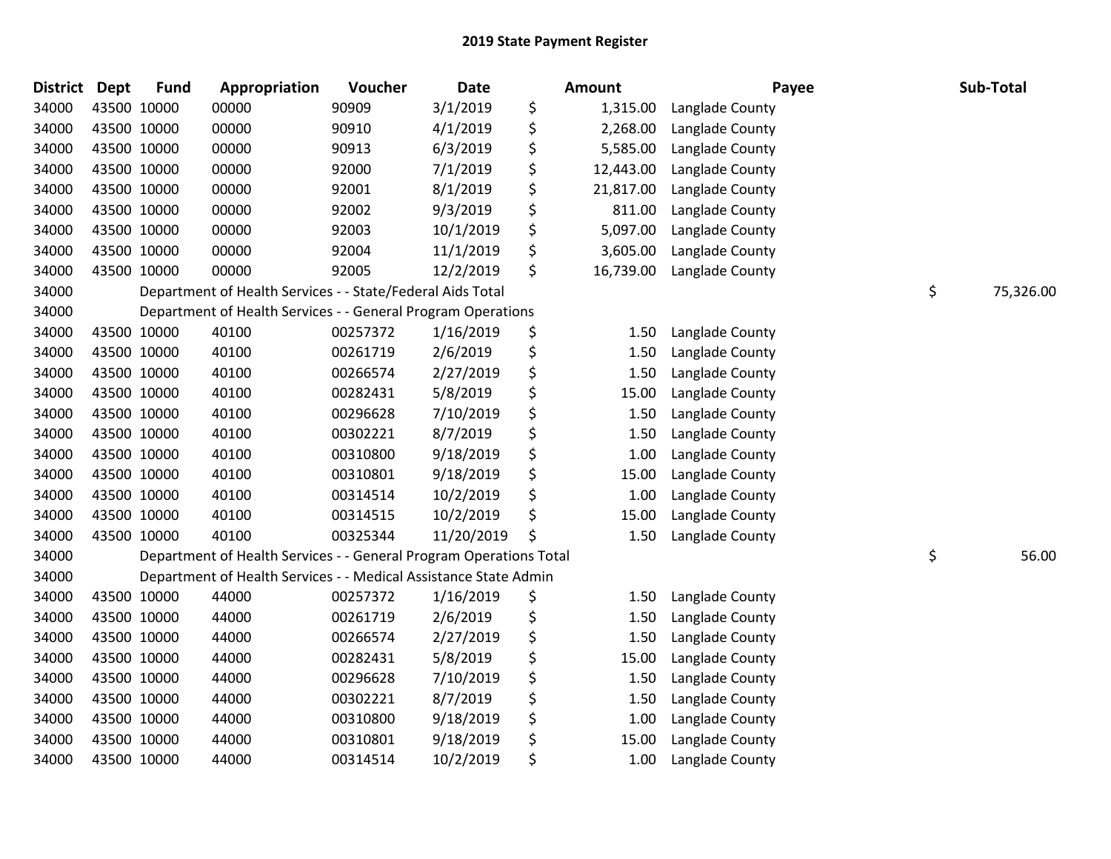| <b>District</b> | <b>Dept</b> | <b>Fund</b> | Appropriation                                                      | Voucher  | <b>Date</b> | Amount          | Payee           | Sub-Total       |
|-----------------|-------------|-------------|--------------------------------------------------------------------|----------|-------------|-----------------|-----------------|-----------------|
| 34000           |             | 43500 10000 | 00000                                                              | 90909    | 3/1/2019    | \$<br>1,315.00  | Langlade County |                 |
| 34000           |             | 43500 10000 | 00000                                                              | 90910    | 4/1/2019    | \$<br>2,268.00  | Langlade County |                 |
| 34000           |             | 43500 10000 | 00000                                                              | 90913    | 6/3/2019    | \$<br>5,585.00  | Langlade County |                 |
| 34000           |             | 43500 10000 | 00000                                                              | 92000    | 7/1/2019    | \$<br>12,443.00 | Langlade County |                 |
| 34000           |             | 43500 10000 | 00000                                                              | 92001    | 8/1/2019    | \$<br>21,817.00 | Langlade County |                 |
| 34000           |             | 43500 10000 | 00000                                                              | 92002    | 9/3/2019    | \$<br>811.00    | Langlade County |                 |
| 34000           |             | 43500 10000 | 00000                                                              | 92003    | 10/1/2019   | \$<br>5,097.00  | Langlade County |                 |
| 34000           |             | 43500 10000 | 00000                                                              | 92004    | 11/1/2019   | \$<br>3,605.00  | Langlade County |                 |
| 34000           |             | 43500 10000 | 00000                                                              | 92005    | 12/2/2019   | \$<br>16,739.00 | Langlade County |                 |
| 34000           |             |             | Department of Health Services - - State/Federal Aids Total         |          |             |                 |                 | \$<br>75,326.00 |
| 34000           |             |             | Department of Health Services - - General Program Operations       |          |             |                 |                 |                 |
| 34000           |             | 43500 10000 | 40100                                                              | 00257372 | 1/16/2019   | \$<br>1.50      | Langlade County |                 |
| 34000           |             | 43500 10000 | 40100                                                              | 00261719 | 2/6/2019    | \$<br>1.50      | Langlade County |                 |
| 34000           |             | 43500 10000 | 40100                                                              | 00266574 | 2/27/2019   | \$<br>1.50      | Langlade County |                 |
| 34000           |             | 43500 10000 | 40100                                                              | 00282431 | 5/8/2019    | \$<br>15.00     | Langlade County |                 |
| 34000           |             | 43500 10000 | 40100                                                              | 00296628 | 7/10/2019   | \$<br>1.50      | Langlade County |                 |
| 34000           |             | 43500 10000 | 40100                                                              | 00302221 | 8/7/2019    | \$<br>1.50      | Langlade County |                 |
| 34000           |             | 43500 10000 | 40100                                                              | 00310800 | 9/18/2019   | \$<br>1.00      | Langlade County |                 |
| 34000           |             | 43500 10000 | 40100                                                              | 00310801 | 9/18/2019   | \$<br>15.00     | Langlade County |                 |
| 34000           |             | 43500 10000 | 40100                                                              | 00314514 | 10/2/2019   | \$<br>1.00      | Langlade County |                 |
| 34000           |             | 43500 10000 | 40100                                                              | 00314515 | 10/2/2019   | \$<br>15.00     | Langlade County |                 |
| 34000           |             | 43500 10000 | 40100                                                              | 00325344 | 11/20/2019  | \$<br>1.50      | Langlade County |                 |
| 34000           |             |             | Department of Health Services - - General Program Operations Total |          |             |                 |                 | \$<br>56.00     |
| 34000           |             |             | Department of Health Services - - Medical Assistance State Admin   |          |             |                 |                 |                 |
| 34000           |             | 43500 10000 | 44000                                                              | 00257372 | 1/16/2019   | \$<br>1.50      | Langlade County |                 |
| 34000           |             | 43500 10000 | 44000                                                              | 00261719 | 2/6/2019    | \$<br>1.50      | Langlade County |                 |
| 34000           |             | 43500 10000 | 44000                                                              | 00266574 | 2/27/2019   | \$<br>1.50      | Langlade County |                 |
| 34000           |             | 43500 10000 | 44000                                                              | 00282431 | 5/8/2019    | \$<br>15.00     | Langlade County |                 |
| 34000           |             | 43500 10000 | 44000                                                              | 00296628 | 7/10/2019   | \$<br>1.50      | Langlade County |                 |
| 34000           |             | 43500 10000 | 44000                                                              | 00302221 | 8/7/2019    | \$<br>1.50      | Langlade County |                 |
| 34000           |             | 43500 10000 | 44000                                                              | 00310800 | 9/18/2019   | \$<br>1.00      | Langlade County |                 |
| 34000           |             | 43500 10000 | 44000                                                              | 00310801 | 9/18/2019   | \$<br>15.00     | Langlade County |                 |
| 34000           |             | 43500 10000 | 44000                                                              | 00314514 | 10/2/2019   | \$<br>1.00      | Langlade County |                 |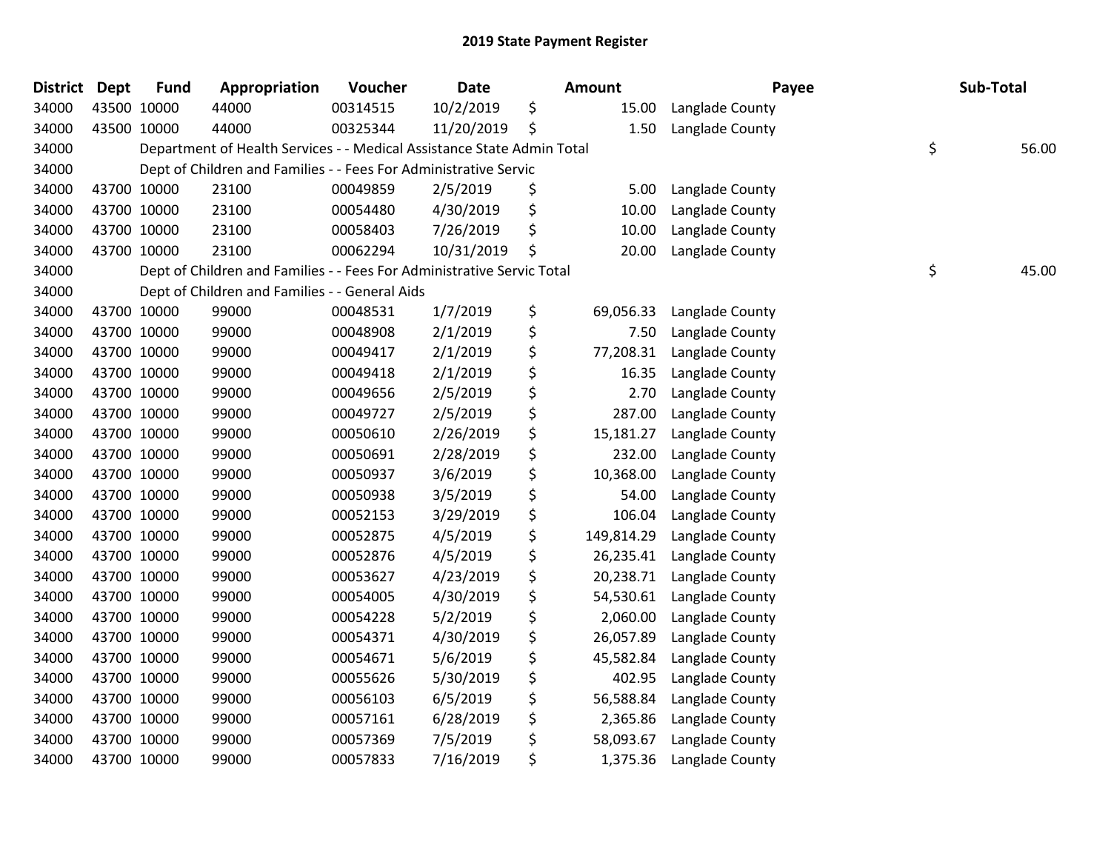| <b>District</b> | <b>Dept</b> | <b>Fund</b> | Appropriation                                                          | Voucher  | Date       | <b>Amount</b>    | Payee           | Sub-Total   |
|-----------------|-------------|-------------|------------------------------------------------------------------------|----------|------------|------------------|-----------------|-------------|
| 34000           |             | 43500 10000 | 44000                                                                  | 00314515 | 10/2/2019  | \$<br>15.00      | Langlade County |             |
| 34000           |             | 43500 10000 | 44000                                                                  | 00325344 | 11/20/2019 | \$<br>1.50       | Langlade County |             |
| 34000           |             |             | Department of Health Services - - Medical Assistance State Admin Total |          |            |                  |                 | \$<br>56.00 |
| 34000           |             |             | Dept of Children and Families - - Fees For Administrative Servic       |          |            |                  |                 |             |
| 34000           |             | 43700 10000 | 23100                                                                  | 00049859 | 2/5/2019   | \$<br>5.00       | Langlade County |             |
| 34000           |             | 43700 10000 | 23100                                                                  | 00054480 | 4/30/2019  | \$<br>10.00      | Langlade County |             |
| 34000           | 43700 10000 |             | 23100                                                                  | 00058403 | 7/26/2019  | \$<br>10.00      | Langlade County |             |
| 34000           | 43700 10000 |             | 23100                                                                  | 00062294 | 10/31/2019 | \$<br>20.00      | Langlade County |             |
| 34000           |             |             | Dept of Children and Families - - Fees For Administrative Servic Total |          |            |                  |                 | \$<br>45.00 |
| 34000           |             |             | Dept of Children and Families - - General Aids                         |          |            |                  |                 |             |
| 34000           |             | 43700 10000 | 99000                                                                  | 00048531 | 1/7/2019   | \$<br>69,056.33  | Langlade County |             |
| 34000           | 43700 10000 |             | 99000                                                                  | 00048908 | 2/1/2019   | \$<br>7.50       | Langlade County |             |
| 34000           | 43700 10000 |             | 99000                                                                  | 00049417 | 2/1/2019   | \$<br>77,208.31  | Langlade County |             |
| 34000           | 43700 10000 |             | 99000                                                                  | 00049418 | 2/1/2019   | \$<br>16.35      | Langlade County |             |
| 34000           |             | 43700 10000 | 99000                                                                  | 00049656 | 2/5/2019   | \$<br>2.70       | Langlade County |             |
| 34000           |             | 43700 10000 | 99000                                                                  | 00049727 | 2/5/2019   | \$<br>287.00     | Langlade County |             |
| 34000           | 43700 10000 |             | 99000                                                                  | 00050610 | 2/26/2019  | \$<br>15,181.27  | Langlade County |             |
| 34000           | 43700 10000 |             | 99000                                                                  | 00050691 | 2/28/2019  | \$<br>232.00     | Langlade County |             |
| 34000           | 43700 10000 |             | 99000                                                                  | 00050937 | 3/6/2019   | \$<br>10,368.00  | Langlade County |             |
| 34000           |             | 43700 10000 | 99000                                                                  | 00050938 | 3/5/2019   | \$<br>54.00      | Langlade County |             |
| 34000           |             | 43700 10000 | 99000                                                                  | 00052153 | 3/29/2019  | \$<br>106.04     | Langlade County |             |
| 34000           | 43700 10000 |             | 99000                                                                  | 00052875 | 4/5/2019   | \$<br>149,814.29 | Langlade County |             |
| 34000           | 43700 10000 |             | 99000                                                                  | 00052876 | 4/5/2019   | \$<br>26,235.41  | Langlade County |             |
| 34000           |             | 43700 10000 | 99000                                                                  | 00053627 | 4/23/2019  | \$<br>20,238.71  | Langlade County |             |
| 34000           |             | 43700 10000 | 99000                                                                  | 00054005 | 4/30/2019  | \$<br>54,530.61  | Langlade County |             |
| 34000           |             | 43700 10000 | 99000                                                                  | 00054228 | 5/2/2019   | \$<br>2,060.00   | Langlade County |             |
| 34000           | 43700 10000 |             | 99000                                                                  | 00054371 | 4/30/2019  | \$<br>26,057.89  | Langlade County |             |
| 34000           | 43700 10000 |             | 99000                                                                  | 00054671 | 5/6/2019   | \$<br>45,582.84  | Langlade County |             |
| 34000           | 43700 10000 |             | 99000                                                                  | 00055626 | 5/30/2019  | \$<br>402.95     | Langlade County |             |
| 34000           |             | 43700 10000 | 99000                                                                  | 00056103 | 6/5/2019   | \$<br>56,588.84  | Langlade County |             |
| 34000           |             | 43700 10000 | 99000                                                                  | 00057161 | 6/28/2019  | \$<br>2,365.86   | Langlade County |             |
| 34000           |             | 43700 10000 | 99000                                                                  | 00057369 | 7/5/2019   | \$<br>58,093.67  | Langlade County |             |
| 34000           |             | 43700 10000 | 99000                                                                  | 00057833 | 7/16/2019  | \$<br>1,375.36   | Langlade County |             |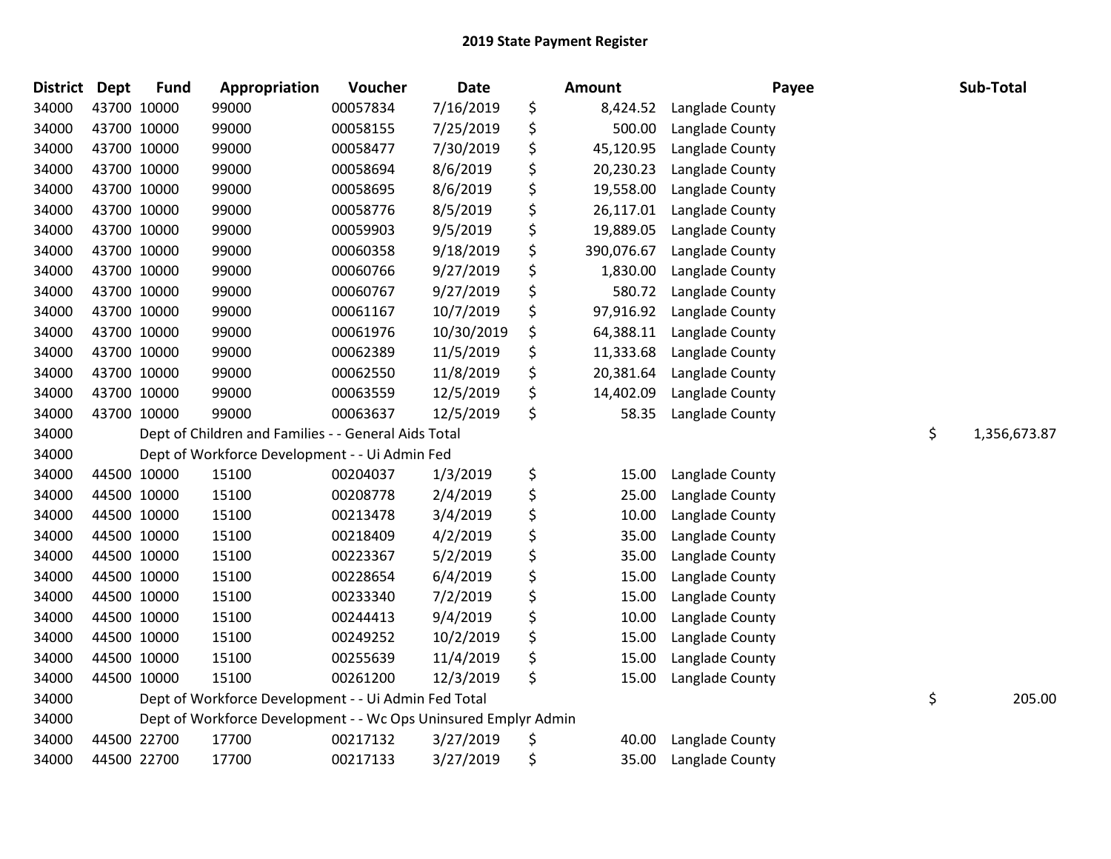| <b>District</b> | <b>Dept</b> | <b>Fund</b> | Appropriation                                                   | Voucher  | <b>Date</b> | Amount           | Payee           | Sub-Total          |
|-----------------|-------------|-------------|-----------------------------------------------------------------|----------|-------------|------------------|-----------------|--------------------|
| 34000           |             | 43700 10000 | 99000                                                           | 00057834 | 7/16/2019   | \$<br>8,424.52   | Langlade County |                    |
| 34000           |             | 43700 10000 | 99000                                                           | 00058155 | 7/25/2019   | \$<br>500.00     | Langlade County |                    |
| 34000           |             | 43700 10000 | 99000                                                           | 00058477 | 7/30/2019   | \$<br>45,120.95  | Langlade County |                    |
| 34000           |             | 43700 10000 | 99000                                                           | 00058694 | 8/6/2019    | \$<br>20,230.23  | Langlade County |                    |
| 34000           |             | 43700 10000 | 99000                                                           | 00058695 | 8/6/2019    | \$<br>19,558.00  | Langlade County |                    |
| 34000           |             | 43700 10000 | 99000                                                           | 00058776 | 8/5/2019    | \$<br>26,117.01  | Langlade County |                    |
| 34000           |             | 43700 10000 | 99000                                                           | 00059903 | 9/5/2019    | \$<br>19,889.05  | Langlade County |                    |
| 34000           |             | 43700 10000 | 99000                                                           | 00060358 | 9/18/2019   | \$<br>390,076.67 | Langlade County |                    |
| 34000           |             | 43700 10000 | 99000                                                           | 00060766 | 9/27/2019   | \$<br>1,830.00   | Langlade County |                    |
| 34000           |             | 43700 10000 | 99000                                                           | 00060767 | 9/27/2019   | \$<br>580.72     | Langlade County |                    |
| 34000           |             | 43700 10000 | 99000                                                           | 00061167 | 10/7/2019   | \$<br>97,916.92  | Langlade County |                    |
| 34000           |             | 43700 10000 | 99000                                                           | 00061976 | 10/30/2019  | \$<br>64,388.11  | Langlade County |                    |
| 34000           |             | 43700 10000 | 99000                                                           | 00062389 | 11/5/2019   | \$<br>11,333.68  | Langlade County |                    |
| 34000           |             | 43700 10000 | 99000                                                           | 00062550 | 11/8/2019   | \$<br>20,381.64  | Langlade County |                    |
| 34000           |             | 43700 10000 | 99000                                                           | 00063559 | 12/5/2019   | \$<br>14,402.09  | Langlade County |                    |
| 34000           |             | 43700 10000 | 99000                                                           | 00063637 | 12/5/2019   | \$<br>58.35      | Langlade County |                    |
| 34000           |             |             | Dept of Children and Families - - General Aids Total            |          |             |                  |                 | \$<br>1,356,673.87 |
| 34000           |             |             | Dept of Workforce Development - - Ui Admin Fed                  |          |             |                  |                 |                    |
| 34000           |             | 44500 10000 | 15100                                                           | 00204037 | 1/3/2019    | \$<br>15.00      | Langlade County |                    |
| 34000           |             | 44500 10000 | 15100                                                           | 00208778 | 2/4/2019    | \$<br>25.00      | Langlade County |                    |
| 34000           |             | 44500 10000 | 15100                                                           | 00213478 | 3/4/2019    | \$<br>10.00      | Langlade County |                    |
| 34000           |             | 44500 10000 | 15100                                                           | 00218409 | 4/2/2019    | \$<br>35.00      | Langlade County |                    |
| 34000           |             | 44500 10000 | 15100                                                           | 00223367 | 5/2/2019    | \$<br>35.00      | Langlade County |                    |
| 34000           |             | 44500 10000 | 15100                                                           | 00228654 | 6/4/2019    | \$<br>15.00      | Langlade County |                    |
| 34000           |             | 44500 10000 | 15100                                                           | 00233340 | 7/2/2019    | \$<br>15.00      | Langlade County |                    |
| 34000           |             | 44500 10000 | 15100                                                           | 00244413 | 9/4/2019    | \$<br>10.00      | Langlade County |                    |
| 34000           |             | 44500 10000 | 15100                                                           | 00249252 | 10/2/2019   | \$<br>15.00      | Langlade County |                    |
| 34000           |             | 44500 10000 | 15100                                                           | 00255639 | 11/4/2019   | \$<br>15.00      | Langlade County |                    |
| 34000           |             | 44500 10000 | 15100                                                           | 00261200 | 12/3/2019   | \$<br>15.00      | Langlade County |                    |
| 34000           |             |             | Dept of Workforce Development - - Ui Admin Fed Total            |          |             |                  |                 | \$<br>205.00       |
| 34000           |             |             | Dept of Workforce Development - - Wc Ops Uninsured Emplyr Admin |          |             |                  |                 |                    |
| 34000           |             | 44500 22700 | 17700                                                           | 00217132 | 3/27/2019   | \$<br>40.00      | Langlade County |                    |
| 34000           |             | 44500 22700 | 17700                                                           | 00217133 | 3/27/2019   | \$<br>35.00      | Langlade County |                    |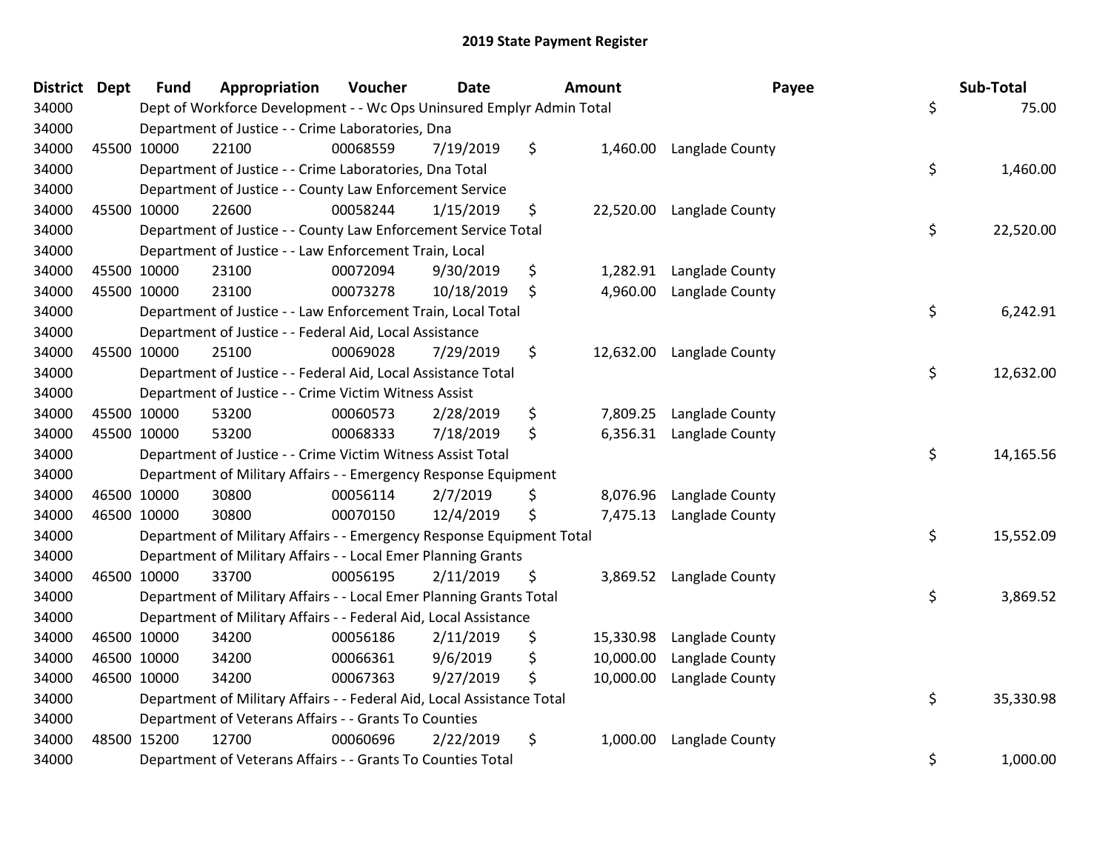| District Dept |             | <b>Fund</b> | Appropriation                                                          | Voucher  | <b>Date</b> |    | Amount    | Payee                    | Sub-Total       |
|---------------|-------------|-------------|------------------------------------------------------------------------|----------|-------------|----|-----------|--------------------------|-----------------|
| 34000         |             |             | Dept of Workforce Development - - Wc Ops Uninsured Emplyr Admin Total  |          |             |    |           |                          | \$<br>75.00     |
| 34000         |             |             | Department of Justice - - Crime Laboratories, Dna                      |          |             |    |           |                          |                 |
| 34000         |             | 45500 10000 | 22100                                                                  | 00068559 | 7/19/2019   | \$ |           | 1,460.00 Langlade County |                 |
| 34000         |             |             | Department of Justice - - Crime Laboratories, Dna Total                |          |             |    |           |                          | \$<br>1,460.00  |
| 34000         |             |             | Department of Justice - - County Law Enforcement Service               |          |             |    |           |                          |                 |
| 34000         |             | 45500 10000 | 22600                                                                  | 00058244 | 1/15/2019   | \$ | 22,520.00 | Langlade County          |                 |
| 34000         |             |             | Department of Justice - - County Law Enforcement Service Total         |          |             |    |           |                          | \$<br>22,520.00 |
| 34000         |             |             | Department of Justice - - Law Enforcement Train, Local                 |          |             |    |           |                          |                 |
| 34000         | 45500 10000 |             | 23100                                                                  | 00072094 | 9/30/2019   | \$ | 1,282.91  | Langlade County          |                 |
| 34000         | 45500 10000 |             | 23100                                                                  | 00073278 | 10/18/2019  | \$ | 4,960.00  | Langlade County          |                 |
| 34000         |             |             | Department of Justice - - Law Enforcement Train, Local Total           |          |             |    |           |                          | \$<br>6,242.91  |
| 34000         |             |             | Department of Justice - - Federal Aid, Local Assistance                |          |             |    |           |                          |                 |
| 34000         |             | 45500 10000 | 25100                                                                  | 00069028 | 7/29/2019   | \$ | 12,632.00 | Langlade County          |                 |
| 34000         |             |             | Department of Justice - - Federal Aid, Local Assistance Total          |          |             |    |           |                          | \$<br>12,632.00 |
| 34000         |             |             | Department of Justice - - Crime Victim Witness Assist                  |          |             |    |           |                          |                 |
| 34000         |             | 45500 10000 | 53200                                                                  | 00060573 | 2/28/2019   | \$ | 7,809.25  | Langlade County          |                 |
| 34000         | 45500 10000 |             | 53200                                                                  | 00068333 | 7/18/2019   | \$ | 6,356.31  | Langlade County          |                 |
| 34000         |             |             | Department of Justice - - Crime Victim Witness Assist Total            |          |             |    |           |                          | \$<br>14,165.56 |
| 34000         |             |             | Department of Military Affairs - - Emergency Response Equipment        |          |             |    |           |                          |                 |
| 34000         |             | 46500 10000 | 30800                                                                  | 00056114 | 2/7/2019    | S  | 8,076.96  | Langlade County          |                 |
| 34000         |             | 46500 10000 | 30800                                                                  | 00070150 | 12/4/2019   | \$ | 7,475.13  | Langlade County          |                 |
| 34000         |             |             | Department of Military Affairs - - Emergency Response Equipment Total  |          |             |    |           |                          | \$<br>15,552.09 |
| 34000         |             |             | Department of Military Affairs - - Local Emer Planning Grants          |          |             |    |           |                          |                 |
| 34000         | 46500 10000 |             | 33700                                                                  | 00056195 | 2/11/2019   | \$ | 3,869.52  | Langlade County          |                 |
| 34000         |             |             | Department of Military Affairs - - Local Emer Planning Grants Total    |          |             |    |           |                          | \$<br>3,869.52  |
| 34000         |             |             | Department of Military Affairs - - Federal Aid, Local Assistance       |          |             |    |           |                          |                 |
| 34000         | 46500 10000 |             | 34200                                                                  | 00056186 | 2/11/2019   | \$ | 15,330.98 | Langlade County          |                 |
| 34000         | 46500 10000 |             | 34200                                                                  | 00066361 | 9/6/2019    | \$ | 10,000.00 | Langlade County          |                 |
| 34000         | 46500 10000 |             | 34200                                                                  | 00067363 | 9/27/2019   | \$ | 10,000.00 | Langlade County          |                 |
| 34000         |             |             | Department of Military Affairs - - Federal Aid, Local Assistance Total |          |             |    |           |                          | \$<br>35,330.98 |
| 34000         |             |             | Department of Veterans Affairs - - Grants To Counties                  |          |             |    |           |                          |                 |
| 34000         | 48500 15200 |             | 12700                                                                  | 00060696 | 2/22/2019   | \$ | 1,000.00  | Langlade County          |                 |
| 34000         |             |             | Department of Veterans Affairs - - Grants To Counties Total            |          |             |    |           |                          | \$<br>1,000.00  |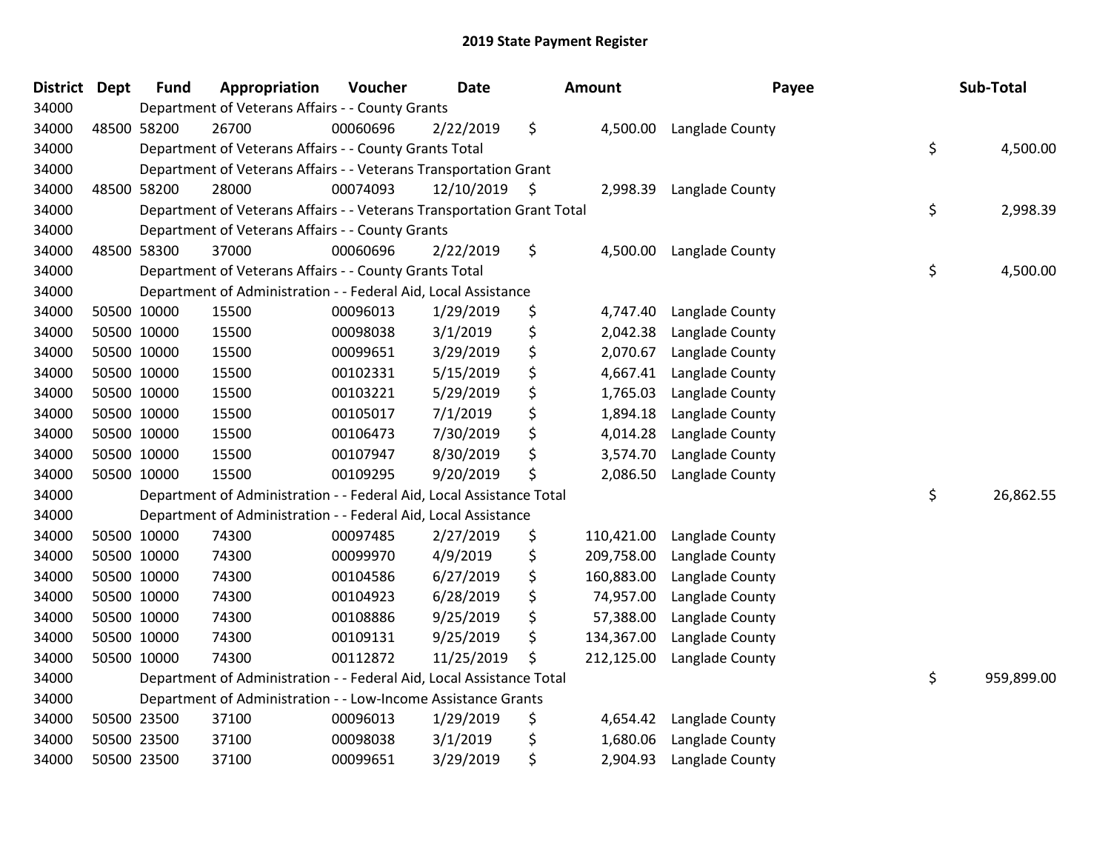| <b>District Dept</b> | <b>Fund</b> | Appropriation                                                          | Voucher  | <b>Date</b> |    | Amount     | Payee           | Sub-Total        |
|----------------------|-------------|------------------------------------------------------------------------|----------|-------------|----|------------|-----------------|------------------|
| 34000                |             | Department of Veterans Affairs - - County Grants                       |          |             |    |            |                 |                  |
| 34000                | 48500 58200 | 26700                                                                  | 00060696 | 2/22/2019   | \$ | 4,500.00   | Langlade County |                  |
| 34000                |             | Department of Veterans Affairs - - County Grants Total                 |          |             |    |            |                 | \$<br>4,500.00   |
| 34000                |             | Department of Veterans Affairs - - Veterans Transportation Grant       |          |             |    |            |                 |                  |
| 34000                | 48500 58200 | 28000                                                                  | 00074093 | 12/10/2019  | -Ş | 2,998.39   | Langlade County |                  |
| 34000                |             | Department of Veterans Affairs - - Veterans Transportation Grant Total |          |             |    |            |                 | \$<br>2,998.39   |
| 34000                |             | Department of Veterans Affairs - - County Grants                       |          |             |    |            |                 |                  |
| 34000                | 48500 58300 | 37000                                                                  | 00060696 | 2/22/2019   | \$ | 4,500.00   | Langlade County |                  |
| 34000                |             | Department of Veterans Affairs - - County Grants Total                 |          |             |    |            |                 | \$<br>4,500.00   |
| 34000                |             | Department of Administration - - Federal Aid, Local Assistance         |          |             |    |            |                 |                  |
| 34000                | 50500 10000 | 15500                                                                  | 00096013 | 1/29/2019   | \$ | 4,747.40   | Langlade County |                  |
| 34000                | 50500 10000 | 15500                                                                  | 00098038 | 3/1/2019    | \$ | 2,042.38   | Langlade County |                  |
| 34000                | 50500 10000 | 15500                                                                  | 00099651 | 3/29/2019   | \$ | 2,070.67   | Langlade County |                  |
| 34000                | 50500 10000 | 15500                                                                  | 00102331 | 5/15/2019   | \$ | 4,667.41   | Langlade County |                  |
| 34000                | 50500 10000 | 15500                                                                  | 00103221 | 5/29/2019   | \$ | 1,765.03   | Langlade County |                  |
| 34000                | 50500 10000 | 15500                                                                  | 00105017 | 7/1/2019    | \$ | 1,894.18   | Langlade County |                  |
| 34000                | 50500 10000 | 15500                                                                  | 00106473 | 7/30/2019   | \$ | 4,014.28   | Langlade County |                  |
| 34000                | 50500 10000 | 15500                                                                  | 00107947 | 8/30/2019   | \$ | 3,574.70   | Langlade County |                  |
| 34000                | 50500 10000 | 15500                                                                  | 00109295 | 9/20/2019   | \$ | 2,086.50   | Langlade County |                  |
| 34000                |             | Department of Administration - - Federal Aid, Local Assistance Total   |          |             |    |            |                 | \$<br>26,862.55  |
| 34000                |             | Department of Administration - - Federal Aid, Local Assistance         |          |             |    |            |                 |                  |
| 34000                | 50500 10000 | 74300                                                                  | 00097485 | 2/27/2019   | \$ | 110,421.00 | Langlade County |                  |
| 34000                | 50500 10000 | 74300                                                                  | 00099970 | 4/9/2019    | \$ | 209,758.00 | Langlade County |                  |
| 34000                | 50500 10000 | 74300                                                                  | 00104586 | 6/27/2019   | \$ | 160,883.00 | Langlade County |                  |
| 34000                | 50500 10000 | 74300                                                                  | 00104923 | 6/28/2019   | \$ | 74,957.00  | Langlade County |                  |
| 34000                | 50500 10000 | 74300                                                                  | 00108886 | 9/25/2019   | \$ | 57,388.00  | Langlade County |                  |
| 34000                | 50500 10000 | 74300                                                                  | 00109131 | 9/25/2019   | \$ | 134,367.00 | Langlade County |                  |
| 34000                | 50500 10000 | 74300                                                                  | 00112872 | 11/25/2019  | \$ | 212,125.00 | Langlade County |                  |
| 34000                |             | Department of Administration - - Federal Aid, Local Assistance Total   |          |             |    |            |                 | \$<br>959,899.00 |
| 34000                |             | Department of Administration - - Low-Income Assistance Grants          |          |             |    |            |                 |                  |
| 34000                | 50500 23500 | 37100                                                                  | 00096013 | 1/29/2019   | \$ | 4,654.42   | Langlade County |                  |
| 34000                | 50500 23500 | 37100                                                                  | 00098038 | 3/1/2019    | \$ | 1,680.06   | Langlade County |                  |
| 34000                | 50500 23500 | 37100                                                                  | 00099651 | 3/29/2019   | \$ | 2,904.93   | Langlade County |                  |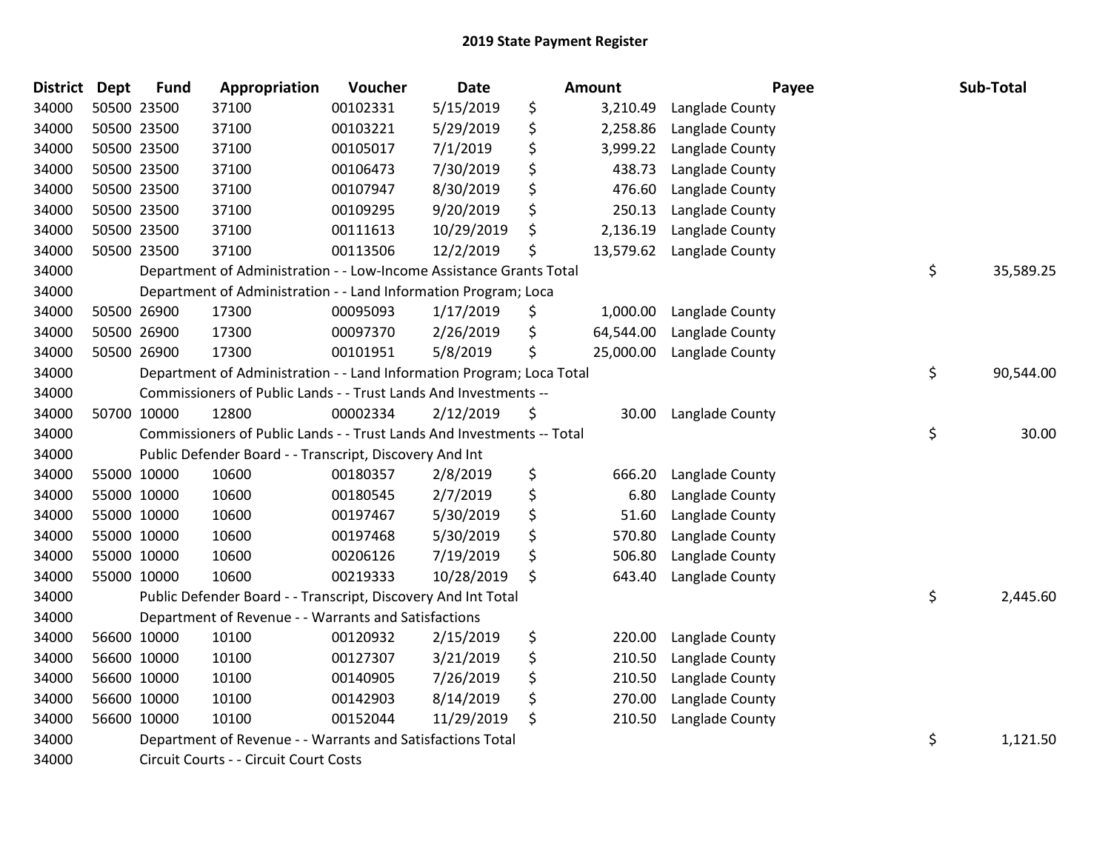| <b>District</b> | <b>Dept</b> | Fund        | Appropriation                                                          | Voucher  | <b>Date</b> | <b>Amount</b>   | Payee           | Sub-Total       |
|-----------------|-------------|-------------|------------------------------------------------------------------------|----------|-------------|-----------------|-----------------|-----------------|
| 34000           |             | 50500 23500 | 37100                                                                  | 00102331 | 5/15/2019   | \$<br>3,210.49  | Langlade County |                 |
| 34000           |             | 50500 23500 | 37100                                                                  | 00103221 | 5/29/2019   | \$<br>2,258.86  | Langlade County |                 |
| 34000           |             | 50500 23500 | 37100                                                                  | 00105017 | 7/1/2019    | \$<br>3,999.22  | Langlade County |                 |
| 34000           |             | 50500 23500 | 37100                                                                  | 00106473 | 7/30/2019   | \$<br>438.73    | Langlade County |                 |
| 34000           |             | 50500 23500 | 37100                                                                  | 00107947 | 8/30/2019   | \$<br>476.60    | Langlade County |                 |
| 34000           |             | 50500 23500 | 37100                                                                  | 00109295 | 9/20/2019   | \$<br>250.13    | Langlade County |                 |
| 34000           |             | 50500 23500 | 37100                                                                  | 00111613 | 10/29/2019  | \$<br>2,136.19  | Langlade County |                 |
| 34000           |             | 50500 23500 | 37100                                                                  | 00113506 | 12/2/2019   | \$<br>13,579.62 | Langlade County |                 |
| 34000           |             |             | Department of Administration - - Low-Income Assistance Grants Total    |          |             |                 |                 | \$<br>35,589.25 |
| 34000           |             |             | Department of Administration - - Land Information Program; Loca        |          |             |                 |                 |                 |
| 34000           |             | 50500 26900 | 17300                                                                  | 00095093 | 1/17/2019   | \$<br>1,000.00  | Langlade County |                 |
| 34000           |             | 50500 26900 | 17300                                                                  | 00097370 | 2/26/2019   | \$<br>64,544.00 | Langlade County |                 |
| 34000           |             | 50500 26900 | 17300                                                                  | 00101951 | 5/8/2019    | \$<br>25,000.00 | Langlade County |                 |
| 34000           |             |             | Department of Administration - - Land Information Program; Loca Total  |          |             |                 |                 | \$<br>90,544.00 |
| 34000           |             |             | Commissioners of Public Lands - - Trust Lands And Investments --       |          |             |                 |                 |                 |
| 34000           |             | 50700 10000 | 12800                                                                  | 00002334 | 2/12/2019   | \$<br>30.00     | Langlade County |                 |
| 34000           |             |             | Commissioners of Public Lands - - Trust Lands And Investments -- Total |          |             |                 |                 | \$<br>30.00     |
| 34000           |             |             | Public Defender Board - - Transcript, Discovery And Int                |          |             |                 |                 |                 |
| 34000           |             | 55000 10000 | 10600                                                                  | 00180357 | 2/8/2019    | \$<br>666.20    | Langlade County |                 |
| 34000           |             | 55000 10000 | 10600                                                                  | 00180545 | 2/7/2019    | \$<br>6.80      | Langlade County |                 |
| 34000           |             | 55000 10000 | 10600                                                                  | 00197467 | 5/30/2019   | \$<br>51.60     | Langlade County |                 |
| 34000           |             | 55000 10000 | 10600                                                                  | 00197468 | 5/30/2019   | \$<br>570.80    | Langlade County |                 |
| 34000           |             | 55000 10000 | 10600                                                                  | 00206126 | 7/19/2019   | \$<br>506.80    | Langlade County |                 |
| 34000           |             | 55000 10000 | 10600                                                                  | 00219333 | 10/28/2019  | \$<br>643.40    | Langlade County |                 |
| 34000           |             |             | Public Defender Board - - Transcript, Discovery And Int Total          |          |             |                 |                 | \$<br>2,445.60  |
| 34000           |             |             | Department of Revenue - - Warrants and Satisfactions                   |          |             |                 |                 |                 |
| 34000           |             | 56600 10000 | 10100                                                                  | 00120932 | 2/15/2019   | \$<br>220.00    | Langlade County |                 |
| 34000           |             | 56600 10000 | 10100                                                                  | 00127307 | 3/21/2019   | \$<br>210.50    | Langlade County |                 |
| 34000           |             | 56600 10000 | 10100                                                                  | 00140905 | 7/26/2019   | \$<br>210.50    | Langlade County |                 |
| 34000           |             | 56600 10000 | 10100                                                                  | 00142903 | 8/14/2019   | \$<br>270.00    | Langlade County |                 |
| 34000           |             | 56600 10000 | 10100                                                                  | 00152044 | 11/29/2019  | \$<br>210.50    | Langlade County |                 |
| 34000           |             |             | Department of Revenue - - Warrants and Satisfactions Total             |          |             |                 |                 | \$<br>1,121.50  |
| 34000           |             |             | Circuit Courts - - Circuit Court Costs                                 |          |             |                 |                 |                 |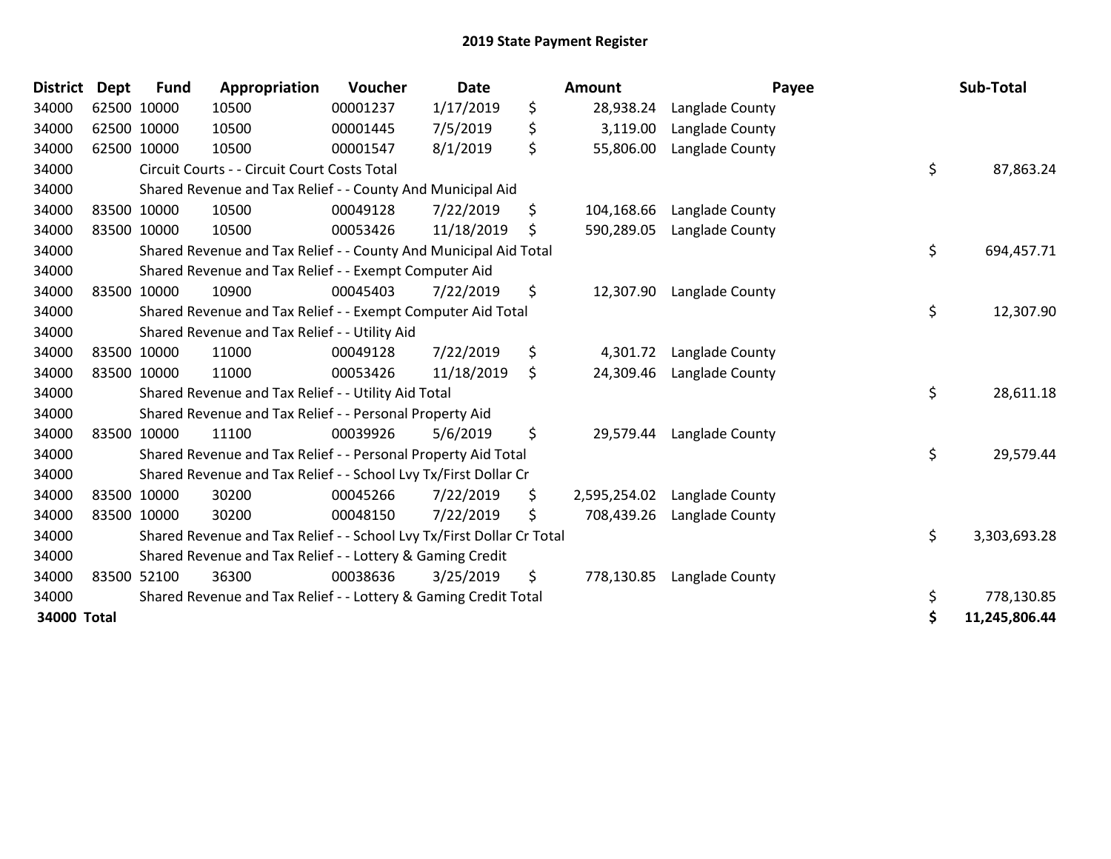| <b>District</b> | <b>Dept</b> | <b>Fund</b> | Appropriation                                                         | Voucher  | <b>Date</b> | Amount             |                 | Payee | Sub-Total     |
|-----------------|-------------|-------------|-----------------------------------------------------------------------|----------|-------------|--------------------|-----------------|-------|---------------|
| 34000           | 62500 10000 |             | 10500                                                                 | 00001237 | 1/17/2019   | \$<br>28,938.24    | Langlade County |       |               |
| 34000           | 62500 10000 |             | 10500                                                                 | 00001445 | 7/5/2019    | \$<br>3,119.00     | Langlade County |       |               |
| 34000           | 62500 10000 |             | 10500                                                                 | 00001547 | 8/1/2019    | \$<br>55,806.00    | Langlade County |       |               |
| 34000           |             |             | Circuit Courts - - Circuit Court Costs Total                          |          |             |                    |                 | \$    | 87,863.24     |
| 34000           |             |             | Shared Revenue and Tax Relief - - County And Municipal Aid            |          |             |                    |                 |       |               |
| 34000           | 83500 10000 |             | 10500                                                                 | 00049128 | 7/22/2019   | \$<br>104,168.66   | Langlade County |       |               |
| 34000           | 83500 10000 |             | 10500                                                                 | 00053426 | 11/18/2019  | \$<br>590,289.05   | Langlade County |       |               |
| 34000           |             |             | Shared Revenue and Tax Relief - - County And Municipal Aid Total      |          |             |                    |                 | \$    | 694,457.71    |
| 34000           |             |             | Shared Revenue and Tax Relief - - Exempt Computer Aid                 |          |             |                    |                 |       |               |
| 34000           | 83500 10000 |             | 10900                                                                 | 00045403 | 7/22/2019   | \$<br>12,307.90    | Langlade County |       |               |
| 34000           |             |             | Shared Revenue and Tax Relief - - Exempt Computer Aid Total           |          |             |                    |                 | \$    | 12,307.90     |
| 34000           |             |             | Shared Revenue and Tax Relief - - Utility Aid                         |          |             |                    |                 |       |               |
| 34000           | 83500 10000 |             | 11000                                                                 | 00049128 | 7/22/2019   | \$<br>4,301.72     | Langlade County |       |               |
| 34000           | 83500 10000 |             | 11000                                                                 | 00053426 | 11/18/2019  | \$<br>24,309.46    | Langlade County |       |               |
| 34000           |             |             | Shared Revenue and Tax Relief - - Utility Aid Total                   |          |             |                    |                 | \$    | 28,611.18     |
| 34000           |             |             | Shared Revenue and Tax Relief - - Personal Property Aid               |          |             |                    |                 |       |               |
| 34000           | 83500 10000 |             | 11100                                                                 | 00039926 | 5/6/2019    | \$<br>29,579.44    | Langlade County |       |               |
| 34000           |             |             | Shared Revenue and Tax Relief - - Personal Property Aid Total         |          |             |                    |                 | \$    | 29,579.44     |
| 34000           |             |             | Shared Revenue and Tax Relief - - School Lvy Tx/First Dollar Cr       |          |             |                    |                 |       |               |
| 34000           | 83500 10000 |             | 30200                                                                 | 00045266 | 7/22/2019   | \$<br>2,595,254.02 | Langlade County |       |               |
| 34000           | 83500 10000 |             | 30200                                                                 | 00048150 | 7/22/2019   | \$<br>708,439.26   | Langlade County |       |               |
| 34000           |             |             | Shared Revenue and Tax Relief - - School Lvy Tx/First Dollar Cr Total |          |             |                    |                 | \$    | 3,303,693.28  |
| 34000           |             |             | Shared Revenue and Tax Relief - - Lottery & Gaming Credit             |          |             |                    |                 |       |               |
| 34000           | 83500 52100 |             | 36300                                                                 | 00038636 | 3/25/2019   | \$<br>778,130.85   | Langlade County |       |               |
| 34000           |             |             | Shared Revenue and Tax Relief - - Lottery & Gaming Credit Total       |          |             |                    |                 | \$    | 778,130.85    |
| 34000 Total     |             |             |                                                                       |          |             |                    |                 | \$    | 11,245,806.44 |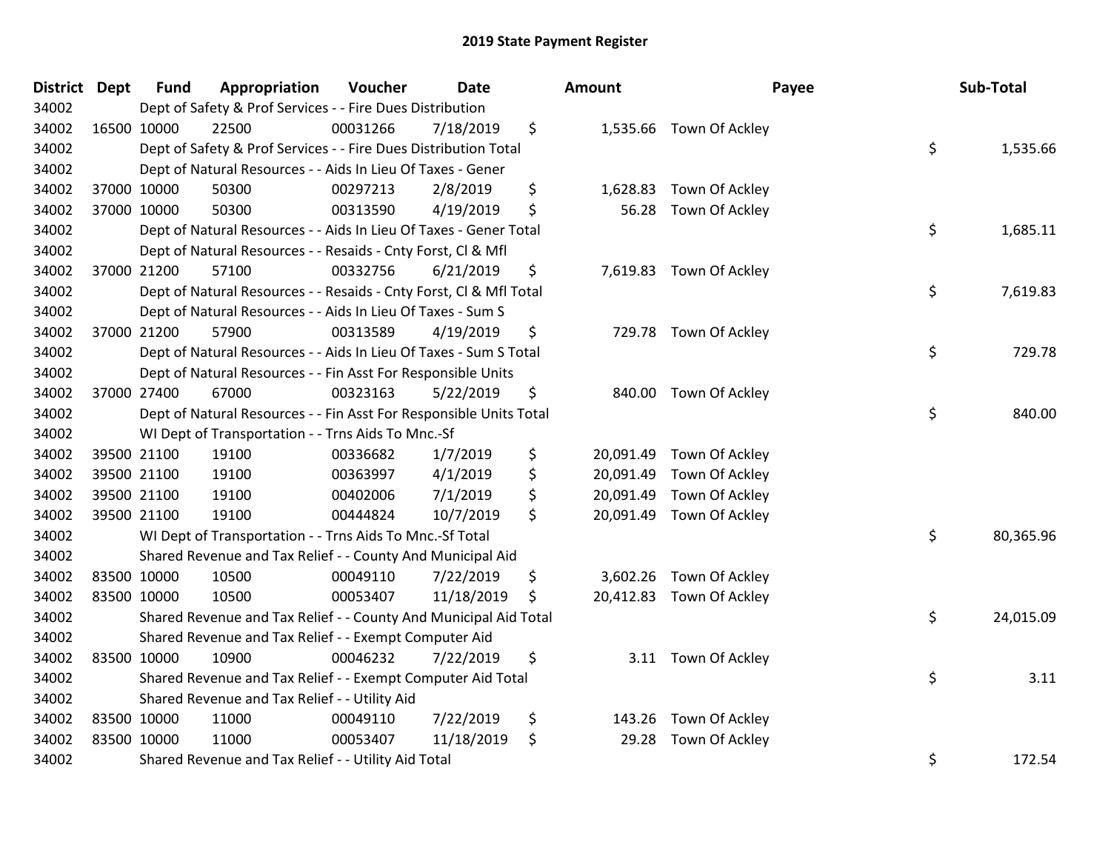| District Dept |             | <b>Fund</b> | Appropriation                                                      | Voucher  | <b>Date</b> | Amount          | Payee                    | Sub-Total       |
|---------------|-------------|-------------|--------------------------------------------------------------------|----------|-------------|-----------------|--------------------------|-----------------|
| 34002         |             |             | Dept of Safety & Prof Services - - Fire Dues Distribution          |          |             |                 |                          |                 |
| 34002         | 16500 10000 |             | 22500                                                              | 00031266 | 7/18/2019   | \$              | 1,535.66 Town Of Ackley  |                 |
| 34002         |             |             | Dept of Safety & Prof Services - - Fire Dues Distribution Total    |          |             |                 |                          | \$<br>1,535.66  |
| 34002         |             |             | Dept of Natural Resources - - Aids In Lieu Of Taxes - Gener        |          |             |                 |                          |                 |
| 34002         | 37000 10000 |             | 50300                                                              | 00297213 | 2/8/2019    | \$<br>1,628.83  | Town Of Ackley           |                 |
| 34002         | 37000 10000 |             | 50300                                                              | 00313590 | 4/19/2019   | \$<br>56.28     | Town Of Ackley           |                 |
| 34002         |             |             | Dept of Natural Resources - - Aids In Lieu Of Taxes - Gener Total  |          |             |                 |                          | \$<br>1,685.11  |
| 34002         |             |             | Dept of Natural Resources - - Resaids - Cnty Forst, Cl & Mfl       |          |             |                 |                          |                 |
| 34002         | 37000 21200 |             | 57100                                                              | 00332756 | 6/21/2019   | \$              | 7,619.83 Town Of Ackley  |                 |
| 34002         |             |             | Dept of Natural Resources - - Resaids - Cnty Forst, Cl & Mfl Total |          |             |                 |                          | \$<br>7,619.83  |
| 34002         |             |             | Dept of Natural Resources - - Aids In Lieu Of Taxes - Sum S        |          |             |                 |                          |                 |
| 34002         | 37000 21200 |             | 57900                                                              | 00313589 | 4/19/2019   | \$              | 729.78 Town Of Ackley    |                 |
| 34002         |             |             | Dept of Natural Resources - - Aids In Lieu Of Taxes - Sum S Total  |          |             |                 |                          | \$<br>729.78    |
| 34002         |             |             | Dept of Natural Resources - - Fin Asst For Responsible Units       |          |             |                 |                          |                 |
| 34002         | 37000 27400 |             | 67000                                                              | 00323163 | 5/22/2019   | \$              | 840.00 Town Of Ackley    |                 |
| 34002         |             |             | Dept of Natural Resources - - Fin Asst For Responsible Units Total |          |             |                 |                          | \$<br>840.00    |
| 34002         |             |             | WI Dept of Transportation - - Trns Aids To Mnc.-Sf                 |          |             |                 |                          |                 |
| 34002         | 39500 21100 |             | 19100                                                              | 00336682 | 1/7/2019    | \$<br>20,091.49 | Town Of Ackley           |                 |
| 34002         | 39500 21100 |             | 19100                                                              | 00363997 | 4/1/2019    | \$<br>20,091.49 | Town Of Ackley           |                 |
| 34002         | 39500 21100 |             | 19100                                                              | 00402006 | 7/1/2019    | \$<br>20,091.49 | Town Of Ackley           |                 |
| 34002         | 39500 21100 |             | 19100                                                              | 00444824 | 10/7/2019   | \$              | 20,091.49 Town Of Ackley |                 |
| 34002         |             |             | WI Dept of Transportation - - Trns Aids To Mnc.-Sf Total           |          |             |                 |                          | \$<br>80,365.96 |
| 34002         |             |             | Shared Revenue and Tax Relief - - County And Municipal Aid         |          |             |                 |                          |                 |
| 34002         | 83500 10000 |             | 10500                                                              | 00049110 | 7/22/2019   | \$              | 3,602.26 Town Of Ackley  |                 |
| 34002         | 83500 10000 |             | 10500                                                              | 00053407 | 11/18/2019  | \$              | 20,412.83 Town Of Ackley |                 |
| 34002         |             |             | Shared Revenue and Tax Relief - - County And Municipal Aid Total   |          |             |                 |                          | \$<br>24,015.09 |
| 34002         |             |             | Shared Revenue and Tax Relief - - Exempt Computer Aid              |          |             |                 |                          |                 |
| 34002         | 83500 10000 |             | 10900                                                              | 00046232 | 7/22/2019   | \$              | 3.11 Town Of Ackley      |                 |
| 34002         |             |             | Shared Revenue and Tax Relief - - Exempt Computer Aid Total        |          |             |                 |                          | \$<br>3.11      |
| 34002         |             |             | Shared Revenue and Tax Relief - - Utility Aid                      |          |             |                 |                          |                 |
| 34002         | 83500 10000 |             | 11000                                                              | 00049110 | 7/22/2019   | \$<br>143.26    | Town Of Ackley           |                 |
| 34002         | 83500 10000 |             | 11000                                                              | 00053407 | 11/18/2019  | \$<br>29.28     | Town Of Ackley           |                 |
| 34002         |             |             | Shared Revenue and Tax Relief - - Utility Aid Total                |          |             |                 |                          | \$<br>172.54    |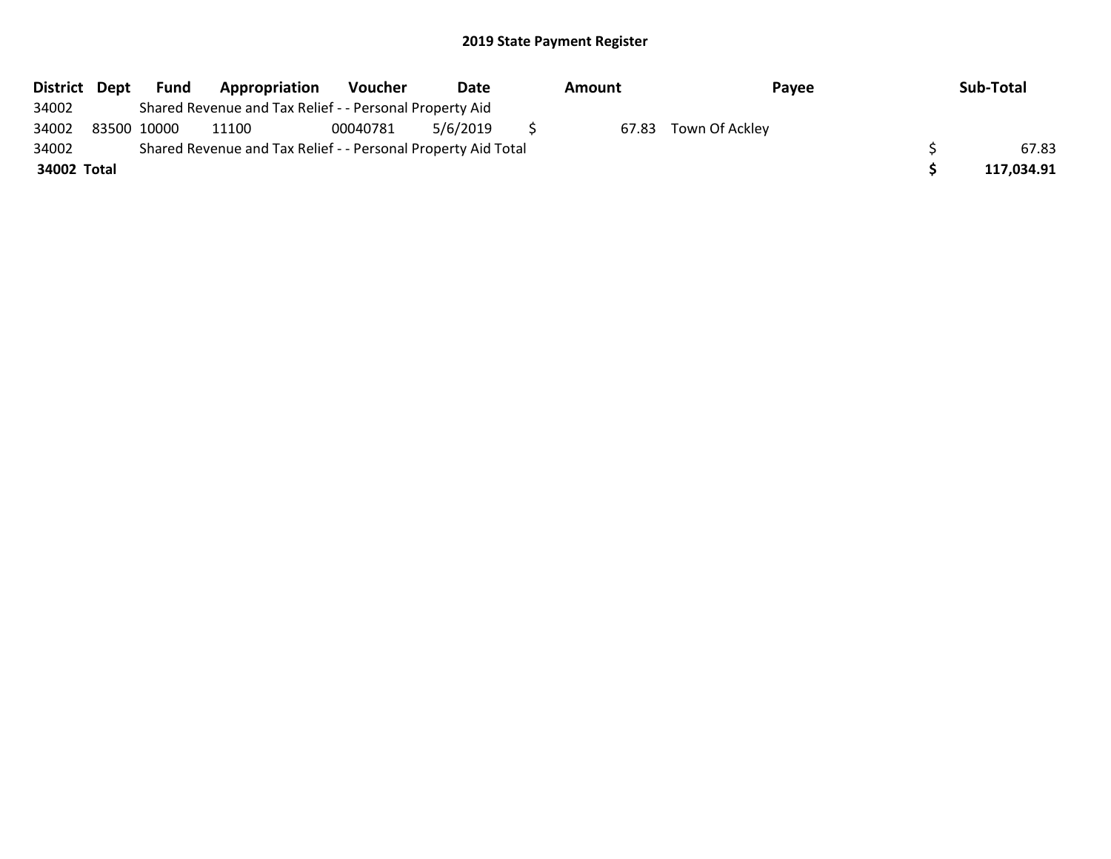| District Dept | Fund        | Appropriation                                                 | <b>Voucher</b> | Date     | Amount | Payee          | Sub-Total  |
|---------------|-------------|---------------------------------------------------------------|----------------|----------|--------|----------------|------------|
| 34002         |             | Shared Revenue and Tax Relief - - Personal Property Aid       |                |          |        |                |            |
| 34002         | 83500 10000 | 11100                                                         | 00040781       | 5/6/2019 | 67.83  | Town Of Ackley |            |
| 34002         |             | Shared Revenue and Tax Relief - - Personal Property Aid Total |                |          |        |                | 67.83      |
| 34002 Total   |             |                                                               |                |          |        |                | 117,034.91 |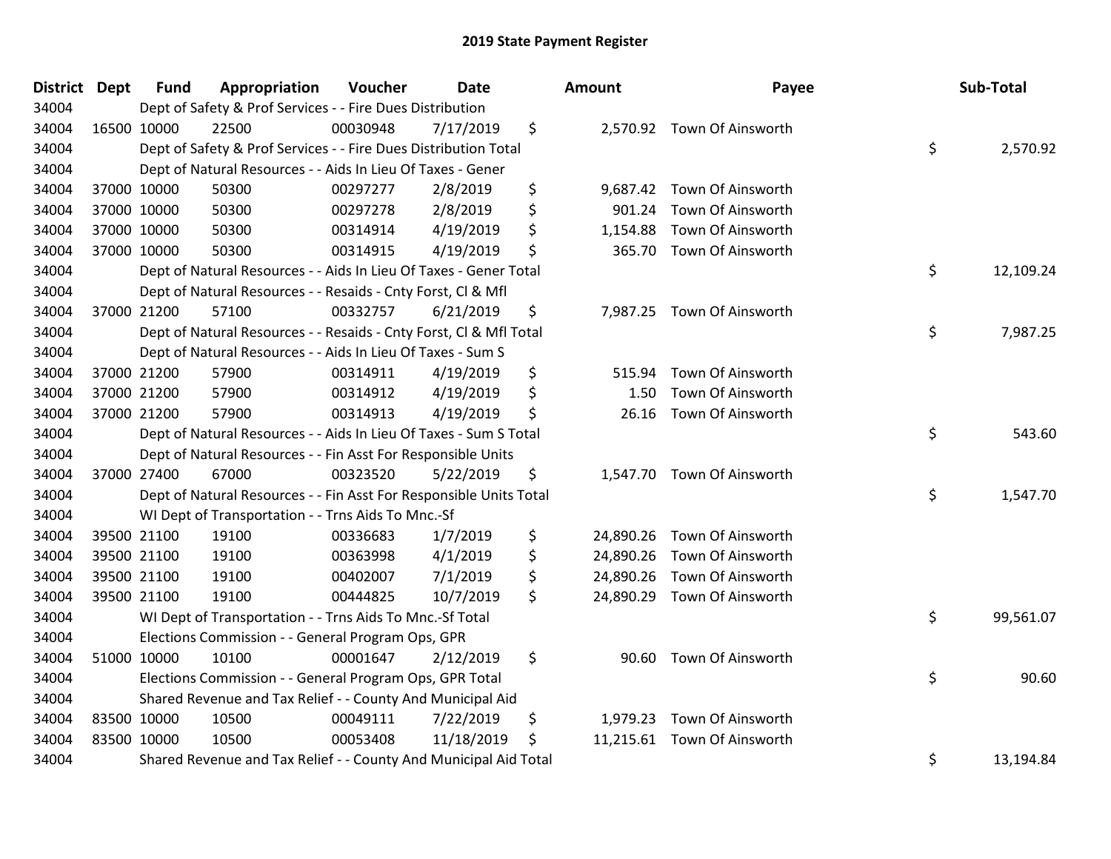| <b>District Dept</b> | <b>Fund</b> | Appropriation                                                      | Voucher  | <b>Date</b> | Amount          | Payee                       | Sub-Total       |
|----------------------|-------------|--------------------------------------------------------------------|----------|-------------|-----------------|-----------------------------|-----------------|
| 34004                |             | Dept of Safety & Prof Services - - Fire Dues Distribution          |          |             |                 |                             |                 |
| 34004                | 16500 10000 | 22500                                                              | 00030948 | 7/17/2019   | \$              | 2,570.92 Town Of Ainsworth  |                 |
| 34004                |             | Dept of Safety & Prof Services - - Fire Dues Distribution Total    |          |             |                 |                             | \$<br>2,570.92  |
| 34004                |             | Dept of Natural Resources - - Aids In Lieu Of Taxes - Gener        |          |             |                 |                             |                 |
| 34004                | 37000 10000 | 50300                                                              | 00297277 | 2/8/2019    | \$<br>9,687.42  | Town Of Ainsworth           |                 |
| 34004                | 37000 10000 | 50300                                                              | 00297278 | 2/8/2019    | \$<br>901.24    | Town Of Ainsworth           |                 |
| 34004                | 37000 10000 | 50300                                                              | 00314914 | 4/19/2019   | \$<br>1,154.88  | Town Of Ainsworth           |                 |
| 34004                | 37000 10000 | 50300                                                              | 00314915 | 4/19/2019   | \$<br>365.70    | Town Of Ainsworth           |                 |
| 34004                |             | Dept of Natural Resources - - Aids In Lieu Of Taxes - Gener Total  |          |             |                 |                             | \$<br>12,109.24 |
| 34004                |             | Dept of Natural Resources - - Resaids - Cnty Forst, Cl & Mfl       |          |             |                 |                             |                 |
| 34004                | 37000 21200 | 57100                                                              | 00332757 | 6/21/2019   | \$              | 7,987.25 Town Of Ainsworth  |                 |
| 34004                |             | Dept of Natural Resources - - Resaids - Cnty Forst, Cl & Mfl Total |          |             |                 |                             | \$<br>7,987.25  |
| 34004                |             | Dept of Natural Resources - - Aids In Lieu Of Taxes - Sum S        |          |             |                 |                             |                 |
| 34004                | 37000 21200 | 57900                                                              | 00314911 | 4/19/2019   | \$<br>515.94    | Town Of Ainsworth           |                 |
| 34004                | 37000 21200 | 57900                                                              | 00314912 | 4/19/2019   | \$<br>1.50      | Town Of Ainsworth           |                 |
| 34004                | 37000 21200 | 57900                                                              | 00314913 | 4/19/2019   | \$<br>26.16     | Town Of Ainsworth           |                 |
| 34004                |             | Dept of Natural Resources - - Aids In Lieu Of Taxes - Sum S Total  |          |             |                 |                             | \$<br>543.60    |
| 34004                |             | Dept of Natural Resources - - Fin Asst For Responsible Units       |          |             |                 |                             |                 |
| 34004                | 37000 27400 | 67000                                                              | 00323520 | 5/22/2019   | \$              | 1,547.70 Town Of Ainsworth  |                 |
| 34004                |             | Dept of Natural Resources - - Fin Asst For Responsible Units Total |          |             |                 |                             | \$<br>1,547.70  |
| 34004                |             | WI Dept of Transportation - - Trns Aids To Mnc.-Sf                 |          |             |                 |                             |                 |
| 34004                | 39500 21100 | 19100                                                              | 00336683 | 1/7/2019    | \$              | 24,890.26 Town Of Ainsworth |                 |
| 34004                | 39500 21100 | 19100                                                              | 00363998 | 4/1/2019    | \$<br>24,890.26 | Town Of Ainsworth           |                 |
| 34004                | 39500 21100 | 19100                                                              | 00402007 | 7/1/2019    | \$<br>24,890.26 | Town Of Ainsworth           |                 |
| 34004                | 39500 21100 | 19100                                                              | 00444825 | 10/7/2019   | \$<br>24,890.29 | Town Of Ainsworth           |                 |
| 34004                |             | WI Dept of Transportation - - Trns Aids To Mnc.-Sf Total           |          |             |                 |                             | \$<br>99,561.07 |
| 34004                |             | Elections Commission - - General Program Ops, GPR                  |          |             |                 |                             |                 |
| 34004                | 51000 10000 | 10100                                                              | 00001647 | 2/12/2019   | \$              | 90.60 Town Of Ainsworth     |                 |
| 34004                |             | Elections Commission - - General Program Ops, GPR Total            |          |             |                 |                             | \$<br>90.60     |
| 34004                |             | Shared Revenue and Tax Relief - - County And Municipal Aid         |          |             |                 |                             |                 |
| 34004                | 83500 10000 | 10500                                                              | 00049111 | 7/22/2019   | \$<br>1,979.23  | Town Of Ainsworth           |                 |
| 34004                | 83500 10000 | 10500                                                              | 00053408 | 11/18/2019  | \$<br>11,215.61 | Town Of Ainsworth           |                 |
| 34004                |             | Shared Revenue and Tax Relief - - County And Municipal Aid Total   |          |             |                 |                             | \$<br>13,194.84 |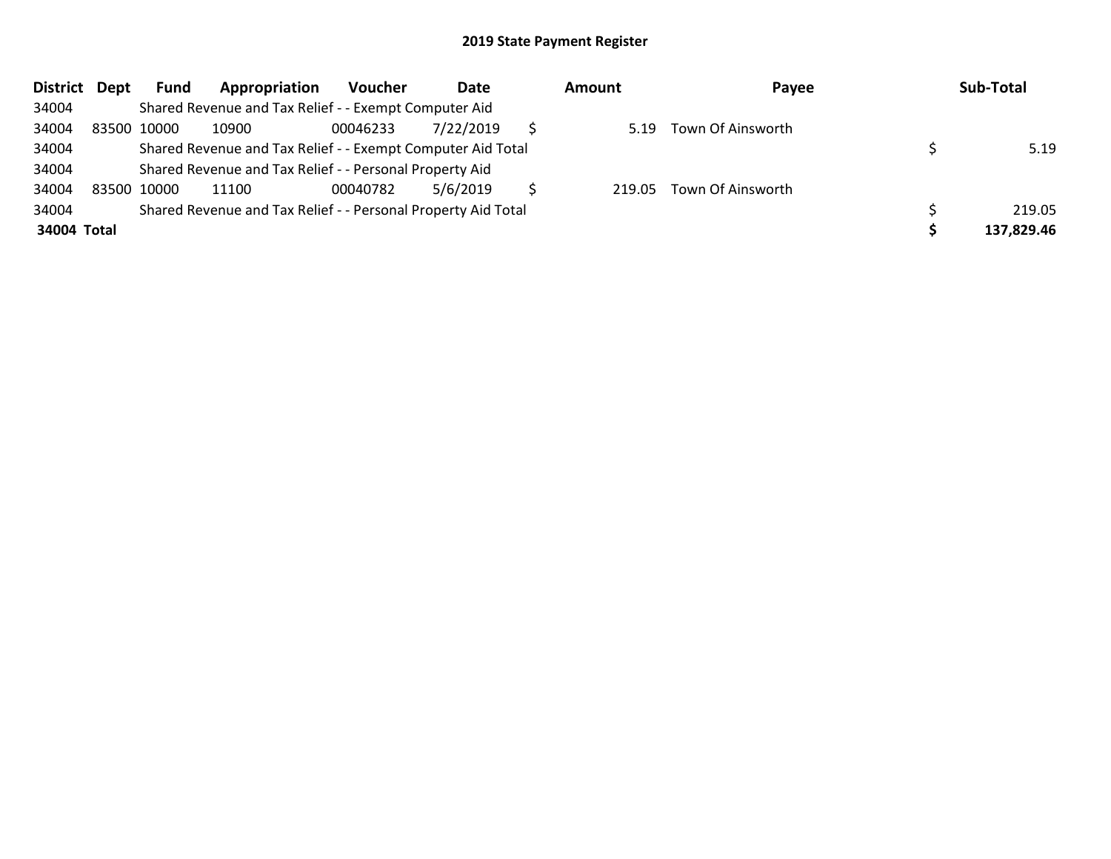| District Dept |             | Fund | Appropriation                                                 | <b>Voucher</b> | Date      | Amount | Payee             | Sub-Total  |
|---------------|-------------|------|---------------------------------------------------------------|----------------|-----------|--------|-------------------|------------|
| 34004         |             |      | Shared Revenue and Tax Relief - - Exempt Computer Aid         |                |           |        |                   |            |
| 34004         | 83500 10000 |      | 10900                                                         | 00046233       | 7/22/2019 | 5.19   | Town Of Ainsworth |            |
| 34004         |             |      | Shared Revenue and Tax Relief - - Exempt Computer Aid Total   |                |           |        |                   | 5.19       |
| 34004         |             |      | Shared Revenue and Tax Relief - - Personal Property Aid       |                |           |        |                   |            |
| 34004         | 83500 10000 |      | 11100                                                         | 00040782       | 5/6/2019  | 219.05 | Town Of Ainsworth |            |
| 34004         |             |      | Shared Revenue and Tax Relief - - Personal Property Aid Total |                |           |        |                   | 219.05     |
| 34004 Total   |             |      |                                                               |                |           |        |                   | 137,829.46 |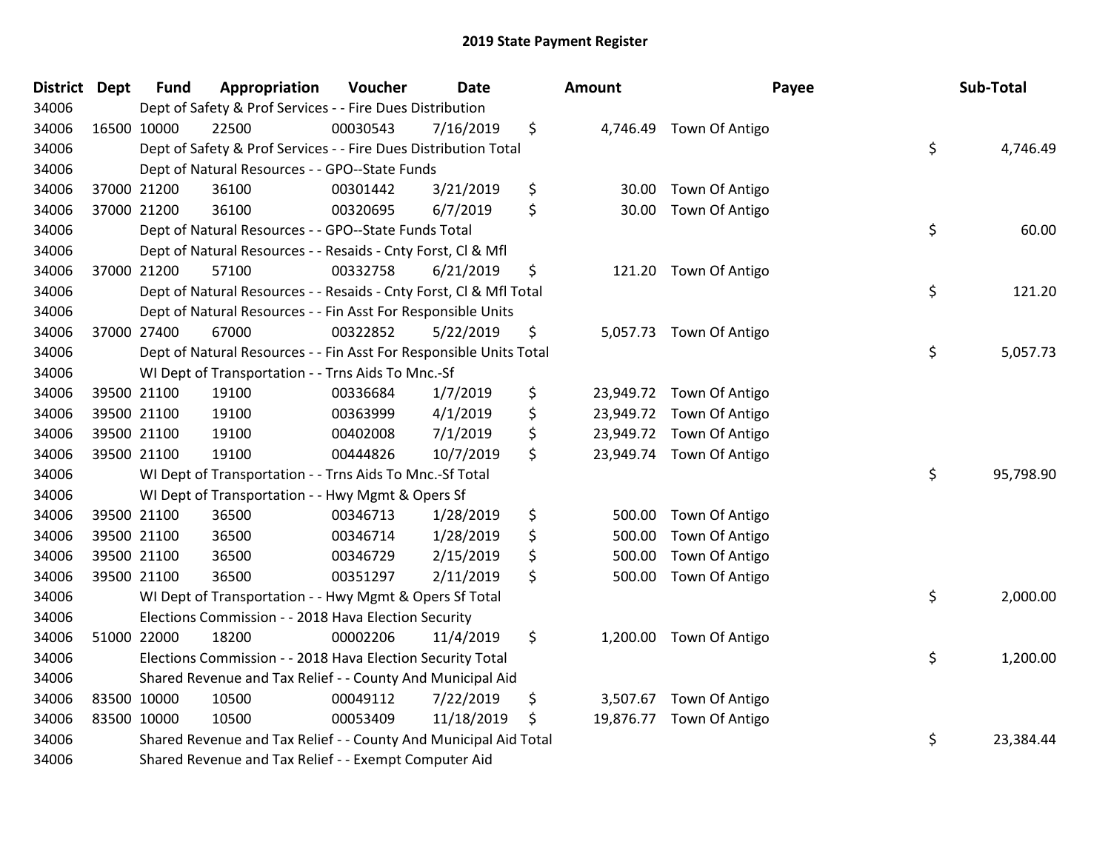| District Dept |             | <b>Fund</b> | Appropriation                                                      | Voucher  | Date       | Amount       |                          | Payee | Sub-Total |
|---------------|-------------|-------------|--------------------------------------------------------------------|----------|------------|--------------|--------------------------|-------|-----------|
| 34006         |             |             | Dept of Safety & Prof Services - - Fire Dues Distribution          |          |            |              |                          |       |           |
| 34006         | 16500 10000 |             | 22500                                                              | 00030543 | 7/16/2019  | \$           | 4,746.49 Town Of Antigo  |       |           |
| 34006         |             |             | Dept of Safety & Prof Services - - Fire Dues Distribution Total    |          |            |              |                          | \$    | 4,746.49  |
| 34006         |             |             | Dept of Natural Resources - - GPO--State Funds                     |          |            |              |                          |       |           |
| 34006         |             | 37000 21200 | 36100                                                              | 00301442 | 3/21/2019  | \$<br>30.00  | Town Of Antigo           |       |           |
| 34006         |             | 37000 21200 | 36100                                                              | 00320695 | 6/7/2019   | \$<br>30.00  | Town Of Antigo           |       |           |
| 34006         |             |             | Dept of Natural Resources - - GPO--State Funds Total               |          |            |              |                          | \$    | 60.00     |
| 34006         |             |             | Dept of Natural Resources - - Resaids - Cnty Forst, Cl & Mfl       |          |            |              |                          |       |           |
| 34006         |             | 37000 21200 | 57100                                                              | 00332758 | 6/21/2019  | \$           | 121.20 Town Of Antigo    |       |           |
| 34006         |             |             | Dept of Natural Resources - - Resaids - Cnty Forst, CI & Mfl Total |          |            |              |                          | \$    | 121.20    |
| 34006         |             |             | Dept of Natural Resources - - Fin Asst For Responsible Units       |          |            |              |                          |       |           |
| 34006         |             | 37000 27400 | 67000                                                              | 00322852 | 5/22/2019  | \$           | 5,057.73 Town Of Antigo  |       |           |
| 34006         |             |             | Dept of Natural Resources - - Fin Asst For Responsible Units Total |          |            |              |                          | \$    | 5,057.73  |
| 34006         |             |             | WI Dept of Transportation - - Trns Aids To Mnc.-Sf                 |          |            |              |                          |       |           |
| 34006         |             | 39500 21100 | 19100                                                              | 00336684 | 1/7/2019   | \$           | 23,949.72 Town Of Antigo |       |           |
| 34006         |             | 39500 21100 | 19100                                                              | 00363999 | 4/1/2019   | \$           | 23,949.72 Town Of Antigo |       |           |
| 34006         |             | 39500 21100 | 19100                                                              | 00402008 | 7/1/2019   | \$           | 23,949.72 Town Of Antigo |       |           |
| 34006         | 39500 21100 |             | 19100                                                              | 00444826 | 10/7/2019  | \$           | 23,949.74 Town Of Antigo |       |           |
| 34006         |             |             | WI Dept of Transportation - - Trns Aids To Mnc.-Sf Total           |          |            |              |                          | \$    | 95,798.90 |
| 34006         |             |             | WI Dept of Transportation - - Hwy Mgmt & Opers Sf                  |          |            |              |                          |       |           |
| 34006         |             | 39500 21100 | 36500                                                              | 00346713 | 1/28/2019  | \$<br>500.00 | Town Of Antigo           |       |           |
| 34006         |             | 39500 21100 | 36500                                                              | 00346714 | 1/28/2019  | \$<br>500.00 | Town Of Antigo           |       |           |
| 34006         | 39500 21100 |             | 36500                                                              | 00346729 | 2/15/2019  | \$<br>500.00 | Town Of Antigo           |       |           |
| 34006         |             | 39500 21100 | 36500                                                              | 00351297 | 2/11/2019  | \$<br>500.00 | Town Of Antigo           |       |           |
| 34006         |             |             | WI Dept of Transportation - - Hwy Mgmt & Opers Sf Total            |          |            |              |                          | \$    | 2,000.00  |
| 34006         |             |             | Elections Commission - - 2018 Hava Election Security               |          |            |              |                          |       |           |
| 34006         |             | 51000 22000 | 18200                                                              | 00002206 | 11/4/2019  | \$           | 1,200.00 Town Of Antigo  |       |           |
| 34006         |             |             | Elections Commission - - 2018 Hava Election Security Total         |          |            |              |                          | \$    | 1,200.00  |
| 34006         |             |             | Shared Revenue and Tax Relief - - County And Municipal Aid         |          |            |              |                          |       |           |
| 34006         | 83500 10000 |             | 10500                                                              | 00049112 | 7/22/2019  | \$           | 3,507.67 Town Of Antigo  |       |           |
| 34006         | 83500 10000 |             | 10500                                                              | 00053409 | 11/18/2019 | \$           | 19,876.77 Town Of Antigo |       |           |
| 34006         |             |             | Shared Revenue and Tax Relief - - County And Municipal Aid Total   |          |            |              |                          | \$    | 23,384.44 |
| 34006         |             |             | Shared Revenue and Tax Relief - - Exempt Computer Aid              |          |            |              |                          |       |           |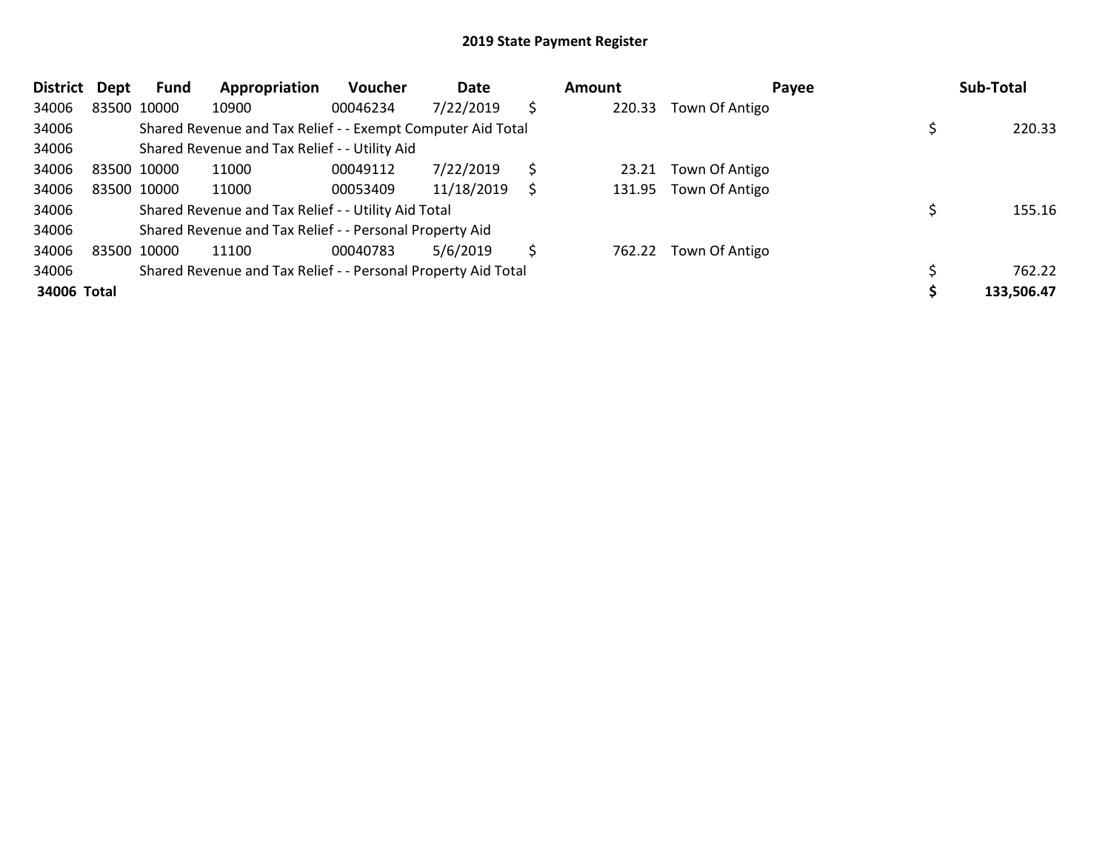| <b>District</b> | Dept        | <b>Fund</b> | Appropriation                                                 | Voucher  | Date       |    | <b>Amount</b> | Payee          | Sub-Total  |
|-----------------|-------------|-------------|---------------------------------------------------------------|----------|------------|----|---------------|----------------|------------|
| 34006           |             | 83500 10000 | 10900                                                         | 00046234 | 7/22/2019  | \$ | 220.33        | Town Of Antigo |            |
| 34006           |             |             | Shared Revenue and Tax Relief - - Exempt Computer Aid Total   |          |            |    |               |                | 220.33     |
| 34006           |             |             | Shared Revenue and Tax Relief - - Utility Aid                 |          |            |    |               |                |            |
| 34006           | 83500 10000 |             | 11000                                                         | 00049112 | 7/22/2019  | Ś  | 23.21         | Town Of Antigo |            |
| 34006           |             | 83500 10000 | 11000                                                         | 00053409 | 11/18/2019 |    | 131.95        | Town Of Antigo |            |
| 34006           |             |             | Shared Revenue and Tax Relief - - Utility Aid Total           |          |            |    |               |                | 155.16     |
| 34006           |             |             | Shared Revenue and Tax Relief - - Personal Property Aid       |          |            |    |               |                |            |
| 34006           | 83500 10000 |             | 11100                                                         | 00040783 | 5/6/2019   | \$ | 762.22        | Town Of Antigo |            |
| 34006           |             |             | Shared Revenue and Tax Relief - - Personal Property Aid Total |          |            |    |               |                | 762.22     |
| 34006 Total     |             |             |                                                               |          |            |    |               |                | 133,506.47 |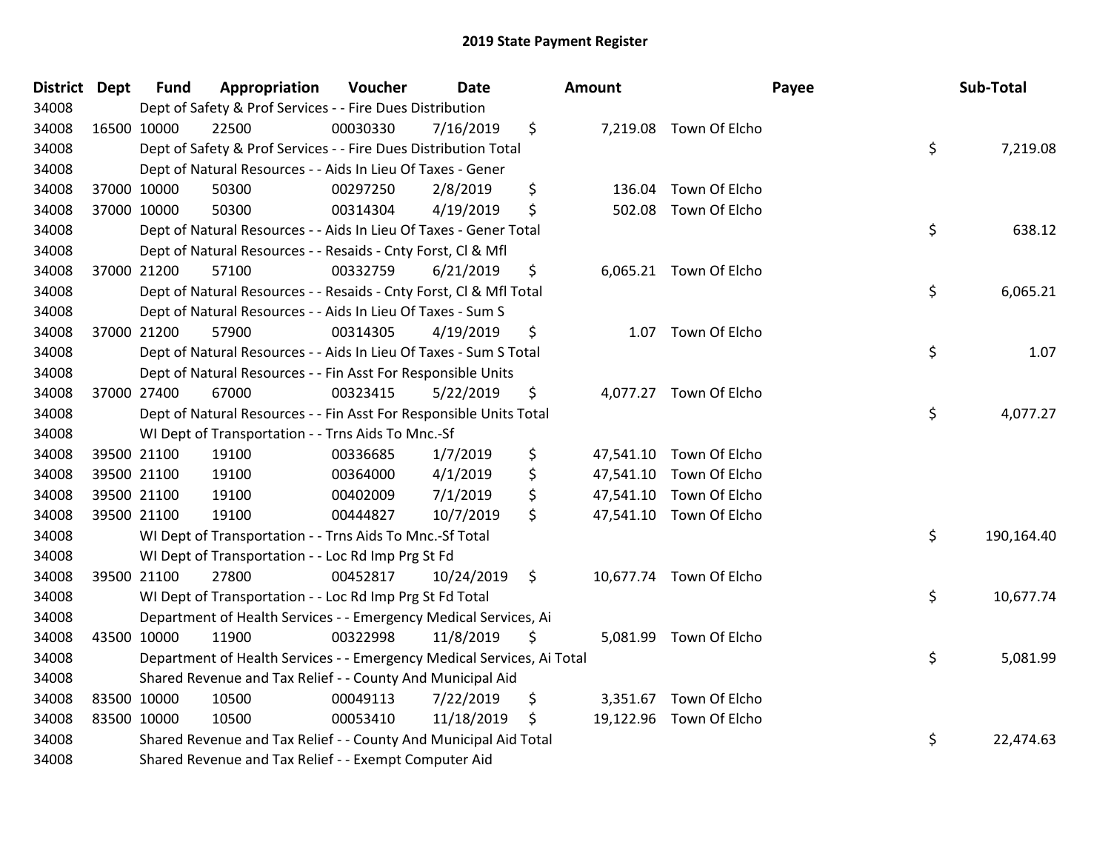| District Dept |             | <b>Fund</b> | Appropriation                                                          | Voucher  | <b>Date</b> |                | <b>Amount</b> |                         | Payee | Sub-Total  |
|---------------|-------------|-------------|------------------------------------------------------------------------|----------|-------------|----------------|---------------|-------------------------|-------|------------|
| 34008         |             |             | Dept of Safety & Prof Services - - Fire Dues Distribution              |          |             |                |               |                         |       |            |
| 34008         | 16500 10000 |             | 22500                                                                  | 00030330 | 7/16/2019   | \$             |               | 7,219.08 Town Of Elcho  |       |            |
| 34008         |             |             | Dept of Safety & Prof Services - - Fire Dues Distribution Total        |          |             |                |               |                         | \$    | 7,219.08   |
| 34008         |             |             | Dept of Natural Resources - - Aids In Lieu Of Taxes - Gener            |          |             |                |               |                         |       |            |
| 34008         |             | 37000 10000 | 50300                                                                  | 00297250 | 2/8/2019    | \$             | 136.04        | Town Of Elcho           |       |            |
| 34008         |             | 37000 10000 | 50300                                                                  | 00314304 | 4/19/2019   | \$             | 502.08        | Town Of Elcho           |       |            |
| 34008         |             |             | Dept of Natural Resources - - Aids In Lieu Of Taxes - Gener Total      |          |             |                |               |                         | \$    | 638.12     |
| 34008         |             |             | Dept of Natural Resources - - Resaids - Cnty Forst, Cl & Mfl           |          |             |                |               |                         |       |            |
| 34008         |             | 37000 21200 | 57100                                                                  | 00332759 | 6/21/2019   | \$             |               | 6,065.21 Town Of Elcho  |       |            |
| 34008         |             |             | Dept of Natural Resources - - Resaids - Cnty Forst, Cl & Mfl Total     |          |             |                |               |                         | \$    | 6,065.21   |
| 34008         |             |             | Dept of Natural Resources - - Aids In Lieu Of Taxes - Sum S            |          |             |                |               |                         |       |            |
| 34008         |             | 37000 21200 | 57900                                                                  | 00314305 | 4/19/2019   | \$             |               | 1.07 Town Of Elcho      |       |            |
| 34008         |             |             | Dept of Natural Resources - - Aids In Lieu Of Taxes - Sum S Total      |          |             |                |               |                         | \$    | 1.07       |
| 34008         |             |             | Dept of Natural Resources - - Fin Asst For Responsible Units           |          |             |                |               |                         |       |            |
| 34008         | 37000 27400 |             | 67000                                                                  | 00323415 | 5/22/2019   | \$             |               | 4,077.27 Town Of Elcho  |       |            |
| 34008         |             |             | Dept of Natural Resources - - Fin Asst For Responsible Units Total     |          |             |                |               |                         | \$    | 4,077.27   |
| 34008         |             |             | WI Dept of Transportation - - Trns Aids To Mnc.-Sf                     |          |             |                |               |                         |       |            |
| 34008         |             | 39500 21100 | 19100                                                                  | 00336685 | 1/7/2019    | \$             |               | 47,541.10 Town Of Elcho |       |            |
| 34008         |             | 39500 21100 | 19100                                                                  | 00364000 | 4/1/2019    | \$             |               | 47,541.10 Town Of Elcho |       |            |
| 34008         |             | 39500 21100 | 19100                                                                  | 00402009 | 7/1/2019    | \$             |               | 47,541.10 Town Of Elcho |       |            |
| 34008         |             | 39500 21100 | 19100                                                                  | 00444827 | 10/7/2019   | \$             |               | 47,541.10 Town Of Elcho |       |            |
| 34008         |             |             | WI Dept of Transportation - - Trns Aids To Mnc.-Sf Total               |          |             |                |               |                         | \$    | 190,164.40 |
| 34008         |             |             | WI Dept of Transportation - - Loc Rd Imp Prg St Fd                     |          |             |                |               |                         |       |            |
| 34008         | 39500 21100 |             | 27800                                                                  | 00452817 | 10/24/2019  | $\ddot{\zeta}$ |               | 10,677.74 Town Of Elcho |       |            |
| 34008         |             |             | WI Dept of Transportation - - Loc Rd Imp Prg St Fd Total               |          |             |                |               |                         | \$    | 10,677.74  |
| 34008         |             |             | Department of Health Services - - Emergency Medical Services, Ai       |          |             |                |               |                         |       |            |
| 34008         |             | 43500 10000 | 11900                                                                  | 00322998 | 11/8/2019   | \$             |               | 5,081.99 Town Of Elcho  |       |            |
| 34008         |             |             | Department of Health Services - - Emergency Medical Services, Ai Total |          |             |                |               |                         | \$    | 5,081.99   |
| 34008         |             |             | Shared Revenue and Tax Relief - - County And Municipal Aid             |          |             |                |               |                         |       |            |
| 34008         |             | 83500 10000 | 10500                                                                  | 00049113 | 7/22/2019   | \$             |               | 3,351.67 Town Of Elcho  |       |            |
| 34008         |             | 83500 10000 | 10500                                                                  | 00053410 | 11/18/2019  | \$             |               | 19,122.96 Town Of Elcho |       |            |
| 34008         |             |             | Shared Revenue and Tax Relief - - County And Municipal Aid Total       |          |             |                |               |                         | \$    | 22,474.63  |
| 34008         |             |             | Shared Revenue and Tax Relief - - Exempt Computer Aid                  |          |             |                |               |                         |       |            |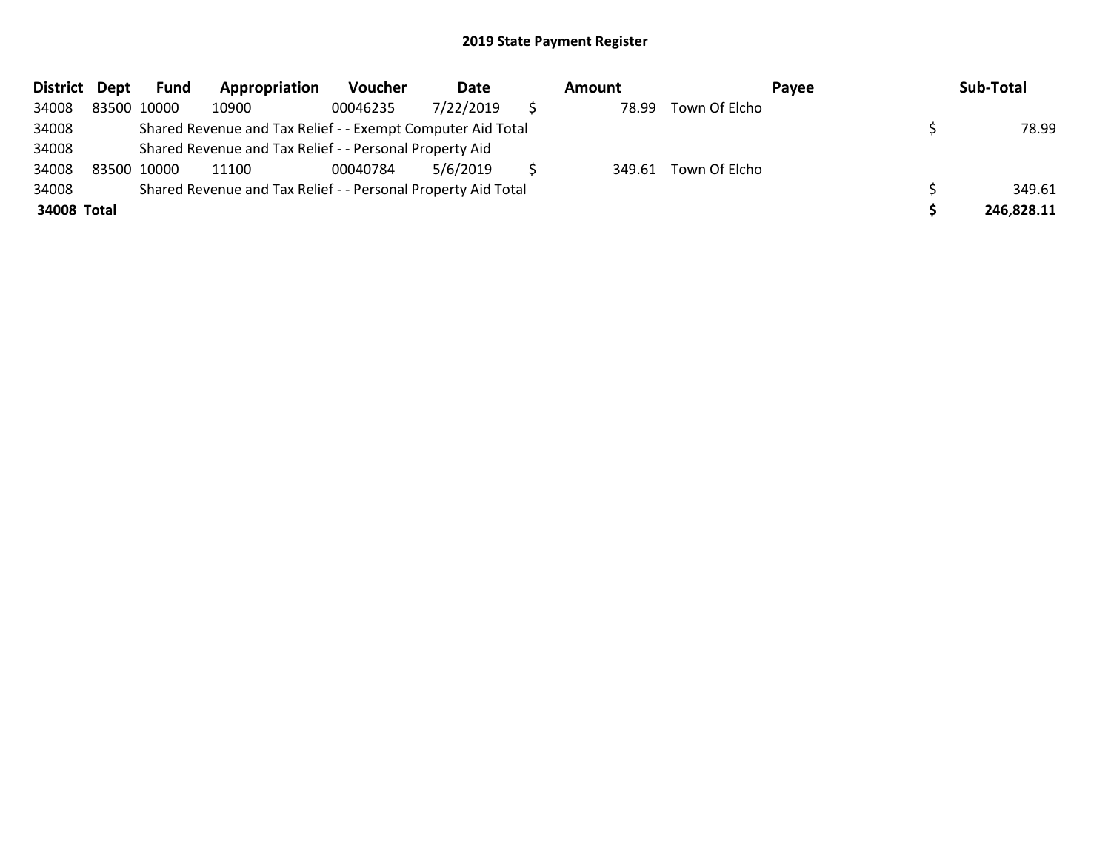| District Dept |             | Fund | Appropriation                                                 | <b>Voucher</b> | Date      | Amount |               | <b>Pavee</b> | Sub-Total  |
|---------------|-------------|------|---------------------------------------------------------------|----------------|-----------|--------|---------------|--------------|------------|
| 34008         | 83500 10000 |      | 10900                                                         | 00046235       | 7/22/2019 | 78.99  | Town Of Elcho |              |            |
| 34008         |             |      | Shared Revenue and Tax Relief - - Exempt Computer Aid Total   |                |           |        |               |              | 78.99      |
| 34008         |             |      | Shared Revenue and Tax Relief - - Personal Property Aid       |                |           |        |               |              |            |
| 34008         | 83500 10000 |      | 11100                                                         | 00040784       | 5/6/2019  | 349.61 | Town Of Elcho |              |            |
| 34008         |             |      | Shared Revenue and Tax Relief - - Personal Property Aid Total |                |           |        |               |              | 349.61     |
| 34008 Total   |             |      |                                                               |                |           |        |               |              | 246,828.11 |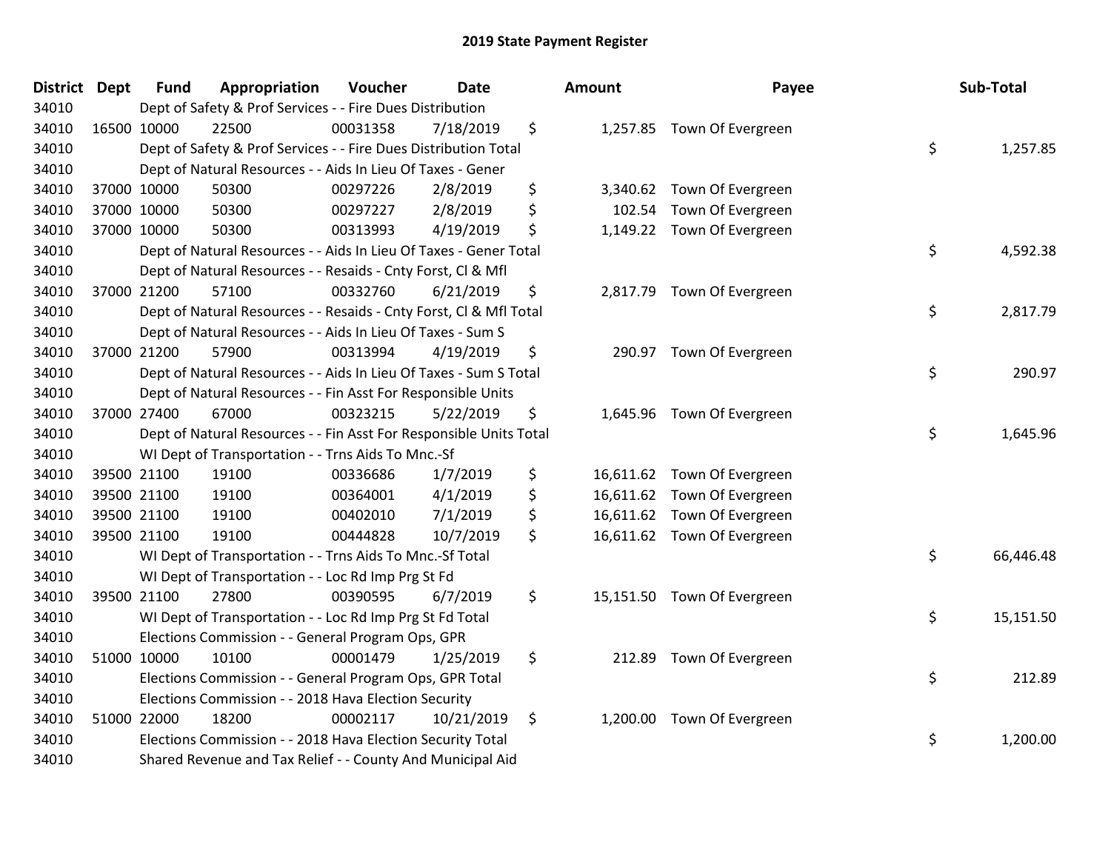| <b>District Dept</b> | <b>Fund</b> | Appropriation                                                      | Voucher  | <b>Date</b> | Amount          | Payee                       | Sub-Total       |
|----------------------|-------------|--------------------------------------------------------------------|----------|-------------|-----------------|-----------------------------|-----------------|
| 34010                |             | Dept of Safety & Prof Services - - Fire Dues Distribution          |          |             |                 |                             |                 |
| 34010                | 16500 10000 | 22500                                                              | 00031358 | 7/18/2019   | \$              | 1,257.85 Town Of Evergreen  |                 |
| 34010                |             | Dept of Safety & Prof Services - - Fire Dues Distribution Total    |          |             |                 |                             | \$<br>1,257.85  |
| 34010                |             | Dept of Natural Resources - - Aids In Lieu Of Taxes - Gener        |          |             |                 |                             |                 |
| 34010                | 37000 10000 | 50300                                                              | 00297226 | 2/8/2019    | \$<br>3,340.62  | Town Of Evergreen           |                 |
| 34010                | 37000 10000 | 50300                                                              | 00297227 | 2/8/2019    | \$<br>102.54    | Town Of Evergreen           |                 |
| 34010                | 37000 10000 | 50300                                                              | 00313993 | 4/19/2019   | \$              | 1,149.22 Town Of Evergreen  |                 |
| 34010                |             | Dept of Natural Resources - - Aids In Lieu Of Taxes - Gener Total  |          |             |                 |                             | \$<br>4,592.38  |
| 34010                |             | Dept of Natural Resources - - Resaids - Cnty Forst, Cl & Mfl       |          |             |                 |                             |                 |
| 34010                | 37000 21200 | 57100                                                              | 00332760 | 6/21/2019   | \$              | 2,817.79 Town Of Evergreen  |                 |
| 34010                |             | Dept of Natural Resources - - Resaids - Cnty Forst, Cl & Mfl Total |          |             |                 |                             | \$<br>2,817.79  |
| 34010                |             | Dept of Natural Resources - - Aids In Lieu Of Taxes - Sum S        |          |             |                 |                             |                 |
| 34010                | 37000 21200 | 57900                                                              | 00313994 | 4/19/2019   | \$              | 290.97 Town Of Evergreen    |                 |
| 34010                |             | Dept of Natural Resources - - Aids In Lieu Of Taxes - Sum S Total  |          |             |                 |                             | \$<br>290.97    |
| 34010                |             | Dept of Natural Resources - - Fin Asst For Responsible Units       |          |             |                 |                             |                 |
| 34010                | 37000 27400 | 67000                                                              | 00323215 | 5/22/2019   | \$<br>1,645.96  | Town Of Evergreen           |                 |
| 34010                |             | Dept of Natural Resources - - Fin Asst For Responsible Units Total |          |             |                 |                             | \$<br>1,645.96  |
| 34010                |             | WI Dept of Transportation - - Trns Aids To Mnc.-Sf                 |          |             |                 |                             |                 |
| 34010                | 39500 21100 | 19100                                                              | 00336686 | 1/7/2019    | \$              | 16,611.62 Town Of Evergreen |                 |
| 34010                | 39500 21100 | 19100                                                              | 00364001 | 4/1/2019    | \$              | 16,611.62 Town Of Evergreen |                 |
| 34010                | 39500 21100 | 19100                                                              | 00402010 | 7/1/2019    | \$<br>16,611.62 | Town Of Evergreen           |                 |
| 34010                | 39500 21100 | 19100                                                              | 00444828 | 10/7/2019   | \$              | 16,611.62 Town Of Evergreen |                 |
| 34010                |             | WI Dept of Transportation - - Trns Aids To Mnc.-Sf Total           |          |             |                 |                             | \$<br>66,446.48 |
| 34010                |             | WI Dept of Transportation - - Loc Rd Imp Prg St Fd                 |          |             |                 |                             |                 |
| 34010                | 39500 21100 | 27800                                                              | 00390595 | 6/7/2019    | \$              | 15,151.50 Town Of Evergreen |                 |
| 34010                |             | WI Dept of Transportation - - Loc Rd Imp Prg St Fd Total           |          |             |                 |                             | \$<br>15,151.50 |
| 34010                |             | Elections Commission - - General Program Ops, GPR                  |          |             |                 |                             |                 |
| 34010                | 51000 10000 | 10100                                                              | 00001479 | 1/25/2019   | \$<br>212.89    | Town Of Evergreen           |                 |
| 34010                |             | Elections Commission - - General Program Ops, GPR Total            |          |             |                 |                             | \$<br>212.89    |
| 34010                |             | Elections Commission - - 2018 Hava Election Security               |          |             |                 |                             |                 |
| 34010                | 51000 22000 | 18200                                                              | 00002117 | 10/21/2019  | \$<br>1,200.00  | Town Of Evergreen           |                 |
| 34010                |             | Elections Commission - - 2018 Hava Election Security Total         |          |             |                 |                             | \$<br>1,200.00  |
| 34010                |             | Shared Revenue and Tax Relief - - County And Municipal Aid         |          |             |                 |                             |                 |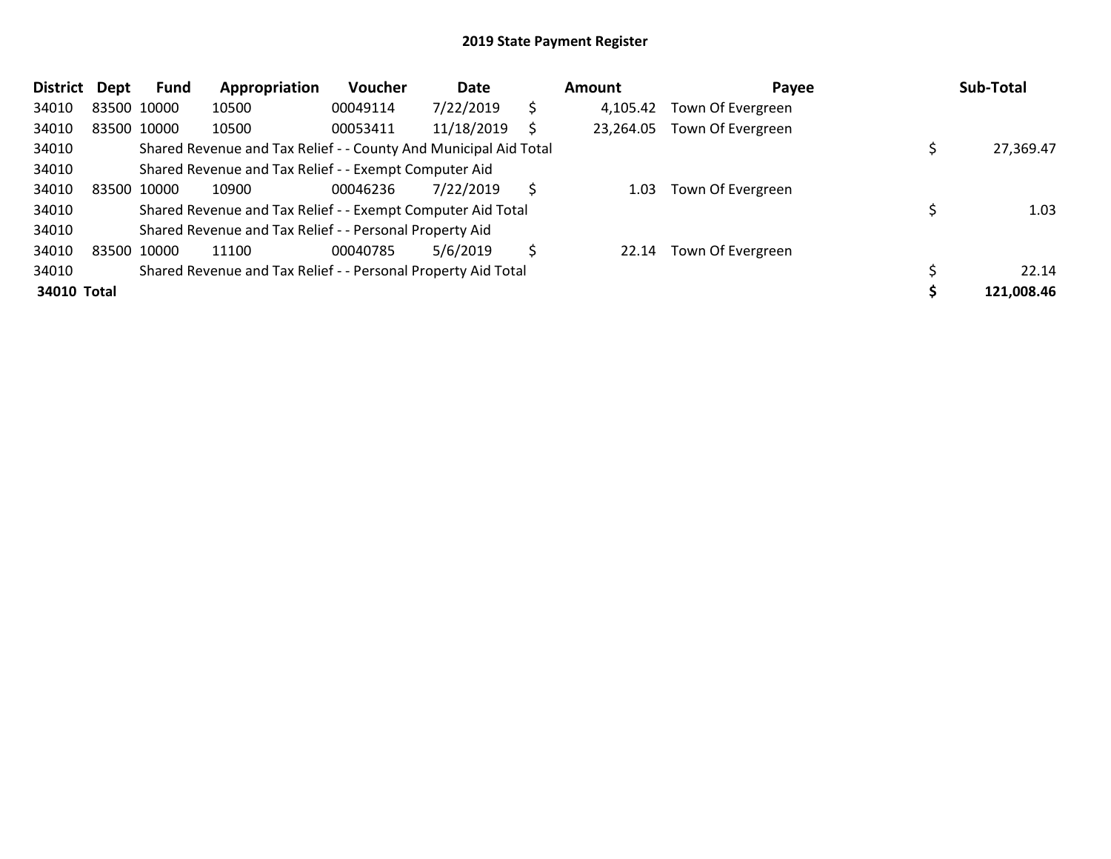| District Dept |             | <b>Fund</b> | Appropriation                                                    | <b>Voucher</b> | Date       |    | Amount    | Payee             | Sub-Total  |
|---------------|-------------|-------------|------------------------------------------------------------------|----------------|------------|----|-----------|-------------------|------------|
| 34010         |             | 83500 10000 | 10500                                                            | 00049114       | 7/22/2019  | \$ | 4,105.42  | Town Of Evergreen |            |
| 34010         |             | 83500 10000 | 10500                                                            | 00053411       | 11/18/2019 |    | 23,264.05 | Town Of Evergreen |            |
| 34010         |             |             | Shared Revenue and Tax Relief - - County And Municipal Aid Total |                |            |    |           |                   | 27,369.47  |
| 34010         |             |             | Shared Revenue and Tax Relief - - Exempt Computer Aid            |                |            |    |           |                   |            |
| 34010         | 83500 10000 |             | 10900                                                            | 00046236       | 7/22/2019  | S  | 1.03      | Town Of Evergreen |            |
| 34010         |             |             | Shared Revenue and Tax Relief - - Exempt Computer Aid Total      |                |            |    |           |                   | 1.03       |
| 34010         |             |             | Shared Revenue and Tax Relief - - Personal Property Aid          |                |            |    |           |                   |            |
| 34010         | 83500 10000 |             | 11100                                                            | 00040785       | 5/6/2019   | Ŝ  | 22.14     | Town Of Evergreen |            |
| 34010         |             |             | Shared Revenue and Tax Relief - - Personal Property Aid Total    |                |            |    |           |                   | 22.14      |
| 34010 Total   |             |             |                                                                  |                |            |    |           |                   | 121,008.46 |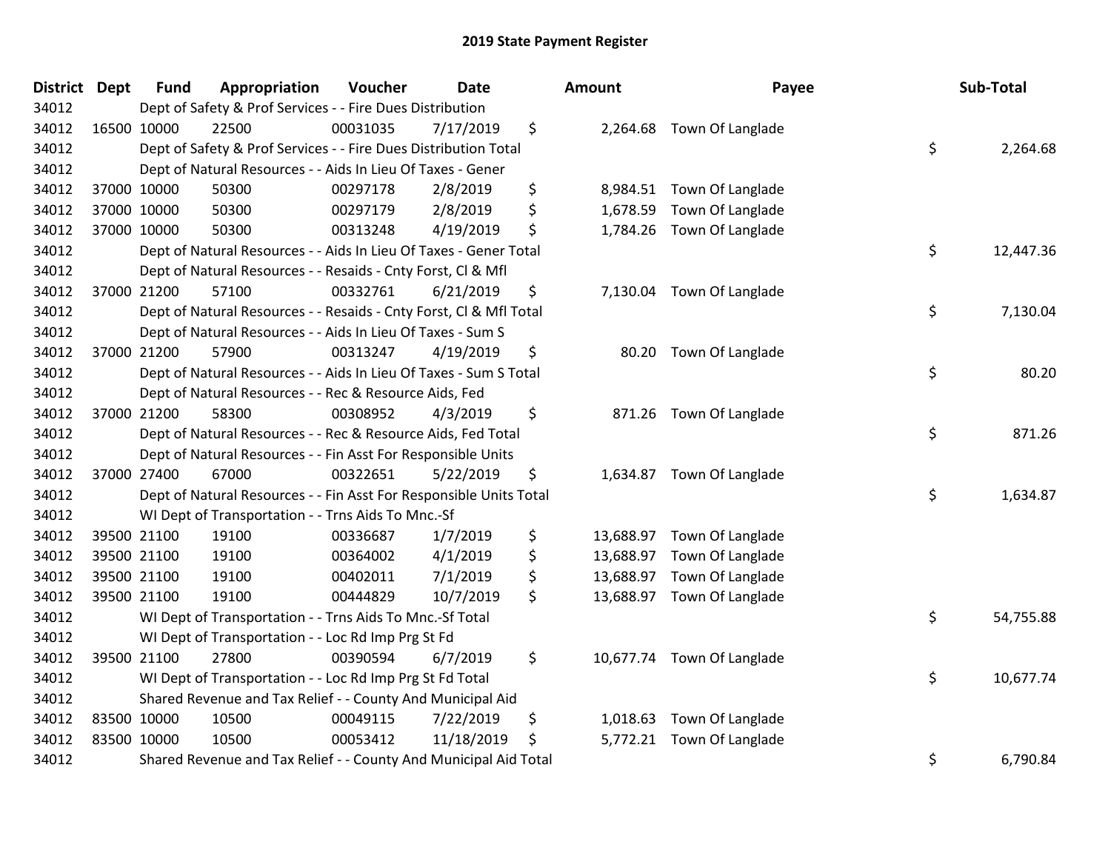| District Dept |             | <b>Fund</b> | Appropriation                                                      | Voucher  | <b>Date</b> | Amount         | Payee                      | Sub-Total       |
|---------------|-------------|-------------|--------------------------------------------------------------------|----------|-------------|----------------|----------------------------|-----------------|
| 34012         |             |             | Dept of Safety & Prof Services - - Fire Dues Distribution          |          |             |                |                            |                 |
| 34012         | 16500 10000 |             | 22500                                                              | 00031035 | 7/17/2019   | \$             | 2,264.68 Town Of Langlade  |                 |
| 34012         |             |             | Dept of Safety & Prof Services - - Fire Dues Distribution Total    |          |             |                |                            | \$<br>2,264.68  |
| 34012         |             |             | Dept of Natural Resources - - Aids In Lieu Of Taxes - Gener        |          |             |                |                            |                 |
| 34012         |             | 37000 10000 | 50300                                                              | 00297178 | 2/8/2019    | \$<br>8,984.51 | Town Of Langlade           |                 |
| 34012         |             | 37000 10000 | 50300                                                              | 00297179 | 2/8/2019    | \$<br>1,678.59 | Town Of Langlade           |                 |
| 34012         |             | 37000 10000 | 50300                                                              | 00313248 | 4/19/2019   | \$             | 1,784.26 Town Of Langlade  |                 |
| 34012         |             |             | Dept of Natural Resources - - Aids In Lieu Of Taxes - Gener Total  |          |             |                |                            | \$<br>12,447.36 |
| 34012         |             |             | Dept of Natural Resources - - Resaids - Cnty Forst, CI & Mfl       |          |             |                |                            |                 |
| 34012         |             | 37000 21200 | 57100                                                              | 00332761 | 6/21/2019   | \$             | 7,130.04 Town Of Langlade  |                 |
| 34012         |             |             | Dept of Natural Resources - - Resaids - Cnty Forst, CI & Mfl Total |          |             |                |                            | \$<br>7,130.04  |
| 34012         |             |             | Dept of Natural Resources - - Aids In Lieu Of Taxes - Sum S        |          |             |                |                            |                 |
| 34012         |             | 37000 21200 | 57900                                                              | 00313247 | 4/19/2019   | \$             | 80.20 Town Of Langlade     |                 |
| 34012         |             |             | Dept of Natural Resources - - Aids In Lieu Of Taxes - Sum S Total  |          |             |                |                            | \$<br>80.20     |
| 34012         |             |             | Dept of Natural Resources - - Rec & Resource Aids, Fed             |          |             |                |                            |                 |
| 34012         |             | 37000 21200 | 58300                                                              | 00308952 | 4/3/2019    | \$             | 871.26 Town Of Langlade    |                 |
| 34012         |             |             | Dept of Natural Resources - - Rec & Resource Aids, Fed Total       |          |             |                |                            | \$<br>871.26    |
| 34012         |             |             | Dept of Natural Resources - - Fin Asst For Responsible Units       |          |             |                |                            |                 |
| 34012         |             | 37000 27400 | 67000                                                              | 00322651 | 5/22/2019   | \$             | 1,634.87 Town Of Langlade  |                 |
| 34012         |             |             | Dept of Natural Resources - - Fin Asst For Responsible Units Total |          |             |                |                            | \$<br>1,634.87  |
| 34012         |             |             | WI Dept of Transportation - - Trns Aids To Mnc.-Sf                 |          |             |                |                            |                 |
| 34012         |             | 39500 21100 | 19100                                                              | 00336687 | 1/7/2019    | \$             | 13,688.97 Town Of Langlade |                 |
| 34012         |             | 39500 21100 | 19100                                                              | 00364002 | 4/1/2019    | \$             | 13,688.97 Town Of Langlade |                 |
| 34012         |             | 39500 21100 | 19100                                                              | 00402011 | 7/1/2019    | \$             | 13,688.97 Town Of Langlade |                 |
| 34012         |             | 39500 21100 | 19100                                                              | 00444829 | 10/7/2019   | \$             | 13,688.97 Town Of Langlade |                 |
| 34012         |             |             | WI Dept of Transportation - - Trns Aids To Mnc.-Sf Total           |          |             |                |                            | \$<br>54,755.88 |
| 34012         |             |             | WI Dept of Transportation - - Loc Rd Imp Prg St Fd                 |          |             |                |                            |                 |
| 34012         |             | 39500 21100 | 27800                                                              | 00390594 | 6/7/2019    | \$             | 10,677.74 Town Of Langlade |                 |
| 34012         |             |             | WI Dept of Transportation - - Loc Rd Imp Prg St Fd Total           |          |             |                |                            | \$<br>10,677.74 |
| 34012         |             |             | Shared Revenue and Tax Relief - - County And Municipal Aid         |          |             |                |                            |                 |
| 34012         | 83500 10000 |             | 10500                                                              | 00049115 | 7/22/2019   | \$<br>1,018.63 | Town Of Langlade           |                 |
| 34012         | 83500 10000 |             | 10500                                                              | 00053412 | 11/18/2019  | \$             | 5,772.21 Town Of Langlade  |                 |
| 34012         |             |             | Shared Revenue and Tax Relief - - County And Municipal Aid Total   |          |             |                |                            | \$<br>6,790.84  |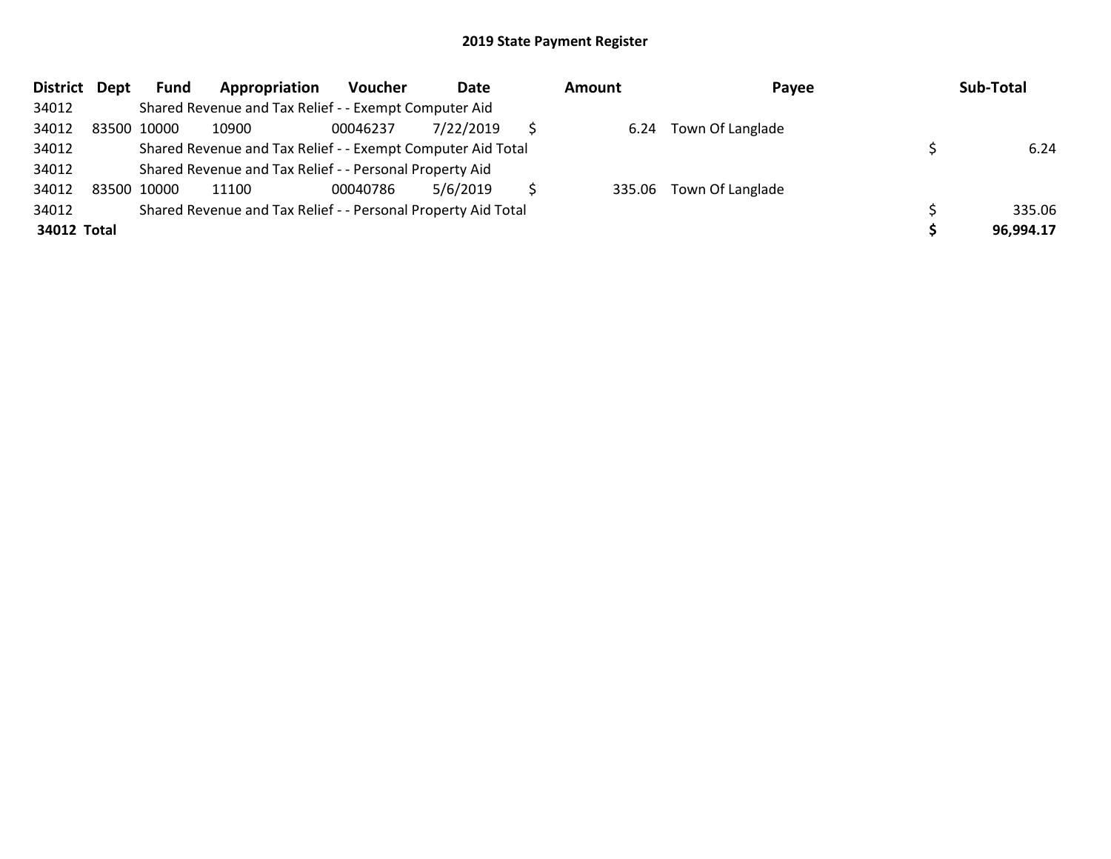| District Dept |             | <b>Fund</b> | Appropriation                                                 | Voucher  | Date      | <b>Amount</b> | Payee                   | Sub-Total |
|---------------|-------------|-------------|---------------------------------------------------------------|----------|-----------|---------------|-------------------------|-----------|
| 34012         |             |             | Shared Revenue and Tax Relief - - Exempt Computer Aid         |          |           |               |                         |           |
| 34012         | 83500 10000 |             | 10900                                                         | 00046237 | 7/22/2019 | 6.24          | Town Of Langlade        |           |
| 34012         |             |             | Shared Revenue and Tax Relief - - Exempt Computer Aid Total   |          |           |               |                         | 6.24      |
| 34012         |             |             | Shared Revenue and Tax Relief - - Personal Property Aid       |          |           |               |                         |           |
| 34012         | 83500 10000 |             | 11100                                                         | 00040786 | 5/6/2019  |               | 335.06 Town Of Langlade |           |
| 34012         |             |             | Shared Revenue and Tax Relief - - Personal Property Aid Total |          |           |               |                         | 335.06    |
| 34012 Total   |             |             |                                                               |          |           |               |                         | 96,994.17 |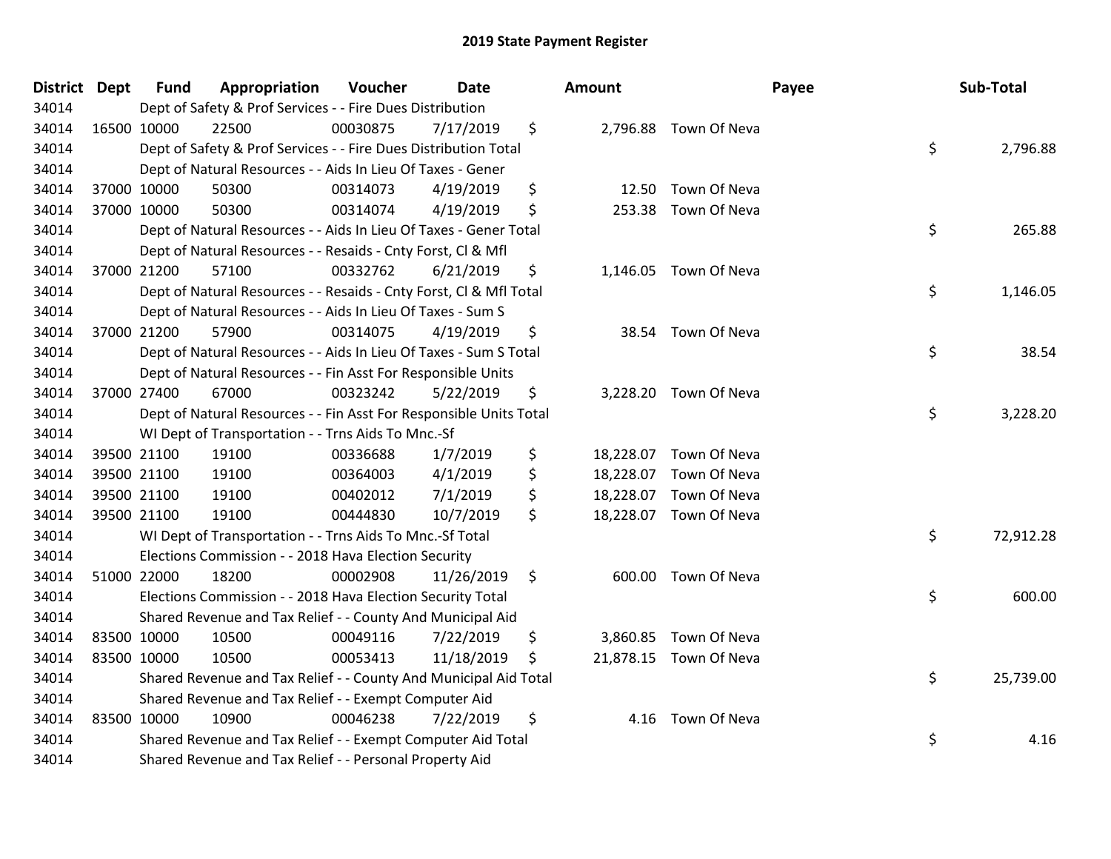| District Dept |             | <b>Fund</b> | Appropriation                                                      | Voucher  | Date       |     | <b>Amount</b> |                        | Payee | Sub-Total |
|---------------|-------------|-------------|--------------------------------------------------------------------|----------|------------|-----|---------------|------------------------|-------|-----------|
| 34014         |             |             | Dept of Safety & Prof Services - - Fire Dues Distribution          |          |            |     |               |                        |       |           |
| 34014         | 16500 10000 |             | 22500                                                              | 00030875 | 7/17/2019  | \$  |               | 2,796.88 Town Of Neva  |       |           |
| 34014         |             |             | Dept of Safety & Prof Services - - Fire Dues Distribution Total    |          |            |     |               |                        | \$    | 2,796.88  |
| 34014         |             |             | Dept of Natural Resources - - Aids In Lieu Of Taxes - Gener        |          |            |     |               |                        |       |           |
| 34014         |             | 37000 10000 | 50300                                                              | 00314073 | 4/19/2019  | \$  | 12.50         | Town Of Neva           |       |           |
| 34014         |             | 37000 10000 | 50300                                                              | 00314074 | 4/19/2019  | \$  | 253.38        | Town Of Neva           |       |           |
| 34014         |             |             | Dept of Natural Resources - - Aids In Lieu Of Taxes - Gener Total  |          |            |     |               |                        | \$    | 265.88    |
| 34014         |             |             | Dept of Natural Resources - - Resaids - Cnty Forst, Cl & Mfl       |          |            |     |               |                        |       |           |
| 34014         |             | 37000 21200 | 57100                                                              | 00332762 | 6/21/2019  | \$  |               | 1,146.05 Town Of Neva  |       |           |
| 34014         |             |             | Dept of Natural Resources - - Resaids - Cnty Forst, Cl & Mfl Total |          |            |     |               |                        | \$    | 1,146.05  |
| 34014         |             |             | Dept of Natural Resources - - Aids In Lieu Of Taxes - Sum S        |          |            |     |               |                        |       |           |
| 34014         |             | 37000 21200 | 57900                                                              | 00314075 | 4/19/2019  | \$  |               | 38.54 Town Of Neva     |       |           |
| 34014         |             |             | Dept of Natural Resources - - Aids In Lieu Of Taxes - Sum S Total  |          |            |     |               |                        | \$    | 38.54     |
| 34014         |             |             | Dept of Natural Resources - - Fin Asst For Responsible Units       |          |            |     |               |                        |       |           |
| 34014         |             | 37000 27400 | 67000                                                              | 00323242 | 5/22/2019  | \$  |               | 3,228.20 Town Of Neva  |       |           |
| 34014         |             |             | Dept of Natural Resources - - Fin Asst For Responsible Units Total |          |            |     |               |                        | \$    | 3,228.20  |
| 34014         |             |             | WI Dept of Transportation - - Trns Aids To Mnc.-Sf                 |          |            |     |               |                        |       |           |
| 34014         |             | 39500 21100 | 19100                                                              | 00336688 | 1/7/2019   | \$  |               | 18,228.07 Town Of Neva |       |           |
| 34014         |             | 39500 21100 | 19100                                                              | 00364003 | 4/1/2019   | \$  | 18,228.07     | Town Of Neva           |       |           |
| 34014         |             | 39500 21100 | 19100                                                              | 00402012 | 7/1/2019   | \$  |               | 18,228.07 Town Of Neva |       |           |
| 34014         |             | 39500 21100 | 19100                                                              | 00444830 | 10/7/2019  | \$  |               | 18,228.07 Town Of Neva |       |           |
| 34014         |             |             | WI Dept of Transportation - - Trns Aids To Mnc.-Sf Total           |          |            |     |               |                        | \$    | 72,912.28 |
| 34014         |             |             | Elections Commission - - 2018 Hava Election Security               |          |            |     |               |                        |       |           |
| 34014         |             | 51000 22000 | 18200                                                              | 00002908 | 11/26/2019 | \$  | 600.00        | Town Of Neva           |       |           |
| 34014         |             |             | Elections Commission - - 2018 Hava Election Security Total         |          |            |     |               |                        | \$    | 600.00    |
| 34014         |             |             | Shared Revenue and Tax Relief - - County And Municipal Aid         |          |            |     |               |                        |       |           |
| 34014         |             | 83500 10000 | 10500                                                              | 00049116 | 7/22/2019  | \$  |               | 3,860.85 Town Of Neva  |       |           |
| 34014         | 83500 10000 |             | 10500                                                              | 00053413 | 11/18/2019 | -\$ |               | 21,878.15 Town Of Neva |       |           |
| 34014         |             |             | Shared Revenue and Tax Relief - - County And Municipal Aid Total   |          |            |     |               |                        | \$    | 25,739.00 |
| 34014         |             |             | Shared Revenue and Tax Relief - - Exempt Computer Aid              |          |            |     |               |                        |       |           |
| 34014         |             | 83500 10000 | 10900                                                              | 00046238 | 7/22/2019  | \$  | 4.16          | Town Of Neva           |       |           |
| 34014         |             |             | Shared Revenue and Tax Relief - - Exempt Computer Aid Total        |          |            |     |               |                        | \$    | 4.16      |
| 34014         |             |             | Shared Revenue and Tax Relief - - Personal Property Aid            |          |            |     |               |                        |       |           |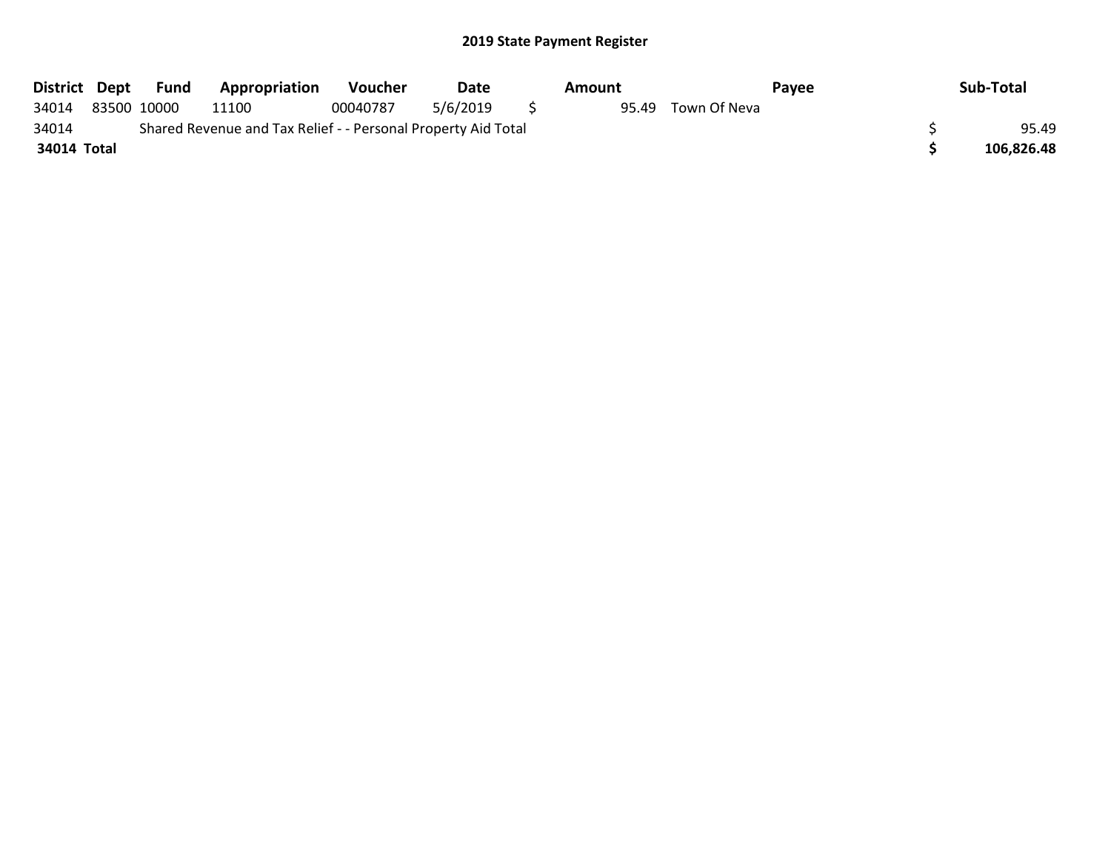| District Dept |             | Fund | Appropriation                                                 | <b>Voucher</b> | Date     | Amount |              | Payee | Sub-Total  |
|---------------|-------------|------|---------------------------------------------------------------|----------------|----------|--------|--------------|-------|------------|
| 34014         | 83500 10000 |      | 11100                                                         | 00040787       | 5/6/2019 | 95.49  | Town Of Neva |       |            |
| 34014         |             |      | Shared Revenue and Tax Relief - - Personal Property Aid Total |                |          |        |              |       | 95.49      |
| 34014 Total   |             |      |                                                               |                |          |        |              |       | 106.826.48 |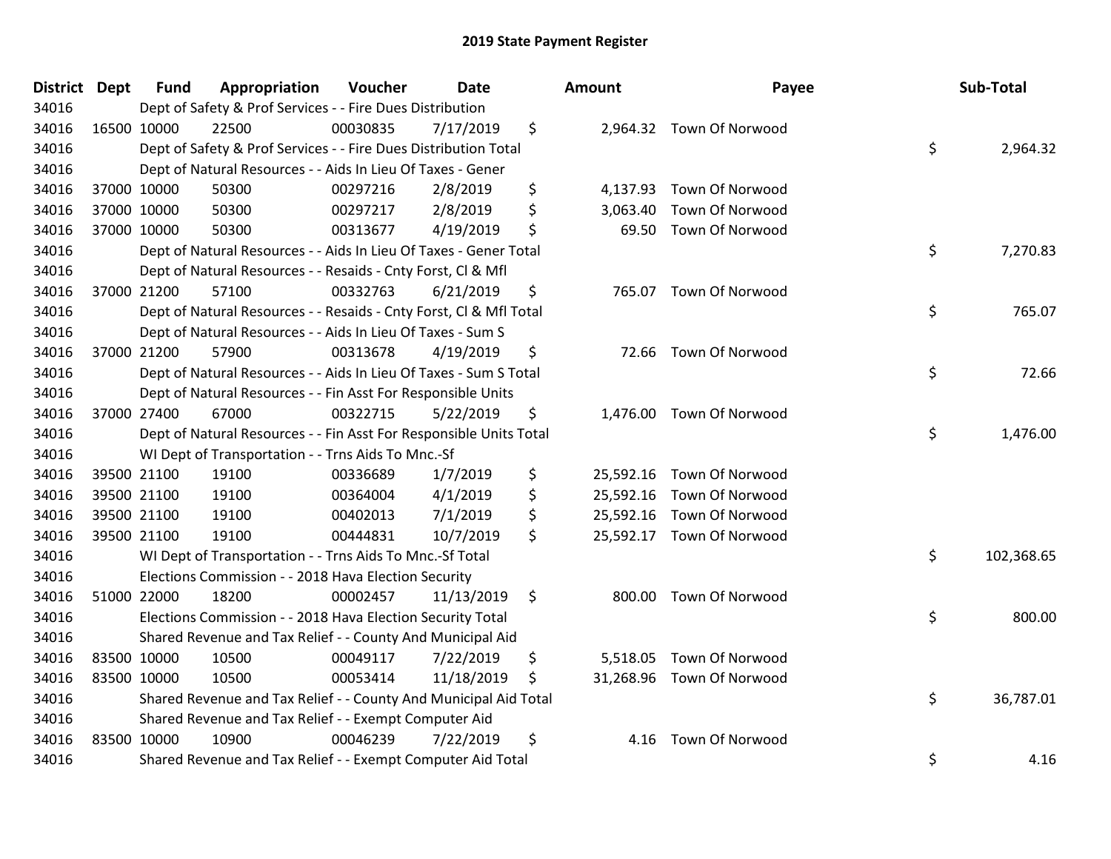| <b>District Dept</b> | <b>Fund</b> | Appropriation                                                      | Voucher  | <b>Date</b> |    | Amount   | Payee                     | Sub-Total        |
|----------------------|-------------|--------------------------------------------------------------------|----------|-------------|----|----------|---------------------------|------------------|
| 34016                |             | Dept of Safety & Prof Services - - Fire Dues Distribution          |          |             |    |          |                           |                  |
| 34016                | 16500 10000 | 22500                                                              | 00030835 | 7/17/2019   | \$ |          | 2,964.32 Town Of Norwood  |                  |
| 34016                |             | Dept of Safety & Prof Services - - Fire Dues Distribution Total    |          |             |    |          |                           | \$<br>2,964.32   |
| 34016                |             | Dept of Natural Resources - - Aids In Lieu Of Taxes - Gener        |          |             |    |          |                           |                  |
| 34016                | 37000 10000 | 50300                                                              | 00297216 | 2/8/2019    | \$ | 4,137.93 | Town Of Norwood           |                  |
| 34016                | 37000 10000 | 50300                                                              | 00297217 | 2/8/2019    | \$ | 3,063.40 | Town Of Norwood           |                  |
| 34016                | 37000 10000 | 50300                                                              | 00313677 | 4/19/2019   | \$ | 69.50    | Town Of Norwood           |                  |
| 34016                |             | Dept of Natural Resources - - Aids In Lieu Of Taxes - Gener Total  |          |             |    |          |                           | \$<br>7,270.83   |
| 34016                |             | Dept of Natural Resources - - Resaids - Cnty Forst, Cl & Mfl       |          |             |    |          |                           |                  |
| 34016                | 37000 21200 | 57100                                                              | 00332763 | 6/21/2019   | \$ |          | 765.07 Town Of Norwood    |                  |
| 34016                |             | Dept of Natural Resources - - Resaids - Cnty Forst, CI & Mfl Total |          |             |    |          |                           | \$<br>765.07     |
| 34016                |             | Dept of Natural Resources - - Aids In Lieu Of Taxes - Sum S        |          |             |    |          |                           |                  |
| 34016                | 37000 21200 | 57900                                                              | 00313678 | 4/19/2019   | \$ |          | 72.66 Town Of Norwood     |                  |
| 34016                |             | Dept of Natural Resources - - Aids In Lieu Of Taxes - Sum S Total  |          |             |    |          |                           | \$<br>72.66      |
| 34016                |             | Dept of Natural Resources - - Fin Asst For Responsible Units       |          |             |    |          |                           |                  |
| 34016                | 37000 27400 | 67000                                                              | 00322715 | 5/22/2019   | \$ | 1,476.00 | <b>Town Of Norwood</b>    |                  |
| 34016                |             | Dept of Natural Resources - - Fin Asst For Responsible Units Total |          |             |    |          |                           | \$<br>1,476.00   |
| 34016                |             | WI Dept of Transportation - - Trns Aids To Mnc.-Sf                 |          |             |    |          |                           |                  |
| 34016                | 39500 21100 | 19100                                                              | 00336689 | 1/7/2019    | \$ |          | 25,592.16 Town Of Norwood |                  |
| 34016                | 39500 21100 | 19100                                                              | 00364004 | 4/1/2019    | \$ |          | 25,592.16 Town Of Norwood |                  |
| 34016                | 39500 21100 | 19100                                                              | 00402013 | 7/1/2019    | \$ |          | 25,592.16 Town Of Norwood |                  |
| 34016                | 39500 21100 | 19100                                                              | 00444831 | 10/7/2019   | \$ |          | 25,592.17 Town Of Norwood |                  |
| 34016                |             | WI Dept of Transportation - - Trns Aids To Mnc.-Sf Total           |          |             |    |          |                           | \$<br>102,368.65 |
| 34016                |             | Elections Commission - - 2018 Hava Election Security               |          |             |    |          |                           |                  |
| 34016                | 51000 22000 | 18200                                                              | 00002457 | 11/13/2019  | \$ | 800.00   | <b>Town Of Norwood</b>    |                  |
| 34016                |             | Elections Commission - - 2018 Hava Election Security Total         |          |             |    |          |                           | \$<br>800.00     |
| 34016                |             | Shared Revenue and Tax Relief - - County And Municipal Aid         |          |             |    |          |                           |                  |
| 34016                | 83500 10000 | 10500                                                              | 00049117 | 7/22/2019   | \$ |          | 5,518.05 Town Of Norwood  |                  |
| 34016                | 83500 10000 | 10500                                                              | 00053414 | 11/18/2019  | S  |          | 31,268.96 Town Of Norwood |                  |
| 34016                |             | Shared Revenue and Tax Relief - - County And Municipal Aid Total   |          |             |    |          |                           | \$<br>36,787.01  |
| 34016                |             | Shared Revenue and Tax Relief - - Exempt Computer Aid              |          |             |    |          |                           |                  |
| 34016                | 83500 10000 | 10900                                                              | 00046239 | 7/22/2019   | \$ | 4.16     | <b>Town Of Norwood</b>    |                  |
| 34016                |             | Shared Revenue and Tax Relief - - Exempt Computer Aid Total        |          |             |    |          |                           | \$<br>4.16       |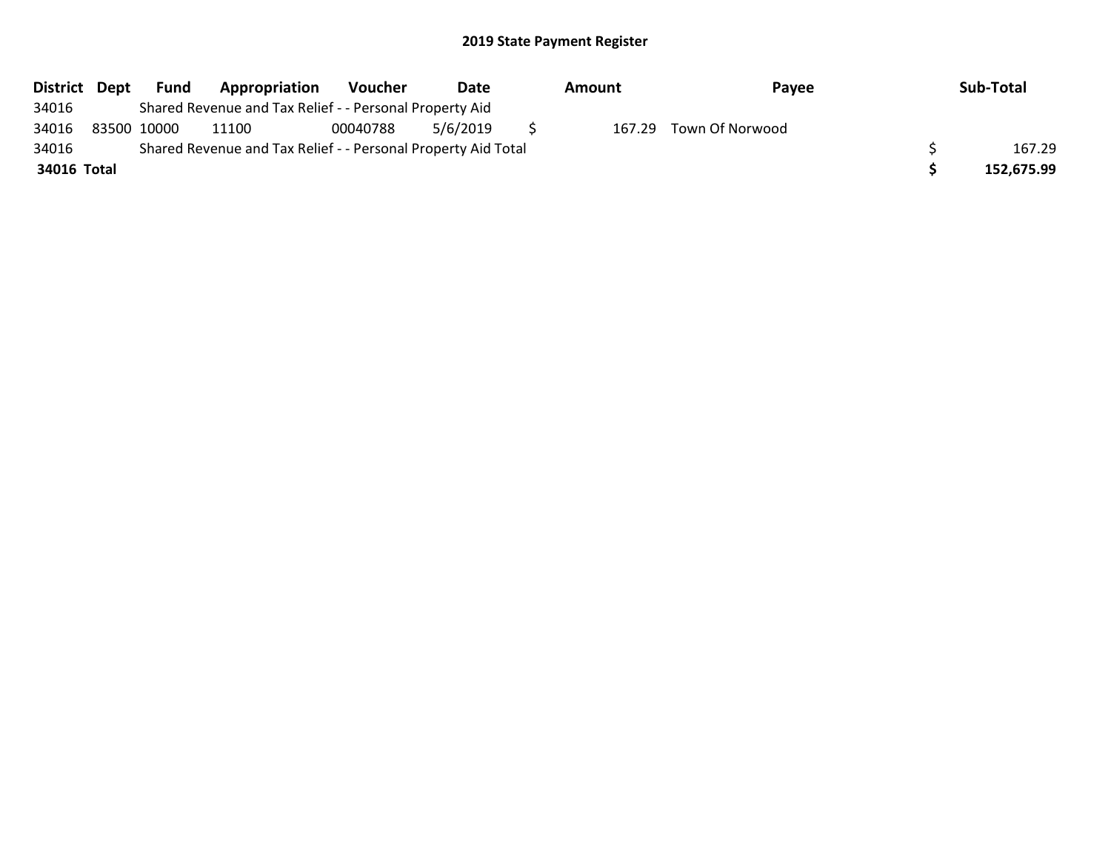| District Dept | Fund        | Appropriation                                                 | Voucher  | Date     | Amount | Payee                  | Sub-Total  |
|---------------|-------------|---------------------------------------------------------------|----------|----------|--------|------------------------|------------|
| 34016         |             | Shared Revenue and Tax Relief - - Personal Property Aid       |          |          |        |                        |            |
| 34016         | 83500 10000 | 11100                                                         | 00040788 | 5/6/2019 |        | 167.29 Town Of Norwood |            |
| 34016         |             | Shared Revenue and Tax Relief - - Personal Property Aid Total |          |          |        |                        | 167.29     |
| 34016 Total   |             |                                                               |          |          |        |                        | 152,675.99 |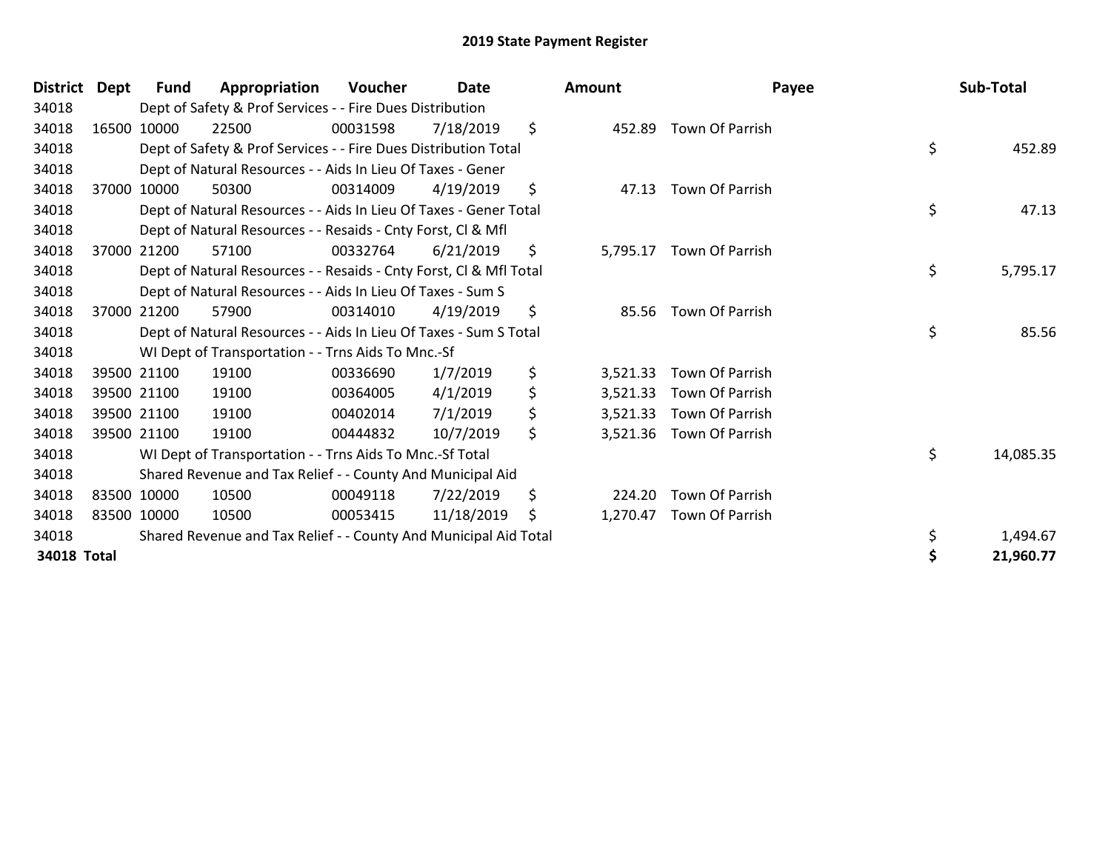| <b>District</b> | Dept | Fund        | Appropriation                                                      | Voucher  | <b>Date</b> | Amount         | Payee                    | Sub-Total       |
|-----------------|------|-------------|--------------------------------------------------------------------|----------|-------------|----------------|--------------------------|-----------------|
| 34018           |      |             | Dept of Safety & Prof Services - - Fire Dues Distribution          |          |             |                |                          |                 |
| 34018           |      | 16500 10000 | 22500                                                              | 00031598 | 7/18/2019   | \$             | 452.89 Town Of Parrish   |                 |
| 34018           |      |             | Dept of Safety & Prof Services - - Fire Dues Distribution Total    |          |             |                |                          | \$<br>452.89    |
| 34018           |      |             | Dept of Natural Resources - - Aids In Lieu Of Taxes - Gener        |          |             |                |                          |                 |
| 34018           |      | 37000 10000 | 50300                                                              | 00314009 | 4/19/2019   | \$<br>47.13    | Town Of Parrish          |                 |
| 34018           |      |             | Dept of Natural Resources - - Aids In Lieu Of Taxes - Gener Total  |          |             |                |                          | \$<br>47.13     |
| 34018           |      |             | Dept of Natural Resources - - Resaids - Cnty Forst, CI & Mfl       |          |             |                |                          |                 |
| 34018           |      | 37000 21200 | 57100                                                              | 00332764 | 6/21/2019   | \$             | 5,795.17 Town Of Parrish |                 |
| 34018           |      |             | Dept of Natural Resources - - Resaids - Cnty Forst, CI & Mfl Total |          |             |                |                          | \$<br>5,795.17  |
| 34018           |      |             | Dept of Natural Resources - - Aids In Lieu Of Taxes - Sum S        |          |             |                |                          |                 |
| 34018           |      | 37000 21200 | 57900                                                              | 00314010 | 4/19/2019   | \$             | 85.56 Town Of Parrish    |                 |
| 34018           |      |             | Dept of Natural Resources - - Aids In Lieu Of Taxes - Sum S Total  |          |             |                |                          | \$<br>85.56     |
| 34018           |      |             | WI Dept of Transportation - - Trns Aids To Mnc.-Sf                 |          |             |                |                          |                 |
| 34018           |      | 39500 21100 | 19100                                                              | 00336690 | 1/7/2019    | \$<br>3,521.33 | Town Of Parrish          |                 |
| 34018           |      | 39500 21100 | 19100                                                              | 00364005 | 4/1/2019    | \$<br>3,521.33 | Town Of Parrish          |                 |
| 34018           |      | 39500 21100 | 19100                                                              | 00402014 | 7/1/2019    | \$<br>3,521.33 | Town Of Parrish          |                 |
| 34018           |      | 39500 21100 | 19100                                                              | 00444832 | 10/7/2019   | \$<br>3,521.36 | Town Of Parrish          |                 |
| 34018           |      |             | WI Dept of Transportation - - Trns Aids To Mnc.-Sf Total           |          |             |                |                          | \$<br>14,085.35 |
| 34018           |      |             | Shared Revenue and Tax Relief - - County And Municipal Aid         |          |             |                |                          |                 |
| 34018           |      | 83500 10000 | 10500                                                              | 00049118 | 7/22/2019   | \$<br>224.20   | Town Of Parrish          |                 |
| 34018           |      | 83500 10000 | 10500                                                              | 00053415 | 11/18/2019  | \$<br>1,270.47 | Town Of Parrish          |                 |
| 34018           |      |             | Shared Revenue and Tax Relief - - County And Municipal Aid Total   |          |             |                |                          | 1,494.67        |
| 34018 Total     |      |             |                                                                    |          |             |                |                          | 21,960.77       |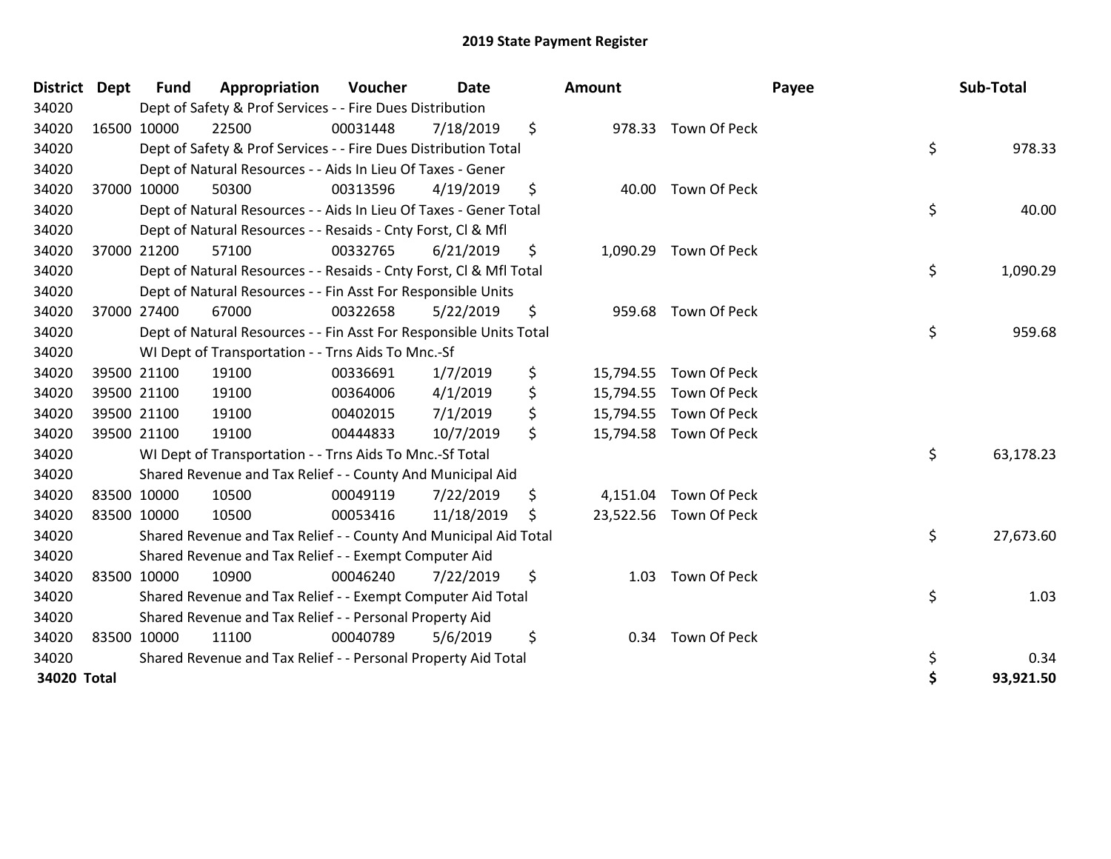| <b>District</b> | <b>Dept</b> | <b>Fund</b> | Appropriation                                                      | Voucher  | <b>Date</b> | Amount          |                        | Payee | Sub-Total |
|-----------------|-------------|-------------|--------------------------------------------------------------------|----------|-------------|-----------------|------------------------|-------|-----------|
| 34020           |             |             | Dept of Safety & Prof Services - - Fire Dues Distribution          |          |             |                 |                        |       |           |
| 34020           | 16500 10000 |             | 22500                                                              | 00031448 | 7/18/2019   | \$              | 978.33 Town Of Peck    |       |           |
| 34020           |             |             | Dept of Safety & Prof Services - - Fire Dues Distribution Total    |          |             |                 |                        | \$    | 978.33    |
| 34020           |             |             | Dept of Natural Resources - - Aids In Lieu Of Taxes - Gener        |          |             |                 |                        |       |           |
| 34020           |             | 37000 10000 | 50300                                                              | 00313596 | 4/19/2019   | \$              | 40.00 Town Of Peck     |       |           |
| 34020           |             |             | Dept of Natural Resources - - Aids In Lieu Of Taxes - Gener Total  |          |             |                 |                        | \$    | 40.00     |
| 34020           |             |             | Dept of Natural Resources - - Resaids - Cnty Forst, Cl & Mfl       |          |             |                 |                        |       |           |
| 34020           |             | 37000 21200 | 57100                                                              | 00332765 | 6/21/2019   | \$<br>1,090.29  | Town Of Peck           |       |           |
| 34020           |             |             | Dept of Natural Resources - - Resaids - Cnty Forst, Cl & Mfl Total |          |             |                 |                        | \$    | 1,090.29  |
| 34020           |             |             | Dept of Natural Resources - - Fin Asst For Responsible Units       |          |             |                 |                        |       |           |
| 34020           |             | 37000 27400 | 67000                                                              | 00322658 | 5/22/2019   | \$<br>959.68    | Town Of Peck           |       |           |
| 34020           |             |             | Dept of Natural Resources - - Fin Asst For Responsible Units Total |          |             |                 |                        | \$    | 959.68    |
| 34020           |             |             | WI Dept of Transportation - - Trns Aids To Mnc.-Sf                 |          |             |                 |                        |       |           |
| 34020           |             | 39500 21100 | 19100                                                              | 00336691 | 1/7/2019    | \$<br>15,794.55 | Town Of Peck           |       |           |
| 34020           |             | 39500 21100 | 19100                                                              | 00364006 | 4/1/2019    | \$<br>15,794.55 | Town Of Peck           |       |           |
| 34020           |             | 39500 21100 | 19100                                                              | 00402015 | 7/1/2019    | \$<br>15,794.55 | Town Of Peck           |       |           |
| 34020           |             | 39500 21100 | 19100                                                              | 00444833 | 10/7/2019   | \$              | 15,794.58 Town Of Peck |       |           |
| 34020           |             |             | WI Dept of Transportation - - Trns Aids To Mnc.-Sf Total           |          |             |                 |                        | \$    | 63,178.23 |
| 34020           |             |             | Shared Revenue and Tax Relief - - County And Municipal Aid         |          |             |                 |                        |       |           |
| 34020           | 83500 10000 |             | 10500                                                              | 00049119 | 7/22/2019   | \$              | 4,151.04 Town Of Peck  |       |           |
| 34020           | 83500 10000 |             | 10500                                                              | 00053416 | 11/18/2019  | \$              | 23,522.56 Town Of Peck |       |           |
| 34020           |             |             | Shared Revenue and Tax Relief - - County And Municipal Aid Total   |          |             |                 |                        | \$    | 27,673.60 |
| 34020           |             |             | Shared Revenue and Tax Relief - - Exempt Computer Aid              |          |             |                 |                        |       |           |
| 34020           | 83500 10000 |             | 10900                                                              | 00046240 | 7/22/2019   | \$<br>1.03      | Town Of Peck           |       |           |
| 34020           |             |             | Shared Revenue and Tax Relief - - Exempt Computer Aid Total        |          |             |                 |                        | \$    | 1.03      |
| 34020           |             |             | Shared Revenue and Tax Relief - - Personal Property Aid            |          |             |                 |                        |       |           |
| 34020           | 83500 10000 |             | 11100                                                              | 00040789 | 5/6/2019    | \$<br>0.34      | Town Of Peck           |       |           |
| 34020           |             |             | Shared Revenue and Tax Relief - - Personal Property Aid Total      |          |             |                 |                        | \$    | 0.34      |
| 34020 Total     |             |             |                                                                    |          |             |                 |                        | \$    | 93,921.50 |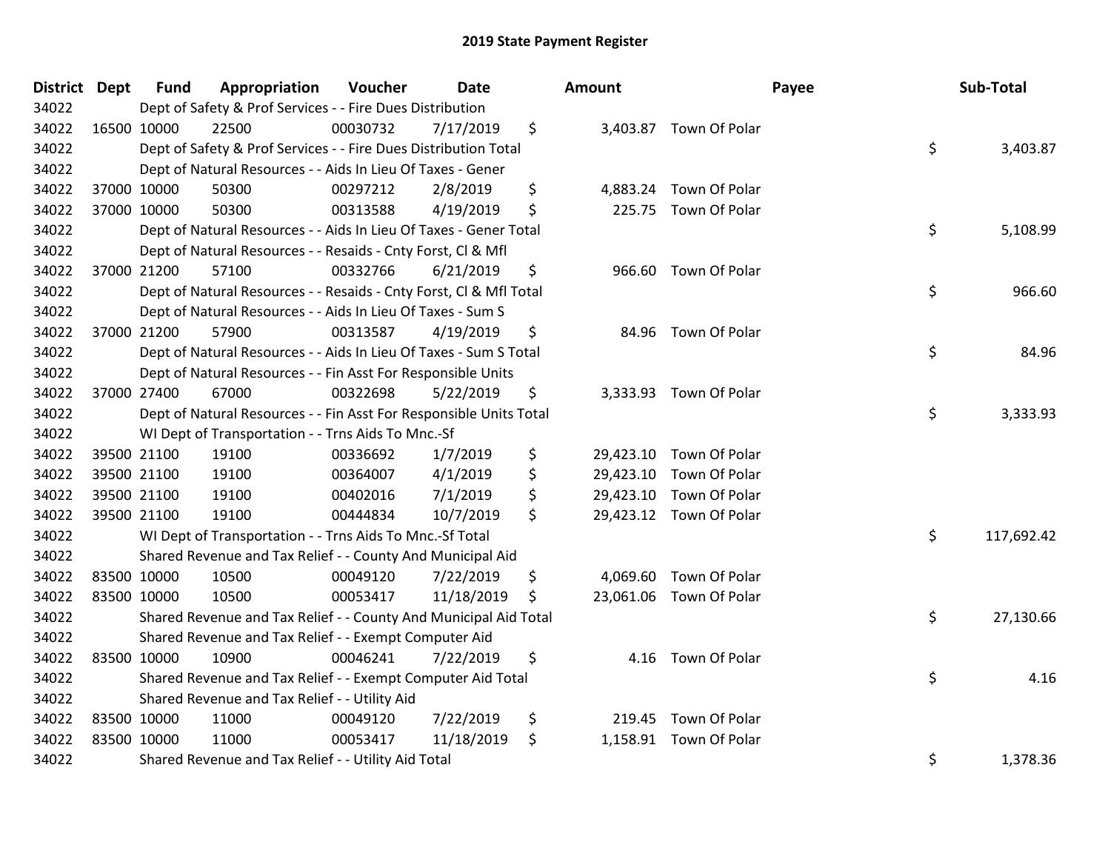| District Dept |             | <b>Fund</b> | Appropriation                                                      | Voucher  | <b>Date</b> | Amount |                         | Payee | Sub-Total  |
|---------------|-------------|-------------|--------------------------------------------------------------------|----------|-------------|--------|-------------------------|-------|------------|
| 34022         |             |             | Dept of Safety & Prof Services - - Fire Dues Distribution          |          |             |        |                         |       |            |
| 34022         | 16500 10000 |             | 22500                                                              | 00030732 | 7/17/2019   | \$     | 3,403.87 Town Of Polar  |       |            |
| 34022         |             |             | Dept of Safety & Prof Services - - Fire Dues Distribution Total    |          |             |        |                         | \$    | 3,403.87   |
| 34022         |             |             | Dept of Natural Resources - - Aids In Lieu Of Taxes - Gener        |          |             |        |                         |       |            |
| 34022         |             | 37000 10000 | 50300                                                              | 00297212 | 2/8/2019    | \$     | 4,883.24 Town Of Polar  |       |            |
| 34022         |             | 37000 10000 | 50300                                                              | 00313588 | 4/19/2019   | \$     | 225.75 Town Of Polar    |       |            |
| 34022         |             |             | Dept of Natural Resources - - Aids In Lieu Of Taxes - Gener Total  |          |             |        |                         | \$    | 5,108.99   |
| 34022         |             |             | Dept of Natural Resources - - Resaids - Cnty Forst, CI & Mfl       |          |             |        |                         |       |            |
| 34022         |             | 37000 21200 | 57100                                                              | 00332766 | 6/21/2019   | \$     | 966.60 Town Of Polar    |       |            |
| 34022         |             |             | Dept of Natural Resources - - Resaids - Cnty Forst, Cl & Mfl Total |          |             |        |                         | \$    | 966.60     |
| 34022         |             |             | Dept of Natural Resources - - Aids In Lieu Of Taxes - Sum S        |          |             |        |                         |       |            |
| 34022         | 37000 21200 |             | 57900                                                              | 00313587 | 4/19/2019   | \$     | 84.96 Town Of Polar     |       |            |
| 34022         |             |             | Dept of Natural Resources - - Aids In Lieu Of Taxes - Sum S Total  |          |             |        |                         | \$    | 84.96      |
| 34022         |             |             | Dept of Natural Resources - - Fin Asst For Responsible Units       |          |             |        |                         |       |            |
| 34022         | 37000 27400 |             | 67000                                                              | 00322698 | 5/22/2019   | \$     | 3,333.93 Town Of Polar  |       |            |
| 34022         |             |             | Dept of Natural Resources - - Fin Asst For Responsible Units Total |          |             |        |                         | \$    | 3,333.93   |
| 34022         |             |             | WI Dept of Transportation - - Trns Aids To Mnc.-Sf                 |          |             |        |                         |       |            |
| 34022         |             | 39500 21100 | 19100                                                              | 00336692 | 1/7/2019    | \$     | 29,423.10 Town Of Polar |       |            |
| 34022         |             | 39500 21100 | 19100                                                              | 00364007 | 4/1/2019    | \$     | 29,423.10 Town Of Polar |       |            |
| 34022         |             | 39500 21100 | 19100                                                              | 00402016 | 7/1/2019    | \$     | 29,423.10 Town Of Polar |       |            |
| 34022         | 39500 21100 |             | 19100                                                              | 00444834 | 10/7/2019   | \$     | 29,423.12 Town Of Polar |       |            |
| 34022         |             |             | WI Dept of Transportation - - Trns Aids To Mnc.-Sf Total           |          |             |        |                         | \$    | 117,692.42 |
| 34022         |             |             | Shared Revenue and Tax Relief - - County And Municipal Aid         |          |             |        |                         |       |            |
| 34022         | 83500 10000 |             | 10500                                                              | 00049120 | 7/22/2019   | \$     | 4,069.60 Town Of Polar  |       |            |
| 34022         | 83500 10000 |             | 10500                                                              | 00053417 | 11/18/2019  | \$     | 23,061.06 Town Of Polar |       |            |
| 34022         |             |             | Shared Revenue and Tax Relief - - County And Municipal Aid Total   |          |             |        |                         | \$    | 27,130.66  |
| 34022         |             |             | Shared Revenue and Tax Relief - - Exempt Computer Aid              |          |             |        |                         |       |            |
| 34022         | 83500 10000 |             | 10900                                                              | 00046241 | 7/22/2019   | \$     | 4.16 Town Of Polar      |       |            |
| 34022         |             |             | Shared Revenue and Tax Relief - - Exempt Computer Aid Total        |          |             |        |                         | \$    | 4.16       |
| 34022         |             |             | Shared Revenue and Tax Relief - - Utility Aid                      |          |             |        |                         |       |            |
| 34022         | 83500 10000 |             | 11000                                                              | 00049120 | 7/22/2019   | \$     | 219.45 Town Of Polar    |       |            |
| 34022         | 83500 10000 |             | 11000                                                              | 00053417 | 11/18/2019  | \$     | 1,158.91 Town Of Polar  |       |            |
| 34022         |             |             | Shared Revenue and Tax Relief - - Utility Aid Total                |          |             |        |                         | \$    | 1,378.36   |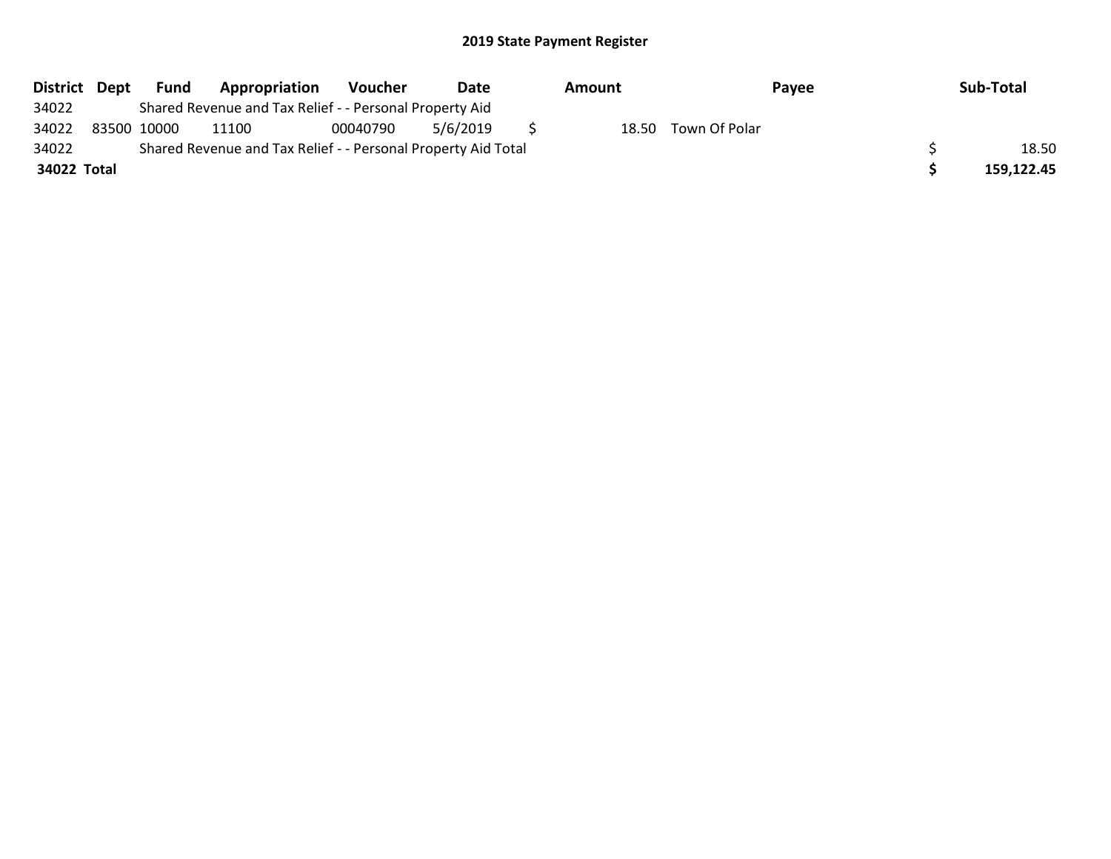| District Dept | Fund        | Appropriation                                                 | Voucher  | Date     | Amount |               | Payee | Sub-Total  |       |
|---------------|-------------|---------------------------------------------------------------|----------|----------|--------|---------------|-------|------------|-------|
| 34022         |             | Shared Revenue and Tax Relief - - Personal Property Aid       |          |          |        |               |       |            |       |
| 34022         | 83500 10000 | 11100                                                         | 00040790 | 5/6/2019 | 18.50  | Town Of Polar |       |            |       |
| 34022         |             | Shared Revenue and Tax Relief - - Personal Property Aid Total |          |          |        |               |       |            | 18.50 |
| 34022 Total   |             |                                                               |          |          |        |               |       | 159,122.45 |       |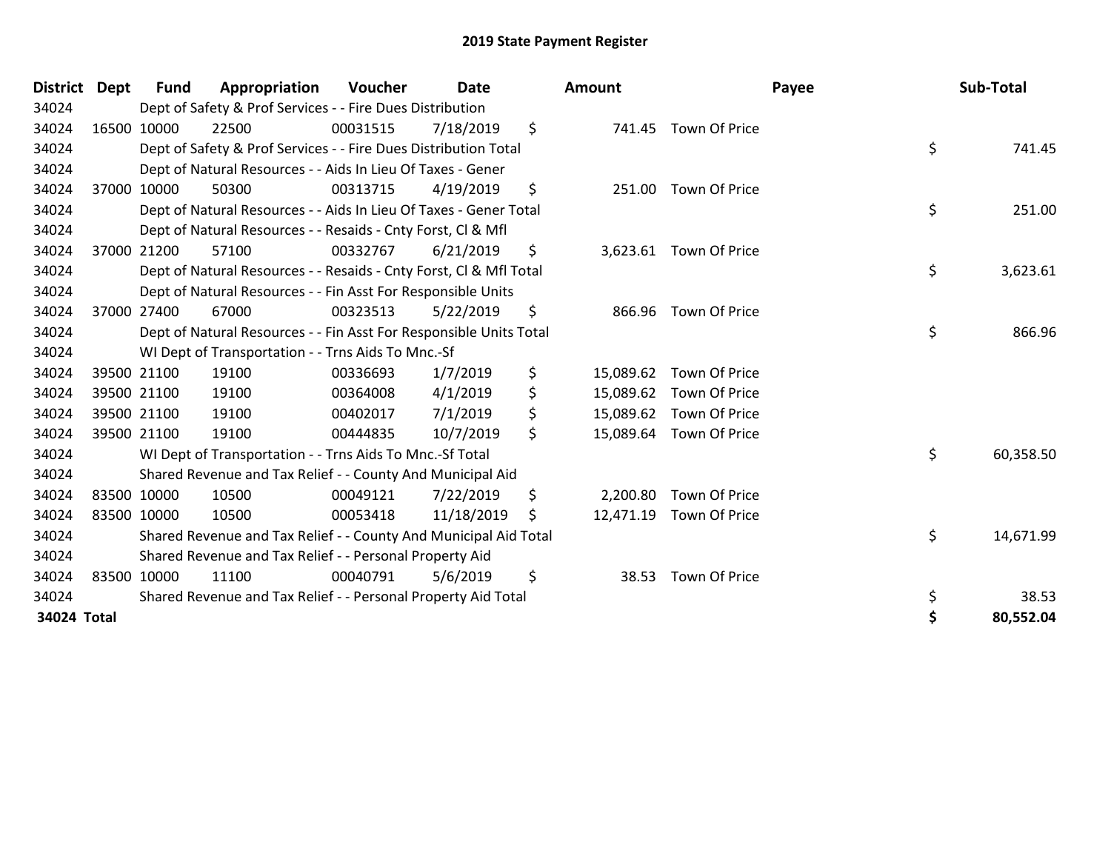| District Dept | Fund        | Appropriation                                                      | <b>Voucher</b> | Date       |     | <b>Amount</b> |                         | Payee | Sub-Total |
|---------------|-------------|--------------------------------------------------------------------|----------------|------------|-----|---------------|-------------------------|-------|-----------|
| 34024         |             | Dept of Safety & Prof Services - - Fire Dues Distribution          |                |            |     |               |                         |       |           |
| 34024         | 16500 10000 | 22500                                                              | 00031515       | 7/18/2019  | \$  |               | 741.45 Town Of Price    |       |           |
| 34024         |             | Dept of Safety & Prof Services - - Fire Dues Distribution Total    |                |            |     |               |                         | \$    | 741.45    |
| 34024         |             | Dept of Natural Resources - - Aids In Lieu Of Taxes - Gener        |                |            |     |               |                         |       |           |
| 34024         | 37000 10000 | 50300                                                              | 00313715       | 4/19/2019  | \$  |               | 251.00 Town Of Price    |       |           |
| 34024         |             | Dept of Natural Resources - - Aids In Lieu Of Taxes - Gener Total  |                |            |     |               |                         | \$    | 251.00    |
| 34024         |             | Dept of Natural Resources - - Resaids - Cnty Forst, CI & Mfl       |                |            |     |               |                         |       |           |
| 34024         | 37000 21200 | 57100                                                              | 00332767       | 6/21/2019  | \$  |               | 3,623.61 Town Of Price  |       |           |
| 34024         |             | Dept of Natural Resources - - Resaids - Cnty Forst, CI & Mfl Total |                |            |     |               |                         | \$    | 3,623.61  |
| 34024         |             | Dept of Natural Resources - - Fin Asst For Responsible Units       |                |            |     |               |                         |       |           |
| 34024         | 37000 27400 | 67000                                                              | 00323513       | 5/22/2019  | \$  |               | 866.96 Town Of Price    |       |           |
| 34024         |             | Dept of Natural Resources - - Fin Asst For Responsible Units Total |                |            |     |               |                         | \$    | 866.96    |
| 34024         |             | WI Dept of Transportation - - Trns Aids To Mnc.-Sf                 |                |            |     |               |                         |       |           |
| 34024         | 39500 21100 | 19100                                                              | 00336693       | 1/7/2019   | \$  | 15,089.62     | Town Of Price           |       |           |
| 34024         | 39500 21100 | 19100                                                              | 00364008       | 4/1/2019   | \$  |               | 15,089.62 Town Of Price |       |           |
| 34024         | 39500 21100 | 19100                                                              | 00402017       | 7/1/2019   | \$  |               | 15,089.62 Town Of Price |       |           |
| 34024         | 39500 21100 | 19100                                                              | 00444835       | 10/7/2019  | \$  |               | 15,089.64 Town Of Price |       |           |
| 34024         |             | WI Dept of Transportation - - Trns Aids To Mnc.-Sf Total           |                |            |     |               |                         | \$    | 60,358.50 |
| 34024         |             | Shared Revenue and Tax Relief - - County And Municipal Aid         |                |            |     |               |                         |       |           |
| 34024         | 83500 10000 | 10500                                                              | 00049121       | 7/22/2019  | \$  | 2,200.80      | Town Of Price           |       |           |
| 34024         | 83500 10000 | 10500                                                              | 00053418       | 11/18/2019 | \$. |               | 12,471.19 Town Of Price |       |           |
| 34024         |             | Shared Revenue and Tax Relief - - County And Municipal Aid Total   |                |            |     |               |                         | \$    | 14,671.99 |
| 34024         |             | Shared Revenue and Tax Relief - - Personal Property Aid            |                |            |     |               |                         |       |           |
| 34024         | 83500 10000 | 11100                                                              | 00040791       | 5/6/2019   | \$  | 38.53         | Town Of Price           |       |           |
| 34024         |             | Shared Revenue and Tax Relief - - Personal Property Aid Total      |                |            |     |               |                         | \$    | 38.53     |
| 34024 Total   |             |                                                                    |                |            |     |               |                         | Ś     | 80,552.04 |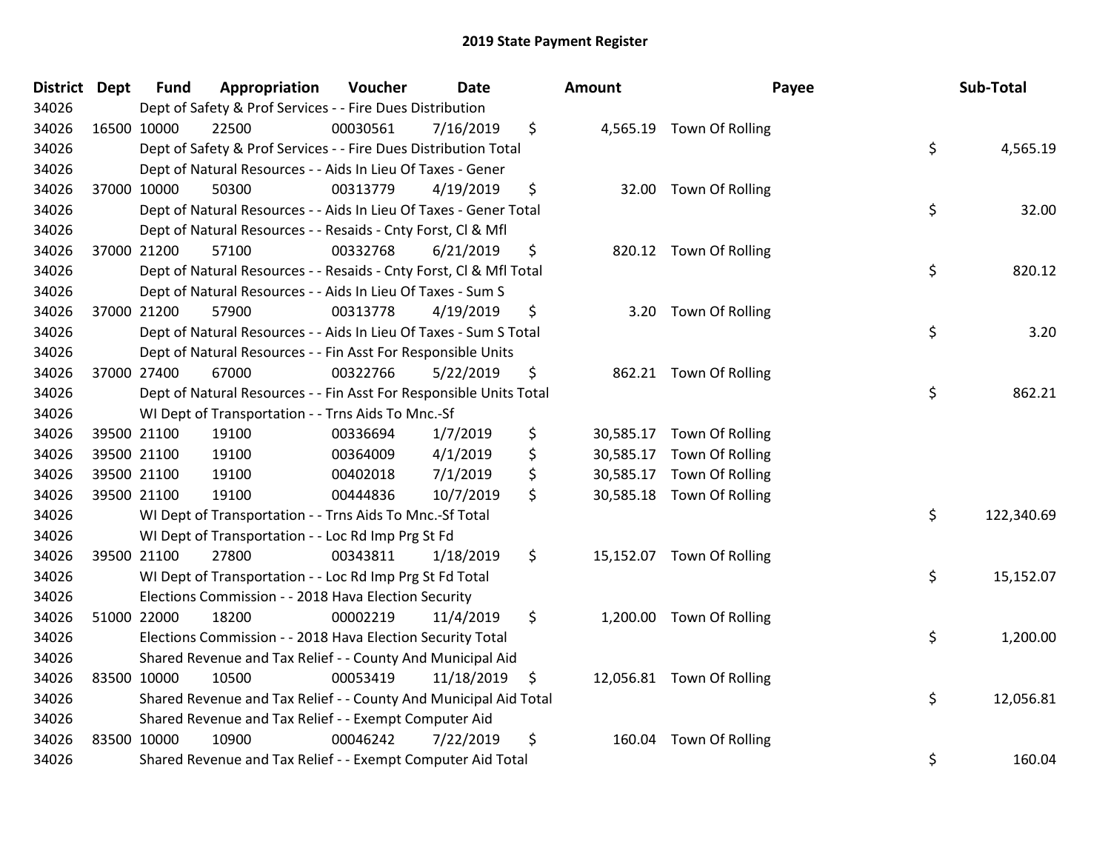| District Dept |             | <b>Fund</b> | Appropriation                                                      | Voucher  | Date       |     | <b>Amount</b> | Payee                     | Sub-Total        |
|---------------|-------------|-------------|--------------------------------------------------------------------|----------|------------|-----|---------------|---------------------------|------------------|
| 34026         |             |             | Dept of Safety & Prof Services - - Fire Dues Distribution          |          |            |     |               |                           |                  |
| 34026         |             | 16500 10000 | 22500                                                              | 00030561 | 7/16/2019  | \$  |               | 4,565.19 Town Of Rolling  |                  |
| 34026         |             |             | Dept of Safety & Prof Services - - Fire Dues Distribution Total    |          |            |     |               |                           | \$<br>4,565.19   |
| 34026         |             |             | Dept of Natural Resources - - Aids In Lieu Of Taxes - Gener        |          |            |     |               |                           |                  |
| 34026         |             | 37000 10000 | 50300                                                              | 00313779 | 4/19/2019  | \$  |               | 32.00 Town Of Rolling     |                  |
| 34026         |             |             | Dept of Natural Resources - - Aids In Lieu Of Taxes - Gener Total  |          |            |     |               |                           | \$<br>32.00      |
| 34026         |             |             | Dept of Natural Resources - - Resaids - Cnty Forst, Cl & Mfl       |          |            |     |               |                           |                  |
| 34026         |             | 37000 21200 | 57100                                                              | 00332768 | 6/21/2019  | \$  |               | 820.12 Town Of Rolling    |                  |
| 34026         |             |             | Dept of Natural Resources - - Resaids - Cnty Forst, Cl & Mfl Total |          |            |     |               |                           | \$<br>820.12     |
| 34026         |             |             | Dept of Natural Resources - - Aids In Lieu Of Taxes - Sum S        |          |            |     |               |                           |                  |
| 34026         |             | 37000 21200 | 57900                                                              | 00313778 | 4/19/2019  | \$  |               | 3.20 Town Of Rolling      |                  |
| 34026         |             |             | Dept of Natural Resources - - Aids In Lieu Of Taxes - Sum S Total  |          |            |     |               |                           | \$<br>3.20       |
| 34026         |             |             | Dept of Natural Resources - - Fin Asst For Responsible Units       |          |            |     |               |                           |                  |
| 34026         |             | 37000 27400 | 67000                                                              | 00322766 | 5/22/2019  | \$  |               | 862.21 Town Of Rolling    |                  |
| 34026         |             |             | Dept of Natural Resources - - Fin Asst For Responsible Units Total |          |            |     |               |                           | \$<br>862.21     |
| 34026         |             |             | WI Dept of Transportation - - Trns Aids To Mnc.-Sf                 |          |            |     |               |                           |                  |
| 34026         |             | 39500 21100 | 19100                                                              | 00336694 | 1/7/2019   | \$  |               | 30,585.17 Town Of Rolling |                  |
| 34026         |             | 39500 21100 | 19100                                                              | 00364009 | 4/1/2019   | \$  |               | 30,585.17 Town Of Rolling |                  |
| 34026         |             | 39500 21100 | 19100                                                              | 00402018 | 7/1/2019   | \$  |               | 30,585.17 Town Of Rolling |                  |
| 34026         |             | 39500 21100 | 19100                                                              | 00444836 | 10/7/2019  | \$  |               | 30,585.18 Town Of Rolling |                  |
| 34026         |             |             | WI Dept of Transportation - - Trns Aids To Mnc.-Sf Total           |          |            |     |               |                           | \$<br>122,340.69 |
| 34026         |             |             | WI Dept of Transportation - - Loc Rd Imp Prg St Fd                 |          |            |     |               |                           |                  |
| 34026         |             | 39500 21100 | 27800                                                              | 00343811 | 1/18/2019  | \$  |               | 15,152.07 Town Of Rolling |                  |
| 34026         |             |             | WI Dept of Transportation - - Loc Rd Imp Prg St Fd Total           |          |            |     |               |                           | \$<br>15,152.07  |
| 34026         |             |             | Elections Commission - - 2018 Hava Election Security               |          |            |     |               |                           |                  |
| 34026         |             | 51000 22000 | 18200                                                              | 00002219 | 11/4/2019  | \$  |               | 1,200.00 Town Of Rolling  |                  |
| 34026         |             |             | Elections Commission - - 2018 Hava Election Security Total         |          |            |     |               |                           | \$<br>1,200.00   |
| 34026         |             |             | Shared Revenue and Tax Relief - - County And Municipal Aid         |          |            |     |               |                           |                  |
| 34026         | 83500 10000 |             | 10500                                                              | 00053419 | 11/18/2019 | -\$ |               | 12,056.81 Town Of Rolling |                  |
| 34026         |             |             | Shared Revenue and Tax Relief - - County And Municipal Aid Total   |          |            |     |               |                           | \$<br>12,056.81  |
| 34026         |             |             | Shared Revenue and Tax Relief - - Exempt Computer Aid              |          |            |     |               |                           |                  |
| 34026         | 83500 10000 |             | 10900                                                              | 00046242 | 7/22/2019  | \$  | 160.04        | Town Of Rolling           |                  |
| 34026         |             |             | Shared Revenue and Tax Relief - - Exempt Computer Aid Total        |          |            |     |               |                           | \$<br>160.04     |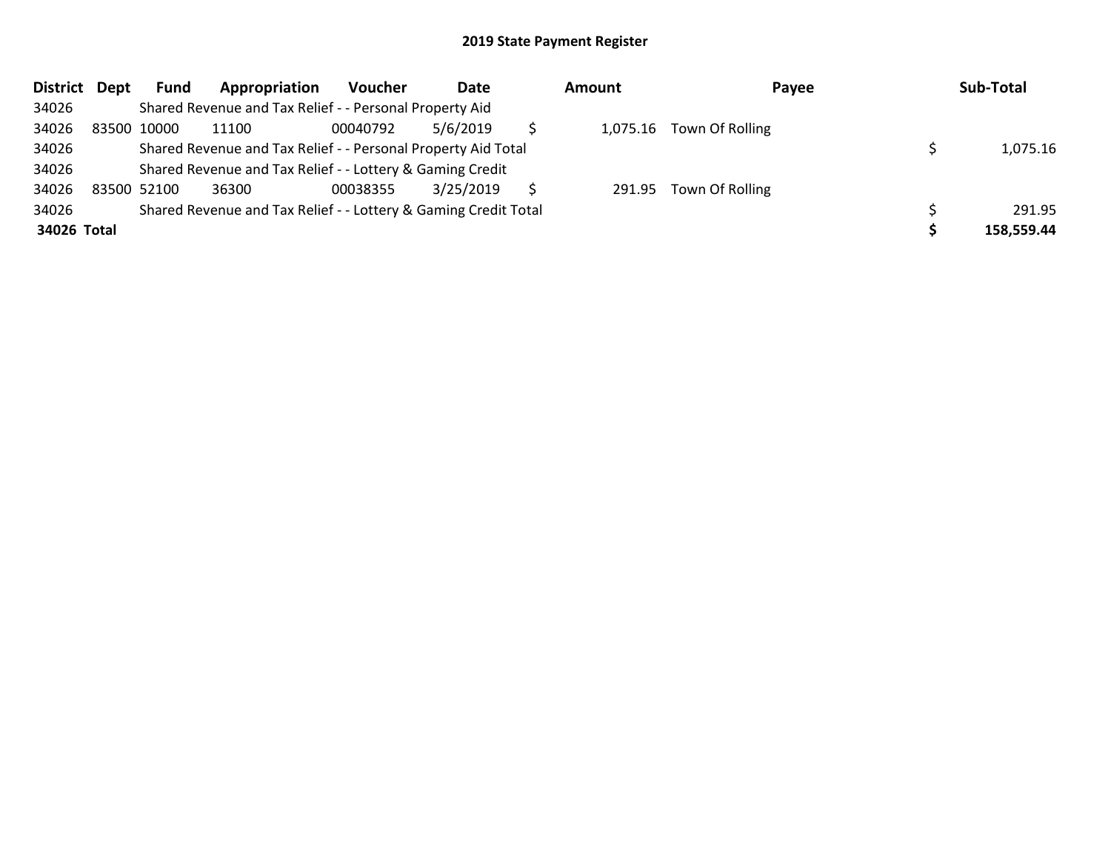| District Dept |             | Fund | Appropriation                                                   | Voucher  | Date      | <b>Amount</b> | Payee                    | Sub-Total  |
|---------------|-------------|------|-----------------------------------------------------------------|----------|-----------|---------------|--------------------------|------------|
| 34026         |             |      | Shared Revenue and Tax Relief - - Personal Property Aid         |          |           |               |                          |            |
| 34026         | 83500 10000 |      | 11100                                                           | 00040792 | 5/6/2019  |               | 1,075.16 Town Of Rolling |            |
| 34026         |             |      | Shared Revenue and Tax Relief - - Personal Property Aid Total   |          |           |               |                          | 1,075.16   |
| 34026         |             |      | Shared Revenue and Tax Relief - - Lottery & Gaming Credit       |          |           |               |                          |            |
| 34026         | 83500 52100 |      | 36300                                                           | 00038355 | 3/25/2019 |               | 291.95 Town Of Rolling   |            |
| 34026         |             |      | Shared Revenue and Tax Relief - - Lottery & Gaming Credit Total |          |           |               |                          | 291.95     |
| 34026 Total   |             |      |                                                                 |          |           |               |                          | 158,559.44 |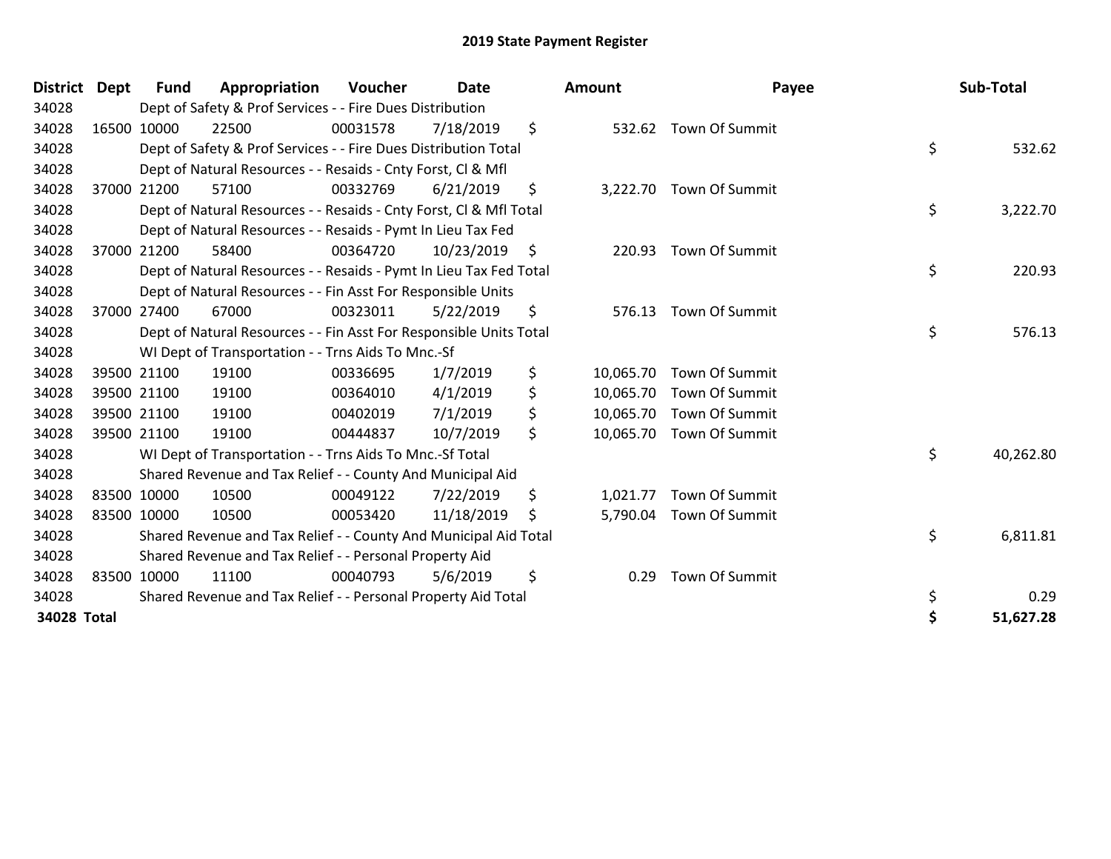| District    | <b>Dept</b> | Fund        | Appropriation                                                      | <b>Voucher</b> | Date       | <b>Amount</b>   | Payee                    |    | Sub-Total |
|-------------|-------------|-------------|--------------------------------------------------------------------|----------------|------------|-----------------|--------------------------|----|-----------|
| 34028       |             |             | Dept of Safety & Prof Services - - Fire Dues Distribution          |                |            |                 |                          |    |           |
| 34028       |             | 16500 10000 | 22500                                                              | 00031578       | 7/18/2019  | \$              | 532.62 Town Of Summit    |    |           |
| 34028       |             |             | Dept of Safety & Prof Services - - Fire Dues Distribution Total    |                |            |                 |                          | \$ | 532.62    |
| 34028       |             |             | Dept of Natural Resources - - Resaids - Cnty Forst, CI & Mfl       |                |            |                 |                          |    |           |
| 34028       |             | 37000 21200 | 57100                                                              | 00332769       | 6/21/2019  | \$              | 3,222.70 Town Of Summit  |    |           |
| 34028       |             |             | Dept of Natural Resources - - Resaids - Cnty Forst, CI & Mfl Total |                |            |                 |                          | \$ | 3,222.70  |
| 34028       |             |             | Dept of Natural Resources - - Resaids - Pymt In Lieu Tax Fed       |                |            |                 |                          |    |           |
| 34028       |             | 37000 21200 | 58400                                                              | 00364720       | 10/23/2019 | \$<br>220.93    | Town Of Summit           |    |           |
| 34028       |             |             | Dept of Natural Resources - - Resaids - Pymt In Lieu Tax Fed Total |                |            |                 |                          | \$ | 220.93    |
| 34028       |             |             | Dept of Natural Resources - - Fin Asst For Responsible Units       |                |            |                 |                          |    |           |
| 34028       |             | 37000 27400 | 67000                                                              | 00323011       | 5/22/2019  | \$<br>576.13    | Town Of Summit           |    |           |
| 34028       |             |             | Dept of Natural Resources - - Fin Asst For Responsible Units Total |                |            |                 |                          | \$ | 576.13    |
| 34028       |             |             | WI Dept of Transportation - - Trns Aids To Mnc.-Sf                 |                |            |                 |                          |    |           |
| 34028       |             | 39500 21100 | 19100                                                              | 00336695       | 1/7/2019   | \$<br>10,065.70 | <b>Town Of Summit</b>    |    |           |
| 34028       |             | 39500 21100 | 19100                                                              | 00364010       | 4/1/2019   | \$              | 10,065.70 Town Of Summit |    |           |
| 34028       |             | 39500 21100 | 19100                                                              | 00402019       | 7/1/2019   | \$<br>10,065.70 | Town Of Summit           |    |           |
| 34028       |             | 39500 21100 | 19100                                                              | 00444837       | 10/7/2019  | \$              | 10,065.70 Town Of Summit |    |           |
| 34028       |             |             | WI Dept of Transportation - - Trns Aids To Mnc.-Sf Total           |                |            |                 |                          | \$ | 40,262.80 |
| 34028       |             |             | Shared Revenue and Tax Relief - - County And Municipal Aid         |                |            |                 |                          |    |           |
| 34028       |             | 83500 10000 | 10500                                                              | 00049122       | 7/22/2019  | \$<br>1,021.77  | Town Of Summit           |    |           |
| 34028       |             | 83500 10000 | 10500                                                              | 00053420       | 11/18/2019 | \$              | 5,790.04 Town Of Summit  |    |           |
| 34028       |             |             | Shared Revenue and Tax Relief - - County And Municipal Aid Total   |                |            |                 |                          | \$ | 6,811.81  |
| 34028       |             |             | Shared Revenue and Tax Relief - - Personal Property Aid            |                |            |                 |                          |    |           |
| 34028       |             | 83500 10000 | 11100                                                              | 00040793       | 5/6/2019   | \$<br>0.29      | Town Of Summit           |    |           |
| 34028       |             |             | Shared Revenue and Tax Relief - - Personal Property Aid Total      |                |            |                 |                          | \$ | 0.29      |
| 34028 Total |             |             |                                                                    |                |            |                 |                          | Ś  | 51,627.28 |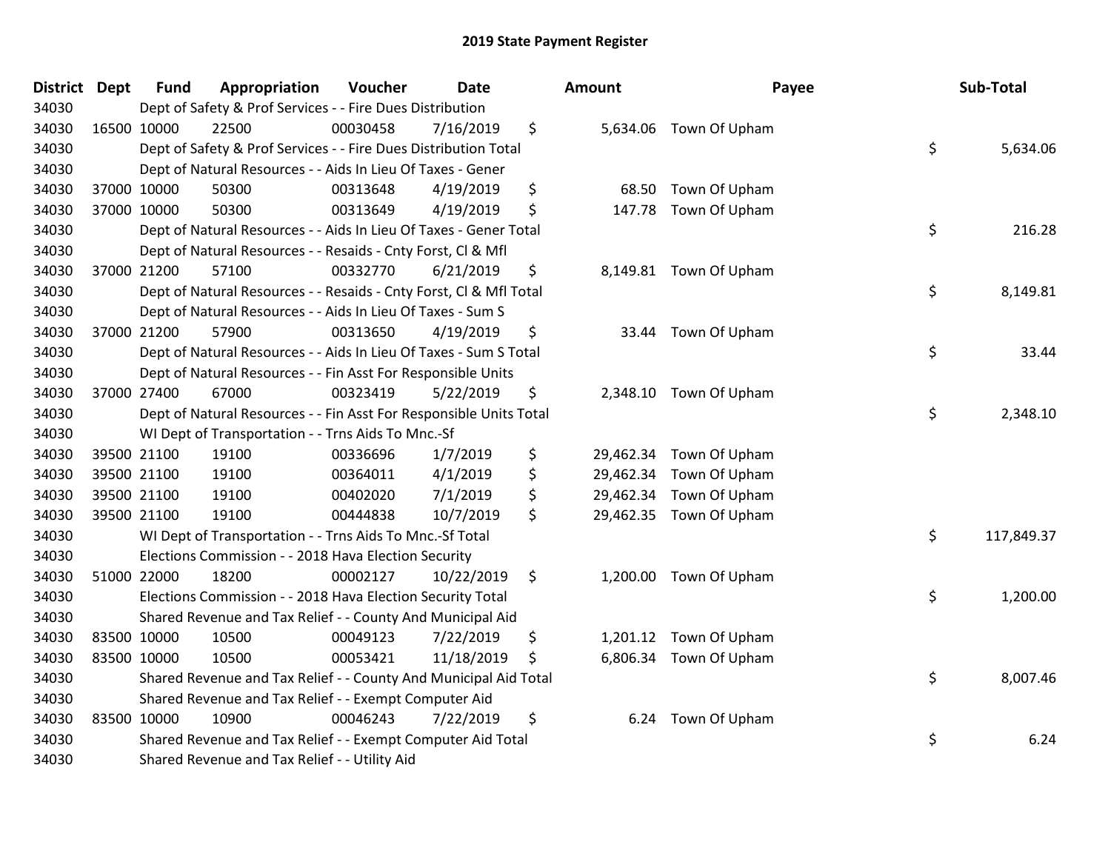| District | <b>Dept</b> | <b>Fund</b> | Appropriation                                                      | Voucher  | <b>Date</b> | Amount          | Payee                  | Sub-Total        |
|----------|-------------|-------------|--------------------------------------------------------------------|----------|-------------|-----------------|------------------------|------------------|
| 34030    |             |             | Dept of Safety & Prof Services - - Fire Dues Distribution          |          |             |                 |                        |                  |
| 34030    |             | 16500 10000 | 22500                                                              | 00030458 | 7/16/2019   | \$              | 5,634.06 Town Of Upham |                  |
| 34030    |             |             | Dept of Safety & Prof Services - - Fire Dues Distribution Total    |          |             |                 |                        | \$<br>5,634.06   |
| 34030    |             |             | Dept of Natural Resources - - Aids In Lieu Of Taxes - Gener        |          |             |                 |                        |                  |
| 34030    |             | 37000 10000 | 50300                                                              | 00313648 | 4/19/2019   | \$<br>68.50     | Town Of Upham          |                  |
| 34030    |             | 37000 10000 | 50300                                                              | 00313649 | 4/19/2019   | \$<br>147.78    | Town Of Upham          |                  |
| 34030    |             |             | Dept of Natural Resources - - Aids In Lieu Of Taxes - Gener Total  |          |             |                 |                        | \$<br>216.28     |
| 34030    |             |             | Dept of Natural Resources - - Resaids - Cnty Forst, Cl & Mfl       |          |             |                 |                        |                  |
| 34030    |             | 37000 21200 | 57100                                                              | 00332770 | 6/21/2019   | \$              | 8,149.81 Town Of Upham |                  |
| 34030    |             |             | Dept of Natural Resources - - Resaids - Cnty Forst, Cl & Mfl Total |          |             |                 |                        | \$<br>8,149.81   |
| 34030    |             |             | Dept of Natural Resources - - Aids In Lieu Of Taxes - Sum S        |          |             |                 |                        |                  |
| 34030    |             | 37000 21200 | 57900                                                              | 00313650 | 4/19/2019   | \$<br>33.44     | Town Of Upham          |                  |
| 34030    |             |             | Dept of Natural Resources - - Aids In Lieu Of Taxes - Sum S Total  |          |             |                 |                        | \$<br>33.44      |
| 34030    |             |             | Dept of Natural Resources - - Fin Asst For Responsible Units       |          |             |                 |                        |                  |
| 34030    |             | 37000 27400 | 67000                                                              | 00323419 | 5/22/2019   | \$<br>2,348.10  | Town Of Upham          |                  |
| 34030    |             |             | Dept of Natural Resources - - Fin Asst For Responsible Units Total |          |             |                 |                        | \$<br>2,348.10   |
| 34030    |             |             | WI Dept of Transportation - - Trns Aids To Mnc.-Sf                 |          |             |                 |                        |                  |
| 34030    |             | 39500 21100 | 19100                                                              | 00336696 | 1/7/2019    | \$<br>29,462.34 | Town Of Upham          |                  |
| 34030    |             | 39500 21100 | 19100                                                              | 00364011 | 4/1/2019    | \$<br>29,462.34 | Town Of Upham          |                  |
| 34030    |             | 39500 21100 | 19100                                                              | 00402020 | 7/1/2019    | \$<br>29,462.34 | Town Of Upham          |                  |
| 34030    |             | 39500 21100 | 19100                                                              | 00444838 | 10/7/2019   | \$<br>29,462.35 | Town Of Upham          |                  |
| 34030    |             |             | WI Dept of Transportation - - Trns Aids To Mnc.-Sf Total           |          |             |                 |                        | \$<br>117,849.37 |
| 34030    |             |             | Elections Commission - - 2018 Hava Election Security               |          |             |                 |                        |                  |
| 34030    |             | 51000 22000 | 18200                                                              | 00002127 | 10/22/2019  | \$<br>1,200.00  | Town Of Upham          |                  |
| 34030    |             |             | Elections Commission - - 2018 Hava Election Security Total         |          |             |                 |                        | \$<br>1,200.00   |
| 34030    |             |             | Shared Revenue and Tax Relief - - County And Municipal Aid         |          |             |                 |                        |                  |
| 34030    |             | 83500 10000 | 10500                                                              | 00049123 | 7/22/2019   | \$<br>1,201.12  | Town Of Upham          |                  |
| 34030    | 83500 10000 |             | 10500                                                              | 00053421 | 11/18/2019  | \$              | 6,806.34 Town Of Upham |                  |
| 34030    |             |             | Shared Revenue and Tax Relief - - County And Municipal Aid Total   |          |             |                 |                        | \$<br>8,007.46   |
| 34030    |             |             | Shared Revenue and Tax Relief - - Exempt Computer Aid              |          |             |                 |                        |                  |
| 34030    | 83500 10000 |             | 10900                                                              | 00046243 | 7/22/2019   | \$<br>6.24      | Town Of Upham          |                  |
| 34030    |             |             | Shared Revenue and Tax Relief - - Exempt Computer Aid Total        |          |             |                 |                        | \$<br>6.24       |
| 34030    |             |             | Shared Revenue and Tax Relief - - Utility Aid                      |          |             |                 |                        |                  |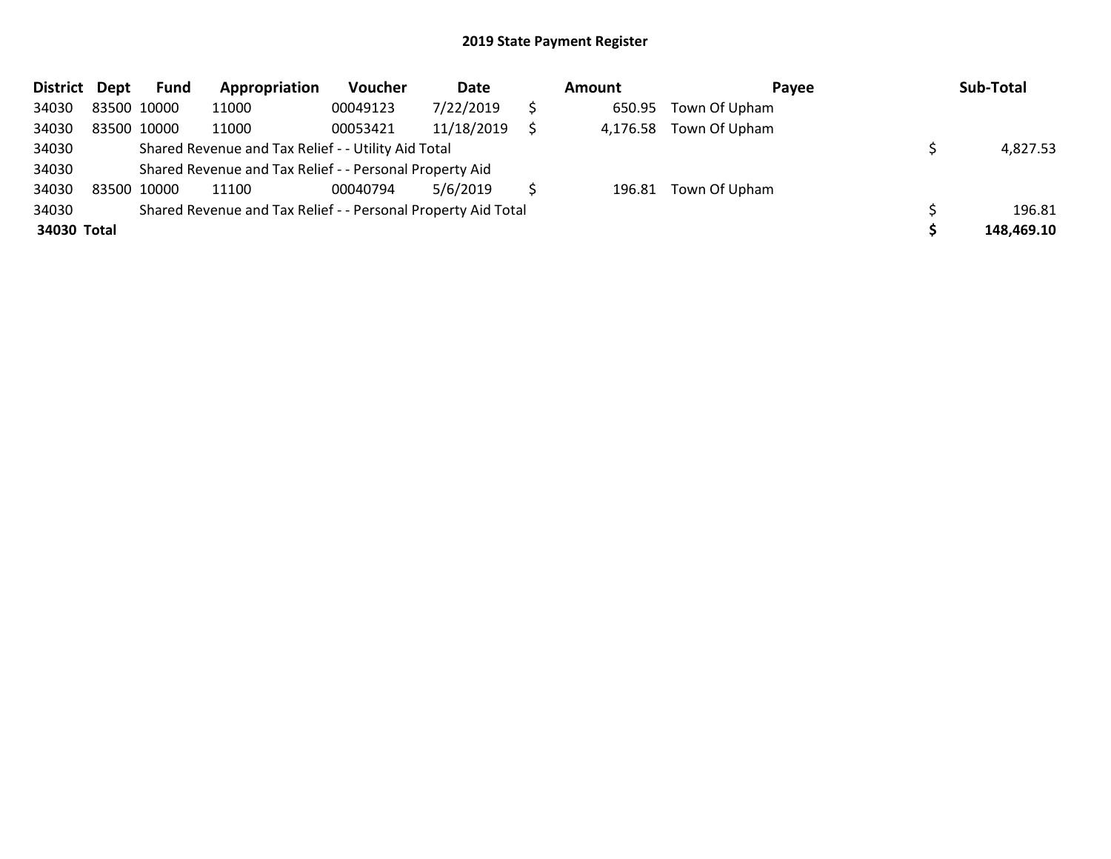| <b>District</b> | Dept | Fund        | Appropriation                                                 | Voucher  | Date       | Amount   | Payee                | Sub-Total  |
|-----------------|------|-------------|---------------------------------------------------------------|----------|------------|----------|----------------------|------------|
| 34030           |      | 83500 10000 | 11000                                                         | 00049123 | 7/22/2019  | 650.95   | Town Of Upham        |            |
| 34030           |      | 83500 10000 | 11000                                                         | 00053421 | 11/18/2019 | 4,176.58 | Town Of Upham        |            |
| 34030           |      |             | Shared Revenue and Tax Relief - - Utility Aid Total           |          |            |          |                      | 4,827.53   |
| 34030           |      |             | Shared Revenue and Tax Relief - - Personal Property Aid       |          |            |          |                      |            |
| 34030           |      | 83500 10000 | 11100                                                         | 00040794 | 5/6/2019   |          | 196.81 Town Of Upham |            |
| 34030           |      |             | Shared Revenue and Tax Relief - - Personal Property Aid Total |          |            |          |                      | 196.81     |
| 34030 Total     |      |             |                                                               |          |            |          |                      | 148,469.10 |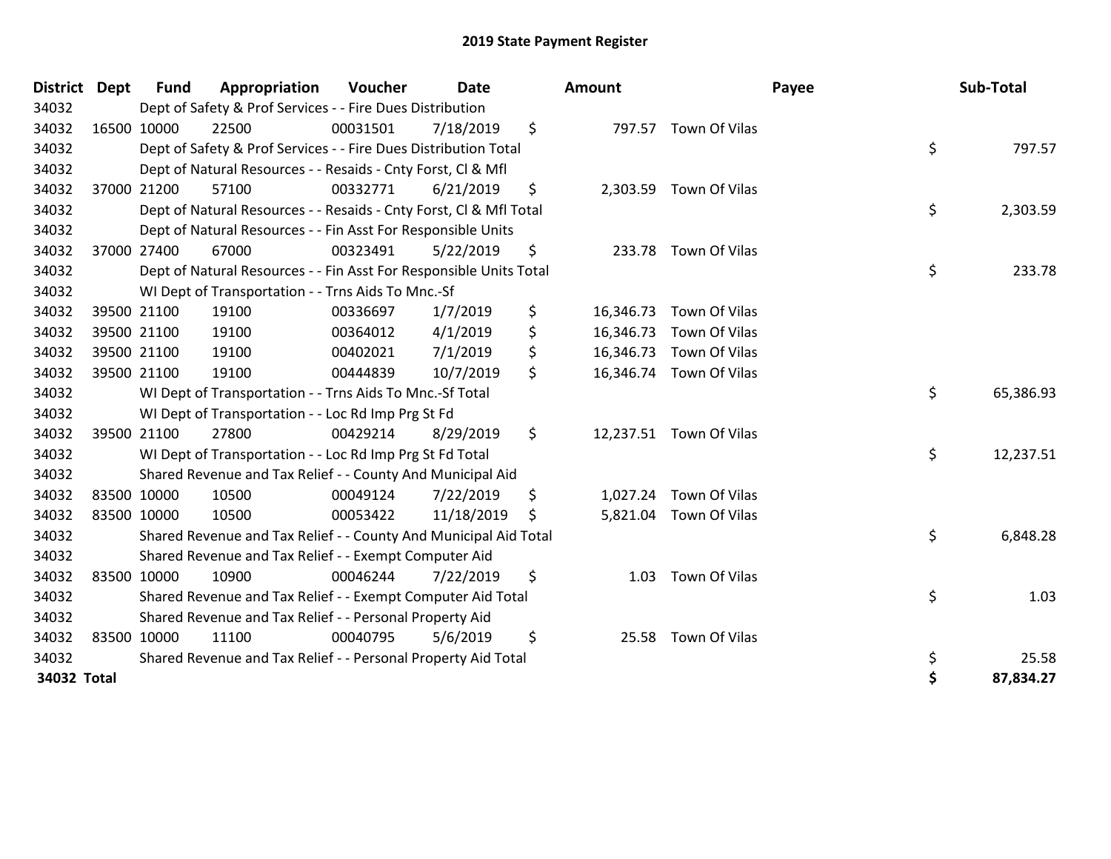| <b>District</b> | <b>Dept</b> | <b>Fund</b> | Appropriation                                                      | Voucher  | <b>Date</b> |     | Amount    |                         | Payee | Sub-Total |
|-----------------|-------------|-------------|--------------------------------------------------------------------|----------|-------------|-----|-----------|-------------------------|-------|-----------|
| 34032           |             |             | Dept of Safety & Prof Services - - Fire Dues Distribution          |          |             |     |           |                         |       |           |
| 34032           |             | 16500 10000 | 22500                                                              | 00031501 | 7/18/2019   | \$  |           | 797.57 Town Of Vilas    |       |           |
| 34032           |             |             | Dept of Safety & Prof Services - - Fire Dues Distribution Total    |          |             |     |           |                         | \$    | 797.57    |
| 34032           |             |             | Dept of Natural Resources - - Resaids - Cnty Forst, CI & Mfl       |          |             |     |           |                         |       |           |
| 34032           |             | 37000 21200 | 57100                                                              | 00332771 | 6/21/2019   | \$  |           | 2,303.59 Town Of Vilas  |       |           |
| 34032           |             |             | Dept of Natural Resources - - Resaids - Cnty Forst, Cl & Mfl Total |          |             |     |           |                         | \$    | 2,303.59  |
| 34032           |             |             | Dept of Natural Resources - - Fin Asst For Responsible Units       |          |             |     |           |                         |       |           |
| 34032           |             | 37000 27400 | 67000                                                              | 00323491 | 5/22/2019   | \$  |           | 233.78 Town Of Vilas    |       |           |
| 34032           |             |             | Dept of Natural Resources - - Fin Asst For Responsible Units Total |          |             |     |           |                         | \$    | 233.78    |
| 34032           |             |             | WI Dept of Transportation - - Trns Aids To Mnc.-Sf                 |          |             |     |           |                         |       |           |
| 34032           |             | 39500 21100 | 19100                                                              | 00336697 | 1/7/2019    | \$  | 16,346.73 | Town Of Vilas           |       |           |
| 34032           |             | 39500 21100 | 19100                                                              | 00364012 | 4/1/2019    | \$  | 16,346.73 | Town Of Vilas           |       |           |
| 34032           |             | 39500 21100 | 19100                                                              | 00402021 | 7/1/2019    | \$  |           | 16,346.73 Town Of Vilas |       |           |
| 34032           |             | 39500 21100 | 19100                                                              | 00444839 | 10/7/2019   | \$  |           | 16,346.74 Town Of Vilas |       |           |
| 34032           |             |             | WI Dept of Transportation - - Trns Aids To Mnc.-Sf Total           |          |             |     |           |                         | \$    | 65,386.93 |
| 34032           |             |             | WI Dept of Transportation - - Loc Rd Imp Prg St Fd                 |          |             |     |           |                         |       |           |
| 34032           |             | 39500 21100 | 27800                                                              | 00429214 | 8/29/2019   | \$  |           | 12,237.51 Town Of Vilas |       |           |
| 34032           |             |             | WI Dept of Transportation - - Loc Rd Imp Prg St Fd Total           |          |             |     |           |                         | \$    | 12,237.51 |
| 34032           |             |             | Shared Revenue and Tax Relief - - County And Municipal Aid         |          |             |     |           |                         |       |           |
| 34032           |             | 83500 10000 | 10500                                                              | 00049124 | 7/22/2019   | \$  |           | 1,027.24 Town Of Vilas  |       |           |
| 34032           |             | 83500 10000 | 10500                                                              | 00053422 | 11/18/2019  | \$. |           | 5,821.04 Town Of Vilas  |       |           |
| 34032           |             |             | Shared Revenue and Tax Relief - - County And Municipal Aid Total   |          |             |     |           |                         | \$    | 6,848.28  |
| 34032           |             |             | Shared Revenue and Tax Relief - - Exempt Computer Aid              |          |             |     |           |                         |       |           |
| 34032           |             | 83500 10000 | 10900                                                              | 00046244 | 7/22/2019   | \$  | 1.03      | Town Of Vilas           |       |           |
| 34032           |             |             | Shared Revenue and Tax Relief - - Exempt Computer Aid Total        |          |             |     |           |                         | \$    | 1.03      |
| 34032           |             |             | Shared Revenue and Tax Relief - - Personal Property Aid            |          |             |     |           |                         |       |           |
| 34032           |             | 83500 10000 | 11100                                                              | 00040795 | 5/6/2019    | \$  | 25.58     | Town Of Vilas           |       |           |
| 34032           |             |             | Shared Revenue and Tax Relief - - Personal Property Aid Total      |          |             |     |           |                         | \$    | 25.58     |
| 34032 Total     |             |             |                                                                    |          |             |     |           |                         | \$    | 87,834.27 |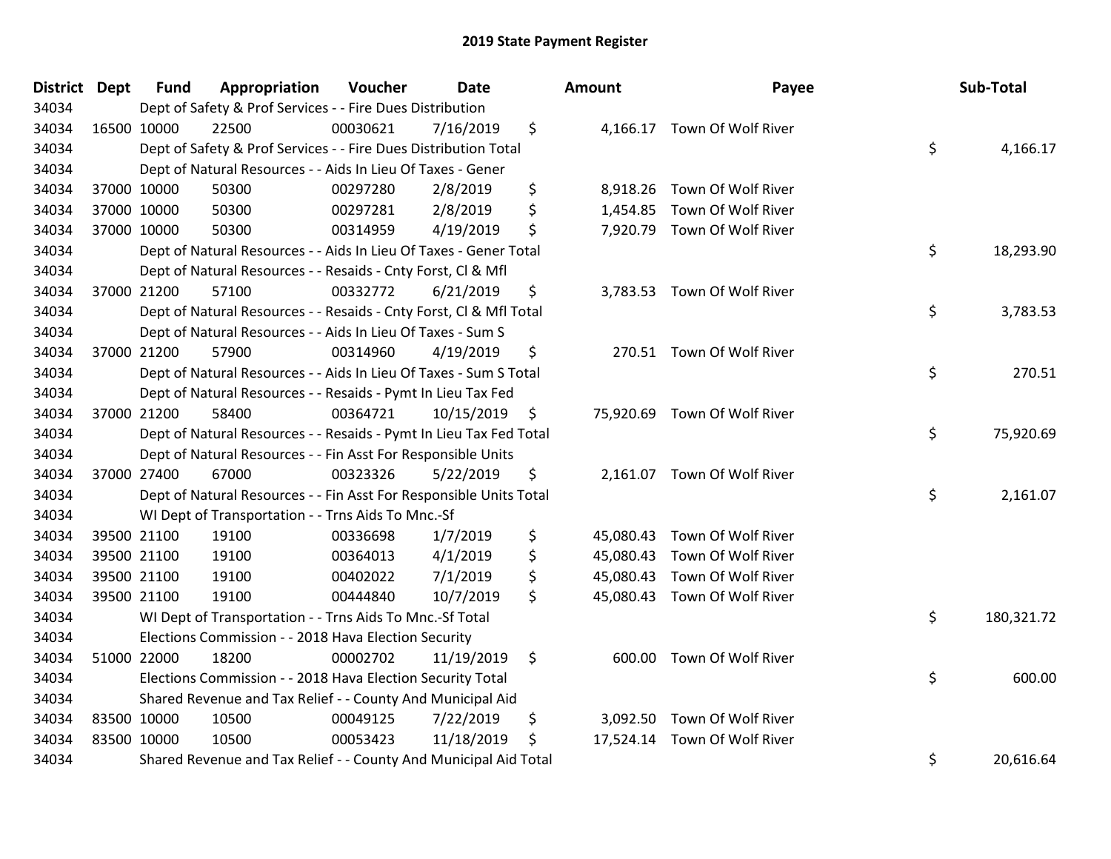| <b>District Dept</b> | <b>Fund</b> | Appropriation                                                      | Voucher  | Date       | Amount          | Payee                        | Sub-Total        |
|----------------------|-------------|--------------------------------------------------------------------|----------|------------|-----------------|------------------------------|------------------|
| 34034                |             | Dept of Safety & Prof Services - - Fire Dues Distribution          |          |            |                 |                              |                  |
| 34034                | 16500 10000 | 22500                                                              | 00030621 | 7/16/2019  | \$              | 4,166.17 Town Of Wolf River  |                  |
| 34034                |             | Dept of Safety & Prof Services - - Fire Dues Distribution Total    |          |            |                 |                              | \$<br>4,166.17   |
| 34034                |             | Dept of Natural Resources - - Aids In Lieu Of Taxes - Gener        |          |            |                 |                              |                  |
| 34034                | 37000 10000 | 50300                                                              | 00297280 | 2/8/2019   | \$              | 8,918.26 Town Of Wolf River  |                  |
| 34034                | 37000 10000 | 50300                                                              | 00297281 | 2/8/2019   | \$              | 1,454.85 Town Of Wolf River  |                  |
| 34034                | 37000 10000 | 50300                                                              | 00314959 | 4/19/2019  | \$              | 7,920.79 Town Of Wolf River  |                  |
| 34034                |             | Dept of Natural Resources - - Aids In Lieu Of Taxes - Gener Total  |          |            |                 |                              | \$<br>18,293.90  |
| 34034                |             | Dept of Natural Resources - - Resaids - Cnty Forst, CI & Mfl       |          |            |                 |                              |                  |
| 34034                | 37000 21200 | 57100                                                              | 00332772 | 6/21/2019  | \$              | 3,783.53 Town Of Wolf River  |                  |
| 34034                |             | Dept of Natural Resources - - Resaids - Cnty Forst, Cl & Mfl Total |          |            |                 |                              | \$<br>3,783.53   |
| 34034                |             | Dept of Natural Resources - - Aids In Lieu Of Taxes - Sum S        |          |            |                 |                              |                  |
| 34034                | 37000 21200 | 57900                                                              | 00314960 | 4/19/2019  | \$              | 270.51 Town Of Wolf River    |                  |
| 34034                |             | Dept of Natural Resources - - Aids In Lieu Of Taxes - Sum S Total  |          |            |                 |                              | \$<br>270.51     |
| 34034                |             | Dept of Natural Resources - - Resaids - Pymt In Lieu Tax Fed       |          |            |                 |                              |                  |
| 34034                | 37000 21200 | 58400                                                              | 00364721 | 10/15/2019 | \$              | 75,920.69 Town Of Wolf River |                  |
| 34034                |             | Dept of Natural Resources - - Resaids - Pymt In Lieu Tax Fed Total |          |            |                 |                              | \$<br>75,920.69  |
| 34034                |             | Dept of Natural Resources - - Fin Asst For Responsible Units       |          |            |                 |                              |                  |
| 34034                | 37000 27400 | 67000                                                              | 00323326 | 5/22/2019  | \$              | 2,161.07 Town Of Wolf River  |                  |
| 34034                |             | Dept of Natural Resources - - Fin Asst For Responsible Units Total |          |            |                 |                              | \$<br>2,161.07   |
| 34034                |             | WI Dept of Transportation - - Trns Aids To Mnc.-Sf                 |          |            |                 |                              |                  |
| 34034                | 39500 21100 | 19100                                                              | 00336698 | 1/7/2019   | \$              | 45,080.43 Town Of Wolf River |                  |
| 34034                | 39500 21100 | 19100                                                              | 00364013 | 4/1/2019   | \$              | 45,080.43 Town Of Wolf River |                  |
| 34034                | 39500 21100 | 19100                                                              | 00402022 | 7/1/2019   | \$              | 45,080.43 Town Of Wolf River |                  |
| 34034                | 39500 21100 | 19100                                                              | 00444840 | 10/7/2019  | \$<br>45,080.43 | Town Of Wolf River           |                  |
| 34034                |             | WI Dept of Transportation - - Trns Aids To Mnc.-Sf Total           |          |            |                 |                              | \$<br>180,321.72 |
| 34034                |             | Elections Commission - - 2018 Hava Election Security               |          |            |                 |                              |                  |
| 34034                | 51000 22000 | 18200                                                              | 00002702 | 11/19/2019 | \$              | 600.00 Town Of Wolf River    |                  |
| 34034                |             | Elections Commission - - 2018 Hava Election Security Total         |          |            |                 |                              | \$<br>600.00     |
| 34034                |             | Shared Revenue and Tax Relief - - County And Municipal Aid         |          |            |                 |                              |                  |
| 34034                | 83500 10000 | 10500                                                              | 00049125 | 7/22/2019  | \$              | 3,092.50 Town Of Wolf River  |                  |
| 34034                | 83500 10000 | 10500                                                              | 00053423 | 11/18/2019 | \$              | 17,524.14 Town Of Wolf River |                  |
| 34034                |             | Shared Revenue and Tax Relief - - County And Municipal Aid Total   |          |            |                 |                              | \$<br>20,616.64  |

| nount     | Payee                       | Sub-Total        |
|-----------|-----------------------------|------------------|
| 4,166.17  | Town Of Wolf River          | \$<br>4,166.17   |
|           | 8,918.26 Town Of Wolf River |                  |
| 1,454.85  | Town Of Wolf River          |                  |
| 7,920.79  | Town Of Wolf River          |                  |
|           |                             | \$<br>18,293.90  |
| 3,783.53  | Town Of Wolf River          |                  |
|           |                             | \$<br>3,783.53   |
| 270.51    | Town Of Wolf River          |                  |
|           |                             | \$<br>270.51     |
| 75,920.69 | Town Of Wolf River          |                  |
|           |                             | \$<br>75,920.69  |
| 2,161.07  | Town Of Wolf River          |                  |
|           |                             | \$<br>2,161.07   |
| 45,080.43 | Town Of Wolf River          |                  |
| 45,080.43 | Town Of Wolf River          |                  |
| 45,080.43 | Town Of Wolf River          |                  |
| 45,080.43 | Town Of Wolf River          |                  |
|           |                             | \$<br>180,321.72 |
| 600.00    | Town Of Wolf River          |                  |
|           |                             | \$<br>600.00     |
|           | 3,092.50 Town Of Wolf River |                  |
| 17,524.14 | Town Of Wolf River          |                  |
|           |                             | \$<br>20,616.64  |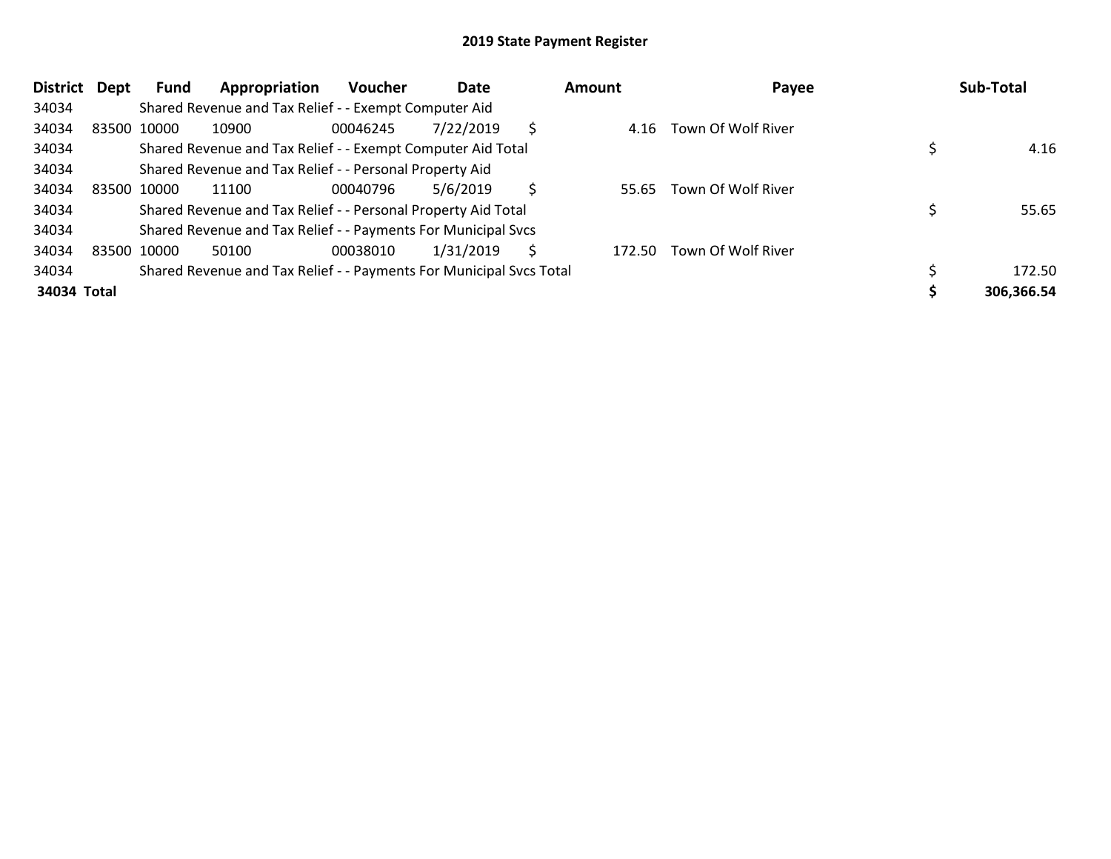| <b>District</b> | Dept | Fund        | Appropriation                                                       | <b>Voucher</b> | Date      |   | Amount | Payee                     | Sub-Total  |
|-----------------|------|-------------|---------------------------------------------------------------------|----------------|-----------|---|--------|---------------------------|------------|
| 34034           |      |             | Shared Revenue and Tax Relief - - Exempt Computer Aid               |                |           |   |        |                           |            |
| 34034           |      | 83500 10000 | 10900                                                               | 00046245       | 7/22/2019 | Ŝ | 4.16   | Town Of Wolf River        |            |
| 34034           |      |             | Shared Revenue and Tax Relief - - Exempt Computer Aid Total         |                |           |   |        |                           | 4.16       |
| 34034           |      |             | Shared Revenue and Tax Relief - - Personal Property Aid             |                |           |   |        |                           |            |
| 34034           |      | 83500 10000 | 11100                                                               | 00040796       | 5/6/2019  | S | 55.65  | Town Of Wolf River        |            |
| 34034           |      |             | Shared Revenue and Tax Relief - - Personal Property Aid Total       |                |           |   |        |                           | 55.65      |
| 34034           |      |             | Shared Revenue and Tax Relief - - Payments For Municipal Svcs       |                |           |   |        |                           |            |
| 34034           |      | 83500 10000 | 50100                                                               | 00038010       | 1/31/2019 | S |        | 172.50 Town Of Wolf River |            |
| 34034           |      |             | Shared Revenue and Tax Relief - - Payments For Municipal Svcs Total |                |           |   |        |                           | 172.50     |
| 34034 Total     |      |             |                                                                     |                |           |   |        |                           | 306,366.54 |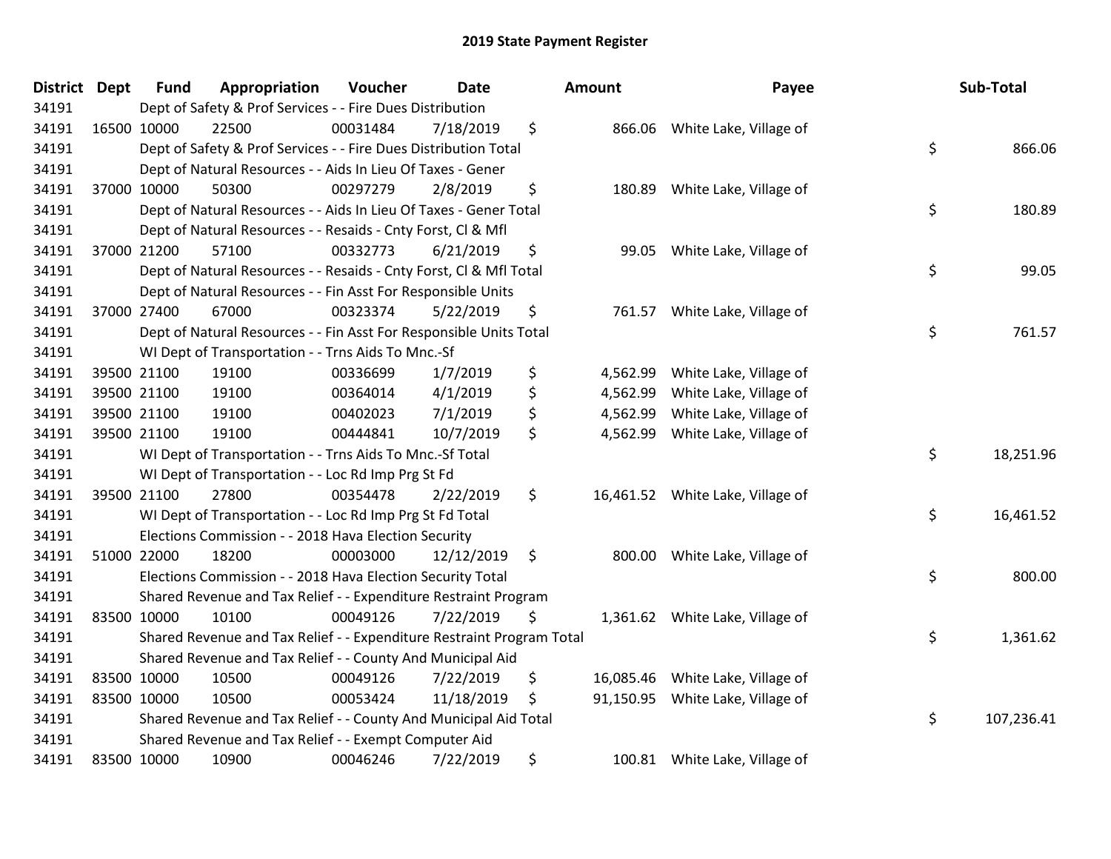| District Dept | <b>Fund</b> | Appropriation                                                         | Voucher  | <b>Date</b> | Amount          | Payee                            | Sub-Total        |
|---------------|-------------|-----------------------------------------------------------------------|----------|-------------|-----------------|----------------------------------|------------------|
| 34191         |             | Dept of Safety & Prof Services - - Fire Dues Distribution             |          |             |                 |                                  |                  |
| 34191         | 16500 10000 | 22500                                                                 | 00031484 | 7/18/2019   | \$<br>866.06    | White Lake, Village of           |                  |
| 34191         |             | Dept of Safety & Prof Services - - Fire Dues Distribution Total       |          |             |                 |                                  | \$<br>866.06     |
| 34191         |             | Dept of Natural Resources - - Aids In Lieu Of Taxes - Gener           |          |             |                 |                                  |                  |
| 34191         | 37000 10000 | 50300                                                                 | 00297279 | 2/8/2019    | \$<br>180.89    | White Lake, Village of           |                  |
| 34191         |             | Dept of Natural Resources - - Aids In Lieu Of Taxes - Gener Total     |          |             |                 |                                  | \$<br>180.89     |
| 34191         |             | Dept of Natural Resources - - Resaids - Cnty Forst, Cl & Mfl          |          |             |                 |                                  |                  |
| 34191         | 37000 21200 | 57100                                                                 | 00332773 | 6/21/2019   | \$<br>99.05     | White Lake, Village of           |                  |
| 34191         |             | Dept of Natural Resources - - Resaids - Cnty Forst, Cl & Mfl Total    |          |             |                 |                                  | \$<br>99.05      |
| 34191         |             | Dept of Natural Resources - - Fin Asst For Responsible Units          |          |             |                 |                                  |                  |
| 34191         | 37000 27400 | 67000                                                                 | 00323374 | 5/22/2019   | \$<br>761.57    | White Lake, Village of           |                  |
| 34191         |             | Dept of Natural Resources - - Fin Asst For Responsible Units Total    |          |             |                 |                                  | \$<br>761.57     |
| 34191         |             | WI Dept of Transportation - - Trns Aids To Mnc.-Sf                    |          |             |                 |                                  |                  |
| 34191         | 39500 21100 | 19100                                                                 | 00336699 | 1/7/2019    | \$<br>4,562.99  | White Lake, Village of           |                  |
| 34191         | 39500 21100 | 19100                                                                 | 00364014 | 4/1/2019    | \$<br>4,562.99  | White Lake, Village of           |                  |
| 34191         | 39500 21100 | 19100                                                                 | 00402023 | 7/1/2019    | \$<br>4,562.99  | White Lake, Village of           |                  |
| 34191         | 39500 21100 | 19100                                                                 | 00444841 | 10/7/2019   | \$<br>4,562.99  | White Lake, Village of           |                  |
| 34191         |             | WI Dept of Transportation - - Trns Aids To Mnc.-Sf Total              |          |             |                 |                                  | \$<br>18,251.96  |
| 34191         |             | WI Dept of Transportation - - Loc Rd Imp Prg St Fd                    |          |             |                 |                                  |                  |
| 34191         | 39500 21100 | 27800                                                                 | 00354478 | 2/22/2019   | \$              | 16,461.52 White Lake, Village of |                  |
| 34191         |             | WI Dept of Transportation - - Loc Rd Imp Prg St Fd Total              |          |             |                 |                                  | \$<br>16,461.52  |
| 34191         |             | Elections Commission - - 2018 Hava Election Security                  |          |             |                 |                                  |                  |
| 34191         | 51000 22000 | 18200                                                                 | 00003000 | 12/12/2019  | \$<br>800.00    | White Lake, Village of           |                  |
| 34191         |             | Elections Commission - - 2018 Hava Election Security Total            |          |             |                 |                                  | \$<br>800.00     |
| 34191         |             | Shared Revenue and Tax Relief - - Expenditure Restraint Program       |          |             |                 |                                  |                  |
| 34191         | 83500 10000 | 10100                                                                 | 00049126 | 7/22/2019   | \$              | 1,361.62 White Lake, Village of  |                  |
| 34191         |             | Shared Revenue and Tax Relief - - Expenditure Restraint Program Total |          |             |                 |                                  | \$<br>1,361.62   |
| 34191         |             | Shared Revenue and Tax Relief - - County And Municipal Aid            |          |             |                 |                                  |                  |
| 34191         | 83500 10000 | 10500                                                                 | 00049126 | 7/22/2019   | \$<br>16,085.46 | White Lake, Village of           |                  |
| 34191         | 83500 10000 | 10500                                                                 | 00053424 | 11/18/2019  | \$<br>91,150.95 | White Lake, Village of           |                  |
| 34191         |             | Shared Revenue and Tax Relief - - County And Municipal Aid Total      |          |             |                 |                                  | \$<br>107,236.41 |
| 34191         |             | Shared Revenue and Tax Relief - - Exempt Computer Aid                 |          |             |                 |                                  |                  |
| 34191         | 83500 10000 | 10900                                                                 | 00046246 | 7/22/2019   | \$              | 100.81 White Lake, Village of    |                  |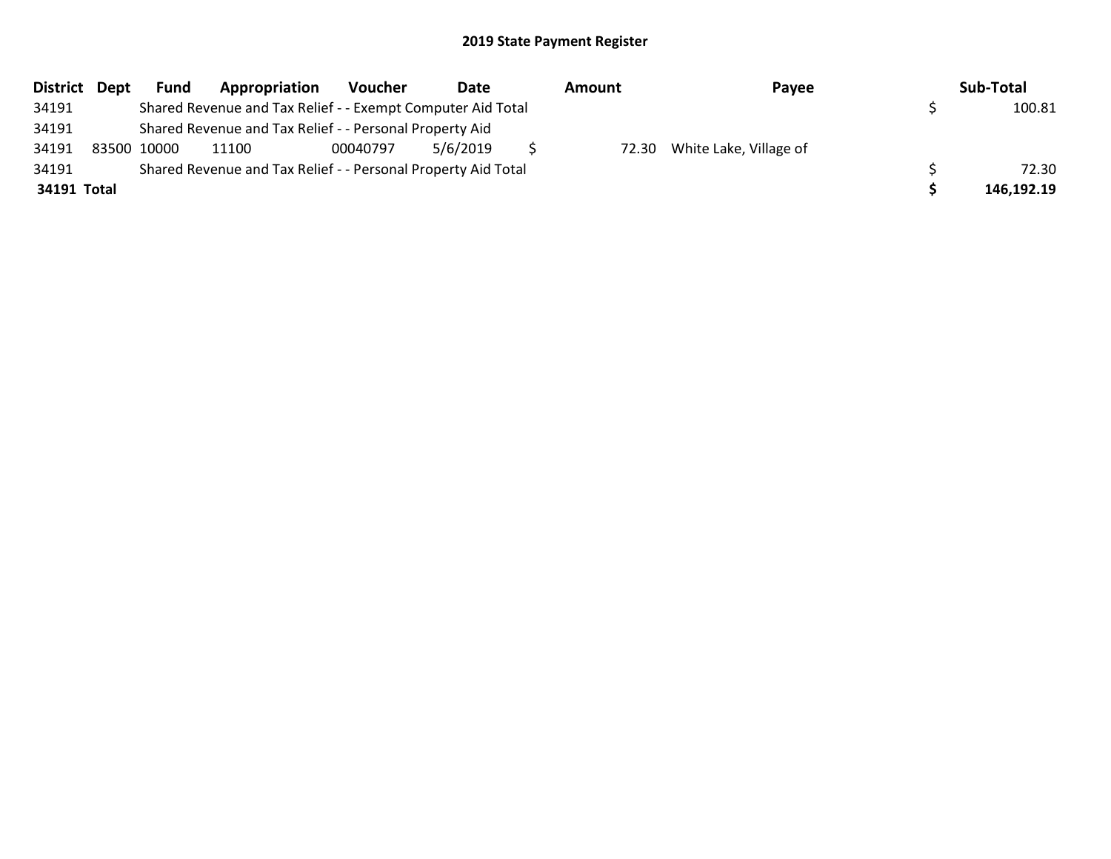| District Dept | <b>Fund</b> | Appropriation                                                 | Voucher  | Date     | Amount | Payee                        | Sub-Total  |
|---------------|-------------|---------------------------------------------------------------|----------|----------|--------|------------------------------|------------|
| 34191         |             | Shared Revenue and Tax Relief - - Exempt Computer Aid Total   |          |          |        |                              | 100.81     |
| 34191         |             | Shared Revenue and Tax Relief - - Personal Property Aid       |          |          |        |                              |            |
| 34191         | 83500 10000 | 11100                                                         | 00040797 | 5/6/2019 |        | 72.30 White Lake, Village of |            |
| 34191         |             | Shared Revenue and Tax Relief - - Personal Property Aid Total |          |          |        |                              | 72.30      |
| 34191 Total   |             |                                                               |          |          |        |                              | 146,192.19 |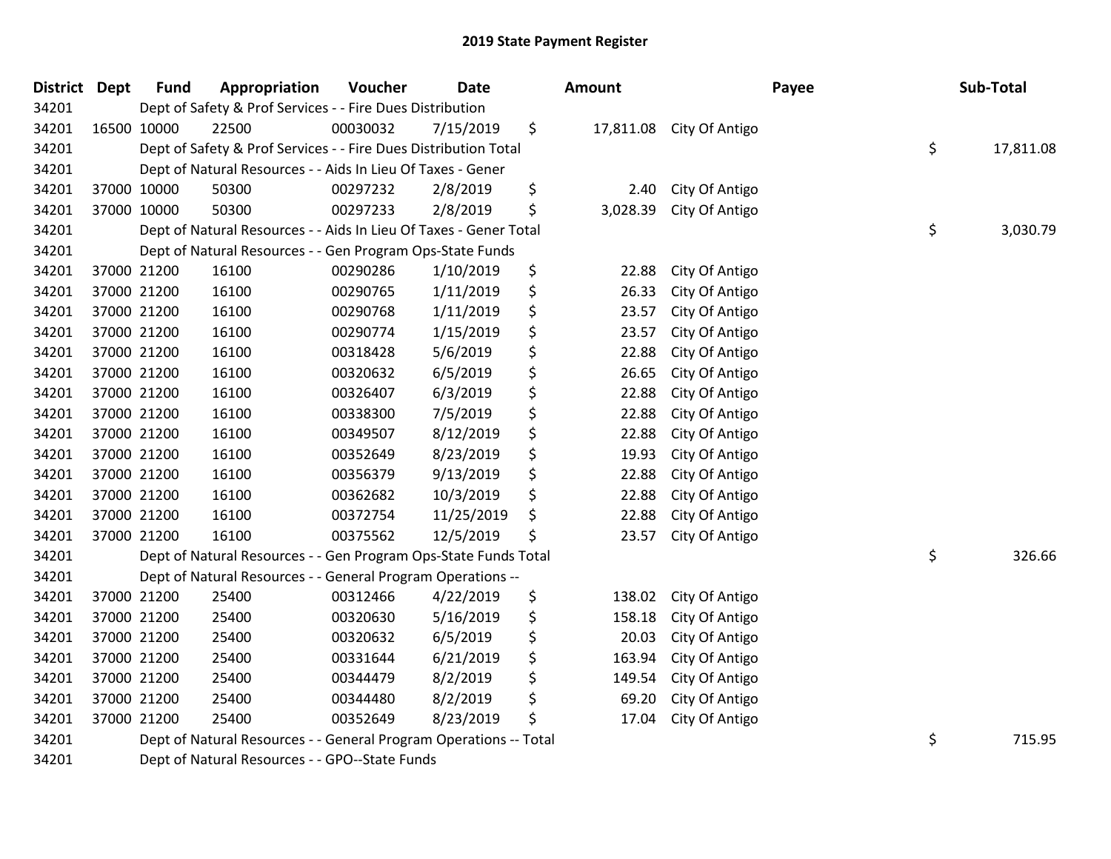| <b>District Dept</b> | <b>Fund</b> | Appropriation                                                     | Voucher  | <b>Date</b> | Amount         |                          | Payee | Sub-Total       |
|----------------------|-------------|-------------------------------------------------------------------|----------|-------------|----------------|--------------------------|-------|-----------------|
| 34201                |             | Dept of Safety & Prof Services - - Fire Dues Distribution         |          |             |                |                          |       |                 |
| 34201                | 16500 10000 | 22500                                                             | 00030032 | 7/15/2019   | \$             | 17,811.08 City Of Antigo |       |                 |
| 34201                |             | Dept of Safety & Prof Services - - Fire Dues Distribution Total   |          |             |                |                          |       | \$<br>17,811.08 |
| 34201                |             | Dept of Natural Resources - - Aids In Lieu Of Taxes - Gener       |          |             |                |                          |       |                 |
| 34201                | 37000 10000 | 50300                                                             | 00297232 | 2/8/2019    | \$<br>2.40     | City Of Antigo           |       |                 |
| 34201                | 37000 10000 | 50300                                                             | 00297233 | 2/8/2019    | \$<br>3,028.39 | City Of Antigo           |       |                 |
| 34201                |             | Dept of Natural Resources - - Aids In Lieu Of Taxes - Gener Total |          |             |                |                          |       | \$<br>3,030.79  |
| 34201                |             | Dept of Natural Resources - - Gen Program Ops-State Funds         |          |             |                |                          |       |                 |
| 34201                | 37000 21200 | 16100                                                             | 00290286 | 1/10/2019   | \$<br>22.88    | City Of Antigo           |       |                 |
| 34201                | 37000 21200 | 16100                                                             | 00290765 | 1/11/2019   | \$<br>26.33    | City Of Antigo           |       |                 |
| 34201                | 37000 21200 | 16100                                                             | 00290768 | 1/11/2019   | \$<br>23.57    | City Of Antigo           |       |                 |
| 34201                | 37000 21200 | 16100                                                             | 00290774 | 1/15/2019   | \$<br>23.57    | City Of Antigo           |       |                 |
| 34201                | 37000 21200 | 16100                                                             | 00318428 | 5/6/2019    | \$<br>22.88    | City Of Antigo           |       |                 |
| 34201                | 37000 21200 | 16100                                                             | 00320632 | 6/5/2019    | \$<br>26.65    | City Of Antigo           |       |                 |
| 34201                | 37000 21200 | 16100                                                             | 00326407 | 6/3/2019    | \$<br>22.88    | City Of Antigo           |       |                 |
| 34201                | 37000 21200 | 16100                                                             | 00338300 | 7/5/2019    | \$<br>22.88    | City Of Antigo           |       |                 |
| 34201                | 37000 21200 | 16100                                                             | 00349507 | 8/12/2019   | \$<br>22.88    | City Of Antigo           |       |                 |
| 34201                | 37000 21200 | 16100                                                             | 00352649 | 8/23/2019   | \$<br>19.93    | City Of Antigo           |       |                 |
| 34201                | 37000 21200 | 16100                                                             | 00356379 | 9/13/2019   | \$<br>22.88    | City Of Antigo           |       |                 |
| 34201                | 37000 21200 | 16100                                                             | 00362682 | 10/3/2019   | \$<br>22.88    | City Of Antigo           |       |                 |
| 34201                | 37000 21200 | 16100                                                             | 00372754 | 11/25/2019  | \$<br>22.88    | City Of Antigo           |       |                 |
| 34201                | 37000 21200 | 16100                                                             | 00375562 | 12/5/2019   | \$<br>23.57    | City Of Antigo           |       |                 |
| 34201                |             | Dept of Natural Resources - - Gen Program Ops-State Funds Total   |          |             |                |                          |       | \$<br>326.66    |
| 34201                |             | Dept of Natural Resources - - General Program Operations --       |          |             |                |                          |       |                 |
| 34201                | 37000 21200 | 25400                                                             | 00312466 | 4/22/2019   | \$<br>138.02   | City Of Antigo           |       |                 |
| 34201                | 37000 21200 | 25400                                                             | 00320630 | 5/16/2019   | \$<br>158.18   | City Of Antigo           |       |                 |
| 34201                | 37000 21200 | 25400                                                             | 00320632 | 6/5/2019    | \$<br>20.03    | City Of Antigo           |       |                 |
| 34201                | 37000 21200 | 25400                                                             | 00331644 | 6/21/2019   | \$<br>163.94   | City Of Antigo           |       |                 |
| 34201                | 37000 21200 | 25400                                                             | 00344479 | 8/2/2019    | \$<br>149.54   | City Of Antigo           |       |                 |
| 34201                | 37000 21200 | 25400                                                             | 00344480 | 8/2/2019    | \$<br>69.20    | City Of Antigo           |       |                 |
| 34201                | 37000 21200 | 25400                                                             | 00352649 | 8/23/2019   | \$<br>17.04    | City Of Antigo           |       |                 |
| 34201                |             | Dept of Natural Resources - - General Program Operations -- Total |          |             |                |                          |       | \$<br>715.95    |
| 34201                |             | Dept of Natural Resources - - GPO--State Funds                    |          |             |                |                          |       |                 |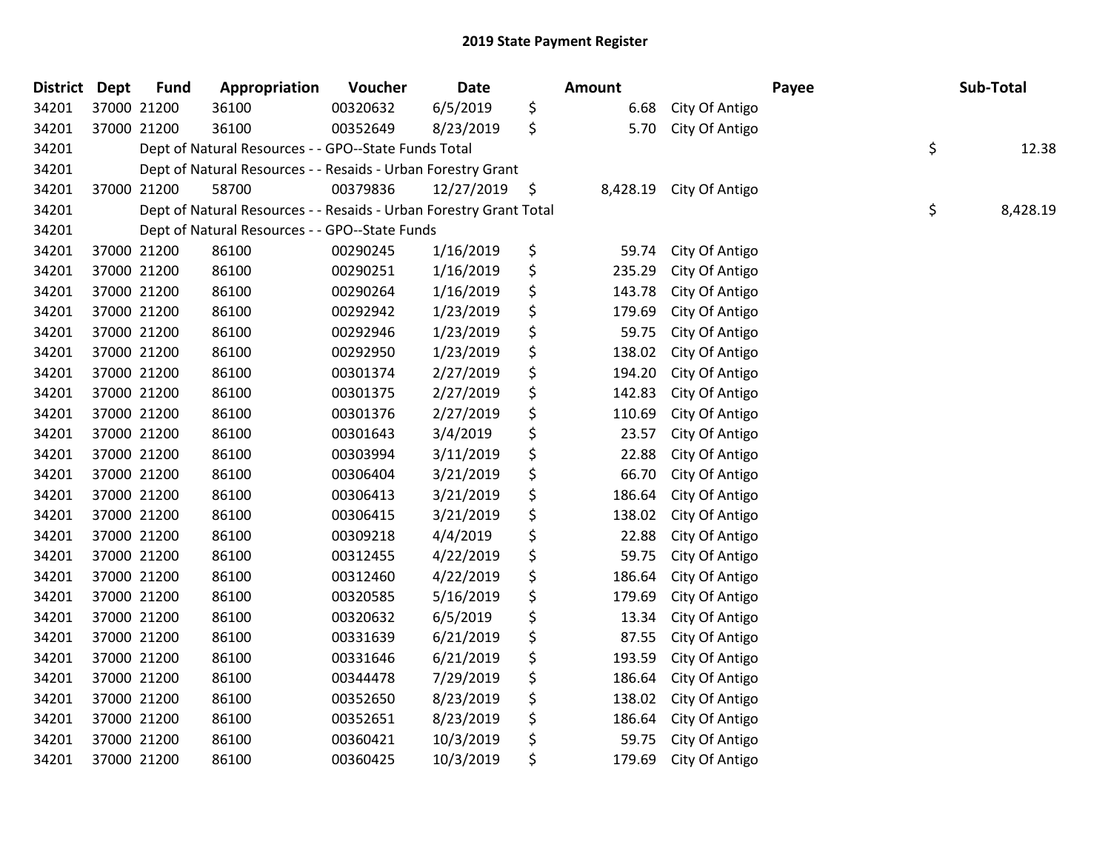| <b>District</b> | <b>Dept</b> | <b>Fund</b> | Appropriation                                                      | Voucher  | Date       | Amount         |                | Payee | Sub-Total      |
|-----------------|-------------|-------------|--------------------------------------------------------------------|----------|------------|----------------|----------------|-------|----------------|
| 34201           |             | 37000 21200 | 36100                                                              | 00320632 | 6/5/2019   | \$<br>6.68     | City Of Antigo |       |                |
| 34201           |             | 37000 21200 | 36100                                                              | 00352649 | 8/23/2019  | \$<br>5.70     | City Of Antigo |       |                |
| 34201           |             |             | Dept of Natural Resources - - GPO--State Funds Total               |          |            |                |                |       | \$<br>12.38    |
| 34201           |             |             | Dept of Natural Resources - - Resaids - Urban Forestry Grant       |          |            |                |                |       |                |
| 34201           |             | 37000 21200 | 58700                                                              | 00379836 | 12/27/2019 | \$<br>8,428.19 | City Of Antigo |       |                |
| 34201           |             |             | Dept of Natural Resources - - Resaids - Urban Forestry Grant Total |          |            |                |                |       | \$<br>8,428.19 |
| 34201           |             |             | Dept of Natural Resources - - GPO--State Funds                     |          |            |                |                |       |                |
| 34201           |             | 37000 21200 | 86100                                                              | 00290245 | 1/16/2019  | \$<br>59.74    | City Of Antigo |       |                |
| 34201           |             | 37000 21200 | 86100                                                              | 00290251 | 1/16/2019  | \$<br>235.29   | City Of Antigo |       |                |
| 34201           |             | 37000 21200 | 86100                                                              | 00290264 | 1/16/2019  | \$<br>143.78   | City Of Antigo |       |                |
| 34201           |             | 37000 21200 | 86100                                                              | 00292942 | 1/23/2019  | \$<br>179.69   | City Of Antigo |       |                |
| 34201           |             | 37000 21200 | 86100                                                              | 00292946 | 1/23/2019  | \$<br>59.75    | City Of Antigo |       |                |
| 34201           |             | 37000 21200 | 86100                                                              | 00292950 | 1/23/2019  | \$<br>138.02   | City Of Antigo |       |                |
| 34201           |             | 37000 21200 | 86100                                                              | 00301374 | 2/27/2019  | \$<br>194.20   | City Of Antigo |       |                |
| 34201           |             | 37000 21200 | 86100                                                              | 00301375 | 2/27/2019  | \$<br>142.83   | City Of Antigo |       |                |
| 34201           |             | 37000 21200 | 86100                                                              | 00301376 | 2/27/2019  | \$<br>110.69   | City Of Antigo |       |                |
| 34201           |             | 37000 21200 | 86100                                                              | 00301643 | 3/4/2019   | \$<br>23.57    | City Of Antigo |       |                |
| 34201           |             | 37000 21200 | 86100                                                              | 00303994 | 3/11/2019  | \$<br>22.88    | City Of Antigo |       |                |
| 34201           |             | 37000 21200 | 86100                                                              | 00306404 | 3/21/2019  | \$<br>66.70    | City Of Antigo |       |                |
| 34201           |             | 37000 21200 | 86100                                                              | 00306413 | 3/21/2019  | \$<br>186.64   | City Of Antigo |       |                |
| 34201           |             | 37000 21200 | 86100                                                              | 00306415 | 3/21/2019  | \$<br>138.02   | City Of Antigo |       |                |
| 34201           |             | 37000 21200 | 86100                                                              | 00309218 | 4/4/2019   | \$<br>22.88    | City Of Antigo |       |                |
| 34201           |             | 37000 21200 | 86100                                                              | 00312455 | 4/22/2019  | \$<br>59.75    | City Of Antigo |       |                |
| 34201           |             | 37000 21200 | 86100                                                              | 00312460 | 4/22/2019  | \$<br>186.64   | City Of Antigo |       |                |
| 34201           |             | 37000 21200 | 86100                                                              | 00320585 | 5/16/2019  | \$<br>179.69   | City Of Antigo |       |                |
| 34201           |             | 37000 21200 | 86100                                                              | 00320632 | 6/5/2019   | \$<br>13.34    | City Of Antigo |       |                |
| 34201           |             | 37000 21200 | 86100                                                              | 00331639 | 6/21/2019  | \$<br>87.55    | City Of Antigo |       |                |
| 34201           |             | 37000 21200 | 86100                                                              | 00331646 | 6/21/2019  | \$<br>193.59   | City Of Antigo |       |                |
| 34201           |             | 37000 21200 | 86100                                                              | 00344478 | 7/29/2019  | \$<br>186.64   | City Of Antigo |       |                |
| 34201           |             | 37000 21200 | 86100                                                              | 00352650 | 8/23/2019  | \$<br>138.02   | City Of Antigo |       |                |
| 34201           |             | 37000 21200 | 86100                                                              | 00352651 | 8/23/2019  | \$<br>186.64   | City Of Antigo |       |                |
| 34201           |             | 37000 21200 | 86100                                                              | 00360421 | 10/3/2019  | \$<br>59.75    | City Of Antigo |       |                |
| 34201           |             | 37000 21200 | 86100                                                              | 00360425 | 10/3/2019  | \$<br>179.69   | City Of Antigo |       |                |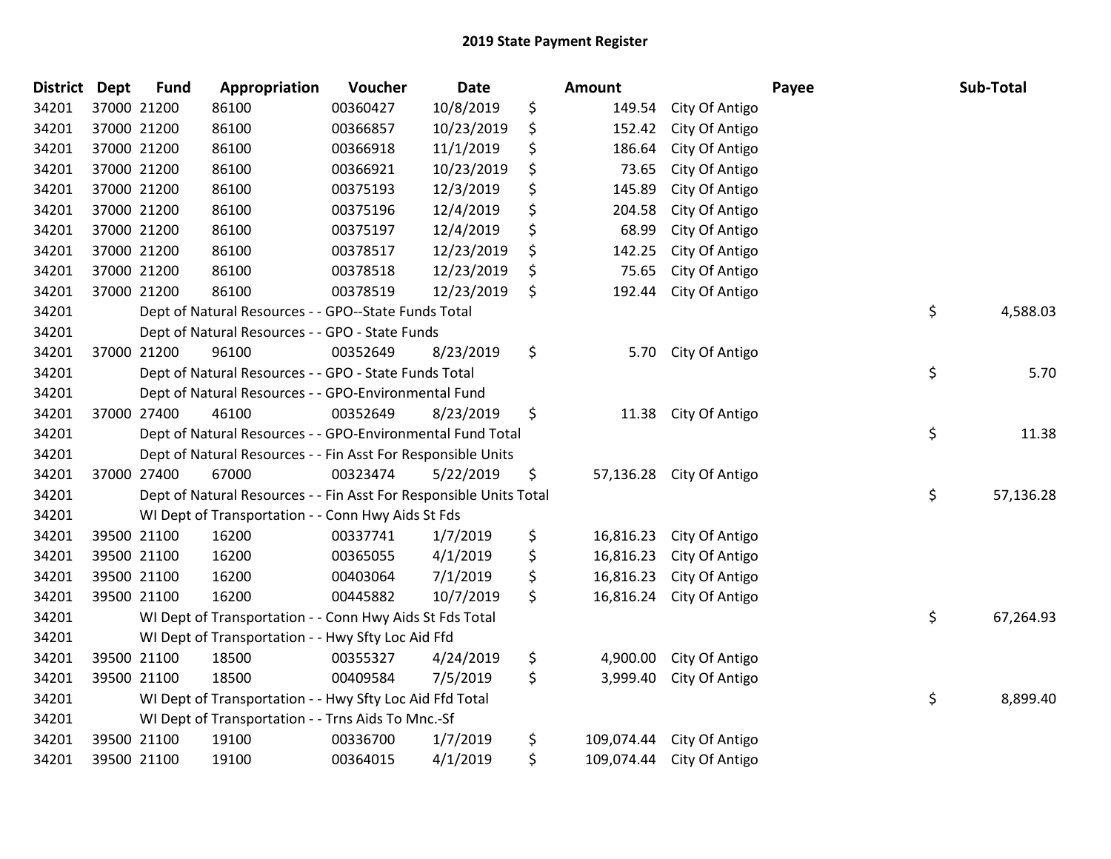| <b>District</b> | <b>Dept</b> | <b>Fund</b> | Appropriation                                                      | Voucher  | <b>Date</b> | <b>Amount</b>    |                | Payee | Sub-Total |
|-----------------|-------------|-------------|--------------------------------------------------------------------|----------|-------------|------------------|----------------|-------|-----------|
| 34201           |             | 37000 21200 | 86100                                                              | 00360427 | 10/8/2019   | \$<br>149.54     | City Of Antigo |       |           |
| 34201           |             | 37000 21200 | 86100                                                              | 00366857 | 10/23/2019  | \$<br>152.42     | City Of Antigo |       |           |
| 34201           |             | 37000 21200 | 86100                                                              | 00366918 | 11/1/2019   | \$<br>186.64     | City Of Antigo |       |           |
| 34201           |             | 37000 21200 | 86100                                                              | 00366921 | 10/23/2019  | \$<br>73.65      | City Of Antigo |       |           |
| 34201           |             | 37000 21200 | 86100                                                              | 00375193 | 12/3/2019   | \$<br>145.89     | City Of Antigo |       |           |
| 34201           |             | 37000 21200 | 86100                                                              | 00375196 | 12/4/2019   | \$<br>204.58     | City Of Antigo |       |           |
| 34201           |             | 37000 21200 | 86100                                                              | 00375197 | 12/4/2019   | \$<br>68.99      | City Of Antigo |       |           |
| 34201           |             | 37000 21200 | 86100                                                              | 00378517 | 12/23/2019  | \$<br>142.25     | City Of Antigo |       |           |
| 34201           |             | 37000 21200 | 86100                                                              | 00378518 | 12/23/2019  | \$<br>75.65      | City Of Antigo |       |           |
| 34201           |             | 37000 21200 | 86100                                                              | 00378519 | 12/23/2019  | \$<br>192.44     | City Of Antigo |       |           |
| 34201           |             |             | Dept of Natural Resources - - GPO--State Funds Total               |          |             |                  |                | \$    | 4,588.03  |
| 34201           |             |             | Dept of Natural Resources - - GPO - State Funds                    |          |             |                  |                |       |           |
| 34201           |             | 37000 21200 | 96100                                                              | 00352649 | 8/23/2019   | \$<br>5.70       | City Of Antigo |       |           |
| 34201           |             |             | Dept of Natural Resources - - GPO - State Funds Total              |          |             |                  |                | \$    | 5.70      |
| 34201           |             |             | Dept of Natural Resources - - GPO-Environmental Fund               |          |             |                  |                |       |           |
| 34201           |             | 37000 27400 | 46100                                                              | 00352649 | 8/23/2019   | \$<br>11.38      | City Of Antigo |       |           |
| 34201           |             |             | Dept of Natural Resources - - GPO-Environmental Fund Total         |          |             |                  |                | \$    | 11.38     |
| 34201           |             |             | Dept of Natural Resources - - Fin Asst For Responsible Units       |          |             |                  |                |       |           |
| 34201           |             | 37000 27400 | 67000                                                              | 00323474 | 5/22/2019   | \$<br>57,136.28  | City Of Antigo |       |           |
| 34201           |             |             | Dept of Natural Resources - - Fin Asst For Responsible Units Total |          |             |                  |                | \$    | 57,136.28 |
| 34201           |             |             | WI Dept of Transportation - - Conn Hwy Aids St Fds                 |          |             |                  |                |       |           |
| 34201           |             | 39500 21100 | 16200                                                              | 00337741 | 1/7/2019    | \$<br>16,816.23  | City Of Antigo |       |           |
| 34201           |             | 39500 21100 | 16200                                                              | 00365055 | 4/1/2019    | \$<br>16,816.23  | City Of Antigo |       |           |
| 34201           |             | 39500 21100 | 16200                                                              | 00403064 | 7/1/2019    | \$<br>16,816.23  | City Of Antigo |       |           |
| 34201           |             | 39500 21100 | 16200                                                              | 00445882 | 10/7/2019   | \$<br>16,816.24  | City Of Antigo |       |           |
| 34201           |             |             | WI Dept of Transportation - - Conn Hwy Aids St Fds Total           |          |             |                  |                | \$    | 67,264.93 |
| 34201           |             |             | WI Dept of Transportation - - Hwy Sfty Loc Aid Ffd                 |          |             |                  |                |       |           |
| 34201           |             | 39500 21100 | 18500                                                              | 00355327 | 4/24/2019   | \$<br>4,900.00   | City Of Antigo |       |           |
| 34201           |             | 39500 21100 | 18500                                                              | 00409584 | 7/5/2019    | \$<br>3,999.40   | City Of Antigo |       |           |
| 34201           |             |             | WI Dept of Transportation - - Hwy Sfty Loc Aid Ffd Total           |          |             |                  |                | \$    | 8,899.40  |
| 34201           |             |             | WI Dept of Transportation - - Trns Aids To Mnc.-Sf                 |          |             |                  |                |       |           |
| 34201           |             | 39500 21100 | 19100                                                              | 00336700 | 1/7/2019    | \$<br>109,074.44 | City Of Antigo |       |           |
| 34201           |             | 39500 21100 | 19100                                                              | 00364015 | 4/1/2019    | \$<br>109,074.44 | City Of Antigo |       |           |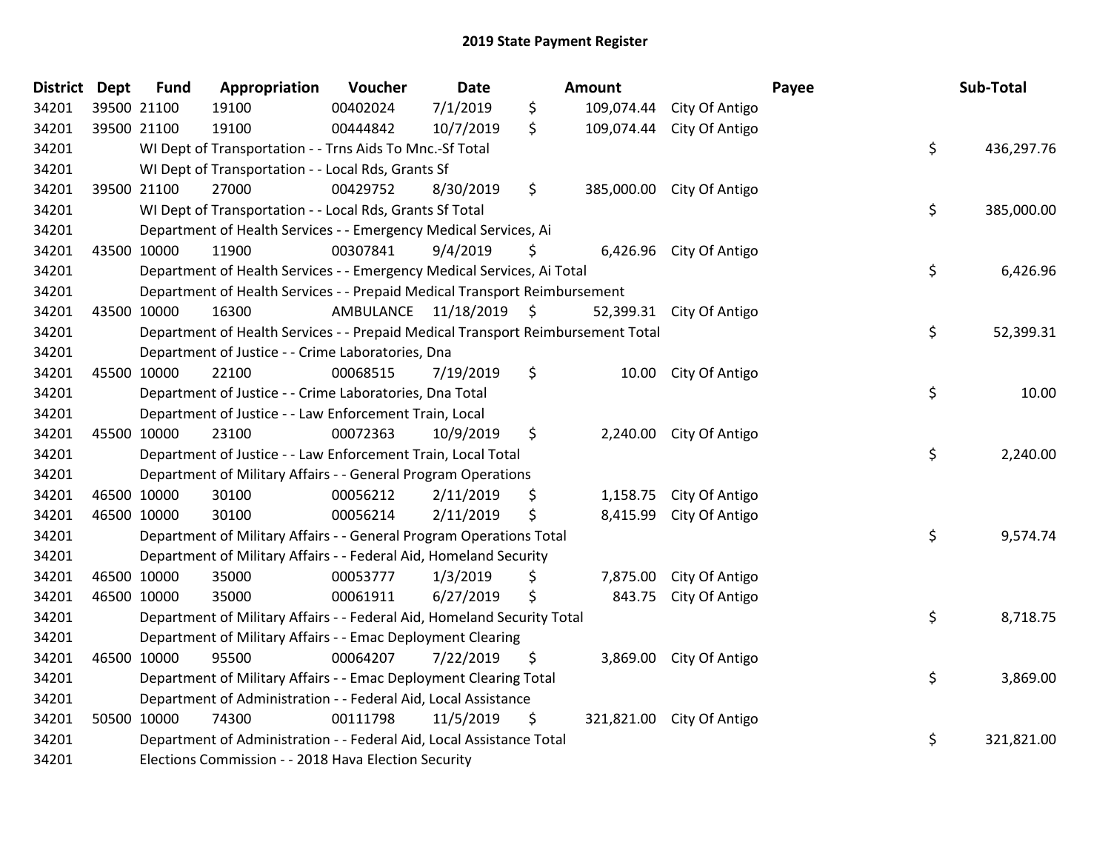| District Dept |             | <b>Fund</b>                                                                           | Appropriation                                                        | Voucher                 | <b>Date</b> |     | Amount     |                           | Payee    | Sub-Total  |
|---------------|-------------|---------------------------------------------------------------------------------------|----------------------------------------------------------------------|-------------------------|-------------|-----|------------|---------------------------|----------|------------|
| 34201         | 39500 21100 |                                                                                       | 19100                                                                | 00402024                | 7/1/2019    | \$  | 109,074.44 | City Of Antigo            |          |            |
| 34201         | 39500 21100 |                                                                                       | 19100                                                                | 00444842                | 10/7/2019   | \$. |            | 109,074.44 City Of Antigo |          |            |
| 34201         |             | \$<br>WI Dept of Transportation - - Trns Aids To Mnc.-Sf Total                        |                                                                      |                         |             |     |            |                           |          | 436,297.76 |
| 34201         |             | WI Dept of Transportation - - Local Rds, Grants Sf                                    |                                                                      |                         |             |     |            |                           |          |            |
| 34201         |             | 39500 21100                                                                           | 27000                                                                | 00429752                | 8/30/2019   | \$  | 385,000.00 | City Of Antigo            |          |            |
| 34201         |             |                                                                                       | WI Dept of Transportation - - Local Rds, Grants Sf Total             |                         |             |     |            |                           | \$       | 385,000.00 |
| 34201         |             | Department of Health Services - - Emergency Medical Services, Ai                      |                                                                      |                         |             |     |            |                           |          |            |
| 34201         | 43500 10000 |                                                                                       | 11900                                                                | 00307841                | 9/4/2019    | \$  | 6,426.96   | City Of Antigo            |          |            |
| 34201         |             | \$<br>Department of Health Services - - Emergency Medical Services, Ai Total          |                                                                      |                         |             |     |            |                           | 6,426.96 |            |
| 34201         |             | Department of Health Services - - Prepaid Medical Transport Reimbursement             |                                                                      |                         |             |     |            |                           |          |            |
| 34201         | 43500 10000 |                                                                                       | 16300                                                                | AMBULANCE 11/18/2019 \$ |             |     | 52,399.31  | City Of Antigo            |          |            |
| 34201         |             | \$<br>Department of Health Services - - Prepaid Medical Transport Reimbursement Total |                                                                      |                         |             |     |            |                           |          | 52,399.31  |
| 34201         |             |                                                                                       | Department of Justice - - Crime Laboratories, Dna                    |                         |             |     |            |                           |          |            |
| 34201         | 45500 10000 |                                                                                       | 22100                                                                | 00068515                | 7/19/2019   | \$  | 10.00      | City Of Antigo            |          |            |
| 34201         |             | \$<br>Department of Justice - - Crime Laboratories, Dna Total                         |                                                                      |                         |             |     |            |                           |          | 10.00      |
| 34201         |             |                                                                                       | Department of Justice - - Law Enforcement Train, Local               |                         |             |     |            |                           |          |            |
| 34201         | 45500 10000 |                                                                                       | 23100                                                                | 00072363                | 10/9/2019   | \$  | 2,240.00   | City Of Antigo            |          |            |
| 34201         |             | \$<br>Department of Justice - - Law Enforcement Train, Local Total                    |                                                                      |                         |             |     |            |                           | 2,240.00 |            |
| 34201         |             | Department of Military Affairs - - General Program Operations                         |                                                                      |                         |             |     |            |                           |          |            |
| 34201         | 46500 10000 |                                                                                       | 30100                                                                | 00056212                | 2/11/2019   | \$  | 1,158.75   | City Of Antigo            |          |            |
| 34201         | 46500 10000 |                                                                                       | 30100                                                                | 00056214                | 2/11/2019   | \$  | 8,415.99   | City Of Antigo            |          |            |
| 34201         |             | \$<br>Department of Military Affairs - - General Program Operations Total             |                                                                      |                         |             |     |            |                           |          | 9,574.74   |
| 34201         |             | Department of Military Affairs - - Federal Aid, Homeland Security                     |                                                                      |                         |             |     |            |                           |          |            |
| 34201         | 46500 10000 |                                                                                       | 35000                                                                | 00053777                | 1/3/2019    | \$  | 7,875.00   | City Of Antigo            |          |            |
| 34201         | 46500 10000 |                                                                                       | 35000                                                                | 00061911                | 6/27/2019   | \$  | 843.75     | City Of Antigo            |          |            |
| 34201         |             | \$<br>Department of Military Affairs - - Federal Aid, Homeland Security Total         |                                                                      |                         |             |     |            |                           |          | 8,718.75   |
| 34201         |             | Department of Military Affairs - - Emac Deployment Clearing                           |                                                                      |                         |             |     |            |                           |          |            |
| 34201         | 46500 10000 |                                                                                       | 95500                                                                | 00064207                | 7/22/2019   | \$. | 3,869.00   | City Of Antigo            |          |            |
| 34201         |             |                                                                                       | Department of Military Affairs - - Emac Deployment Clearing Total    |                         |             |     |            |                           | \$       | 3,869.00   |
| 34201         |             | Department of Administration - - Federal Aid, Local Assistance                        |                                                                      |                         |             |     |            |                           |          |            |
| 34201         | 50500 10000 |                                                                                       | 74300                                                                | 00111798                | 11/5/2019   | \$  | 321,821.00 | City Of Antigo            |          |            |
| 34201         |             |                                                                                       | Department of Administration - - Federal Aid, Local Assistance Total |                         |             |     |            |                           | \$       | 321,821.00 |
| 34201         |             | Elections Commission - - 2018 Hava Election Security                                  |                                                                      |                         |             |     |            |                           |          |            |